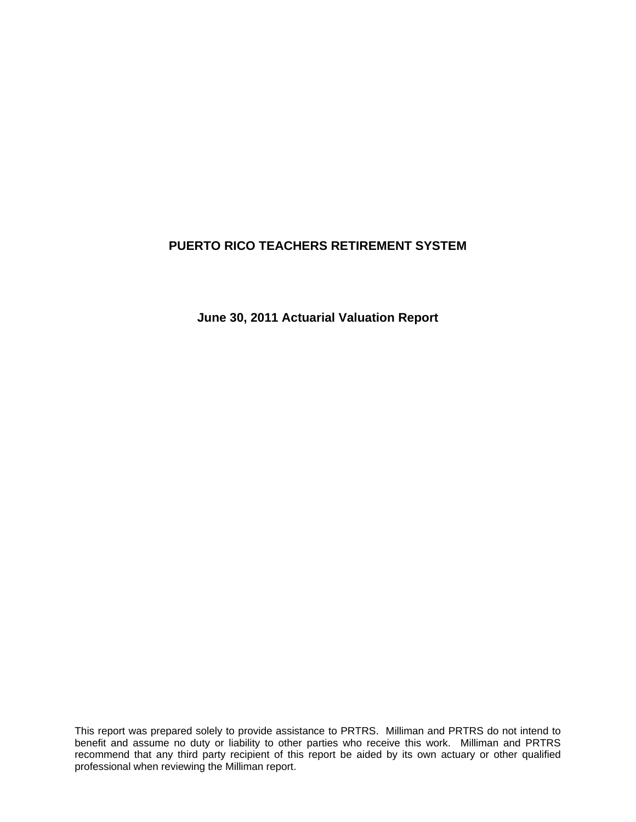**June 30, 2011 Actuarial Valuation Report**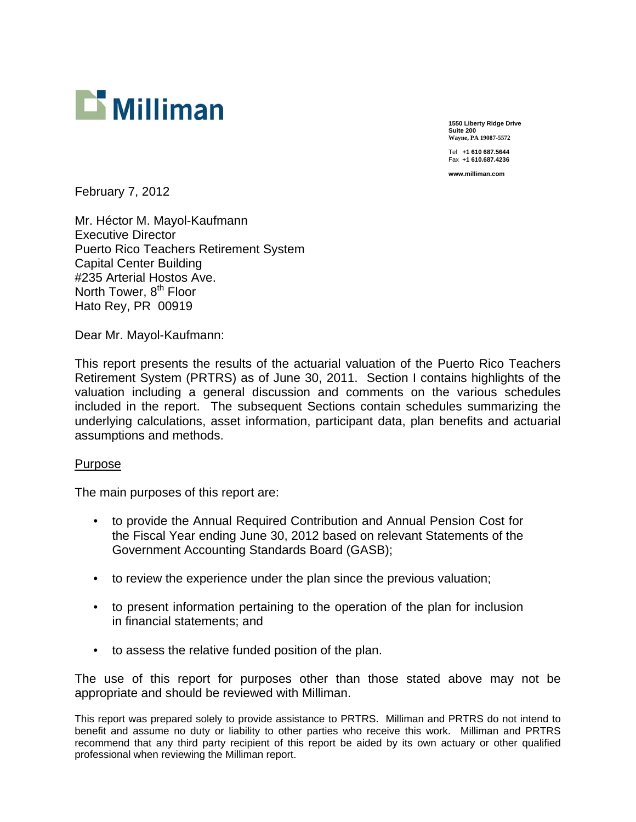

**1550 Liberty Ridge Drive Suite 200 Wayne, PA 19087-5572**  Tel **+1 610 687.5644** 

Fax **+1 610.687.4236 www.milliman.com** 

February 7, 2012

Mr. Héctor M. Mayol-Kaufmann Executive Director Puerto Rico Teachers Retirement System Capital Center Building #235 Arterial Hostos Ave. North Tower, 8<sup>th</sup> Floor Hato Rey, PR 00919

Dear Mr. Mayol-Kaufmann:

This report presents the results of the actuarial valuation of the Puerto Rico Teachers Retirement System (PRTRS) as of June 30, 2011. Section I contains highlights of the valuation including a general discussion and comments on the various schedules included in the report. The subsequent Sections contain schedules summarizing the underlying calculations, asset information, participant data, plan benefits and actuarial assumptions and methods.

#### Purpose

The main purposes of this report are:

- to provide the Annual Required Contribution and Annual Pension Cost for the Fiscal Year ending June 30, 2012 based on relevant Statements of the Government Accounting Standards Board (GASB);
- to review the experience under the plan since the previous valuation;
- to present information pertaining to the operation of the plan for inclusion in financial statements; and
- to assess the relative funded position of the plan.

The use of this report for purposes other than those stated above may not be appropriate and should be reviewed with Milliman.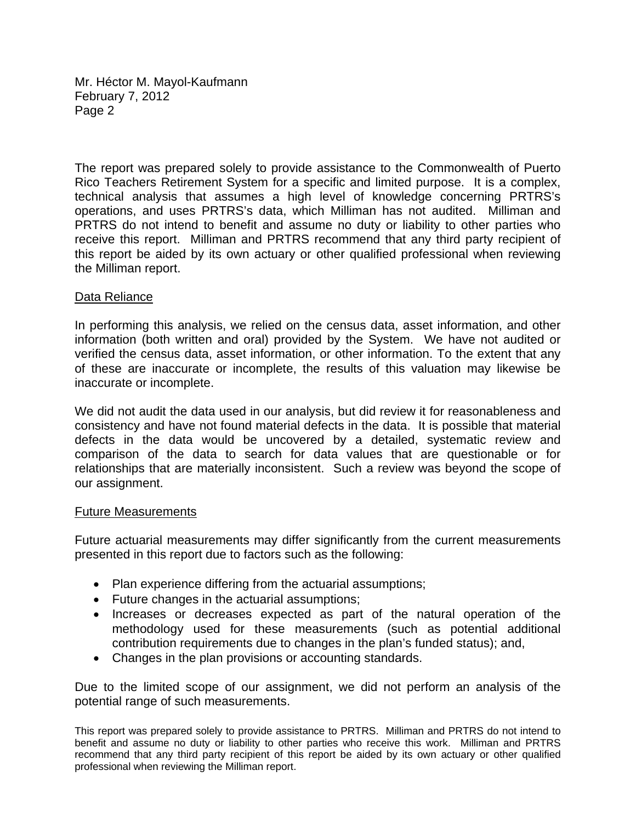Mr. Héctor M. Mayol-Kaufmann February 7, 2012 Page 2

The report was prepared solely to provide assistance to the Commonwealth of Puerto Rico Teachers Retirement System for a specific and limited purpose. It is a complex, technical analysis that assumes a high level of knowledge concerning PRTRS's operations, and uses PRTRS's data, which Milliman has not audited. Milliman and PRTRS do not intend to benefit and assume no duty or liability to other parties who receive this report. Milliman and PRTRS recommend that any third party recipient of this report be aided by its own actuary or other qualified professional when reviewing the Milliman report.

#### Data Reliance

In performing this analysis, we relied on the census data, asset information, and other information (both written and oral) provided by the System. We have not audited or verified the census data, asset information, or other information. To the extent that any of these are inaccurate or incomplete, the results of this valuation may likewise be inaccurate or incomplete.

We did not audit the data used in our analysis, but did review it for reasonableness and consistency and have not found material defects in the data. It is possible that material defects in the data would be uncovered by a detailed, systematic review and comparison of the data to search for data values that are questionable or for relationships that are materially inconsistent. Such a review was beyond the scope of our assignment.

#### Future Measurements

Future actuarial measurements may differ significantly from the current measurements presented in this report due to factors such as the following:

- Plan experience differing from the actuarial assumptions;
- Future changes in the actuarial assumptions;
- Increases or decreases expected as part of the natural operation of the methodology used for these measurements (such as potential additional contribution requirements due to changes in the plan's funded status); and,
- Changes in the plan provisions or accounting standards.

Due to the limited scope of our assignment, we did not perform an analysis of the potential range of such measurements.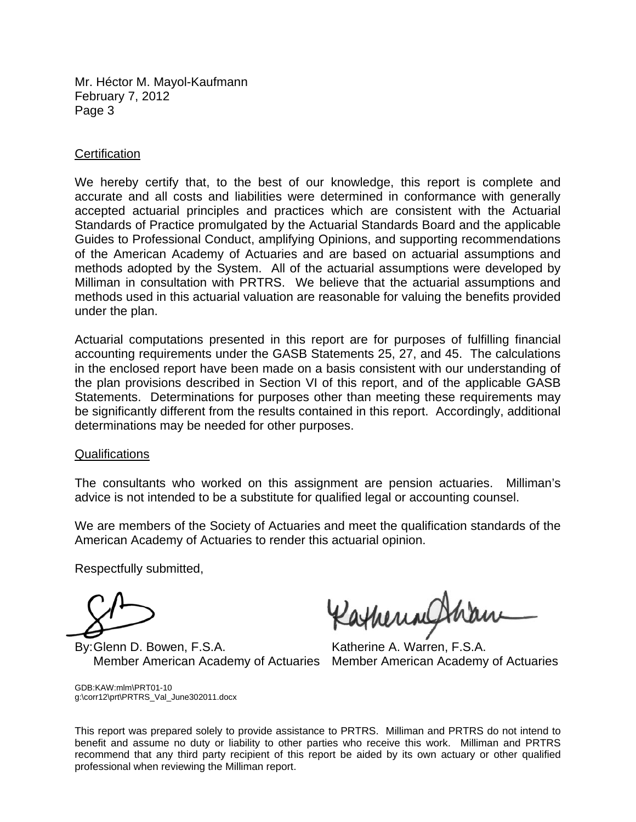Mr. Héctor M. Mayol-Kaufmann February 7, 2012 Page 3

#### **Certification**

We hereby certify that, to the best of our knowledge, this report is complete and accurate and all costs and liabilities were determined in conformance with generally accepted actuarial principles and practices which are consistent with the Actuarial Standards of Practice promulgated by the Actuarial Standards Board and the applicable Guides to Professional Conduct, amplifying Opinions, and supporting recommendations of the American Academy of Actuaries and are based on actuarial assumptions and methods adopted by the System. All of the actuarial assumptions were developed by Milliman in consultation with PRTRS. We believe that the actuarial assumptions and methods used in this actuarial valuation are reasonable for valuing the benefits provided under the plan.

Actuarial computations presented in this report are for purposes of fulfilling financial accounting requirements under the GASB Statements 25, 27, and 45. The calculations in the enclosed report have been made on a basis consistent with our understanding of the plan provisions described in Section VI of this report, and of the applicable GASB Statements. Determinations for purposes other than meeting these requirements may be significantly different from the results contained in this report. Accordingly, additional determinations may be needed for other purposes.

#### Qualifications

The consultants who worked on this assignment are pension actuaries. Milliman's advice is not intended to be a substitute for qualified legal or accounting counsel.

We are members of the Society of Actuaries and meet the qualification standards of the American Academy of Actuaries to render this actuarial opinion.

Respectfully submitted,

By: Glenn D. Bowen, F.S.A. Katherine A. Warren, F.S.A.

Ratheringt

Member American Academy of Actuaries Member American Academy of Actuaries

GDB:KAW:mlm\PRT01-10 g:\corr12\prt\PRTRS\_Val\_June302011.docx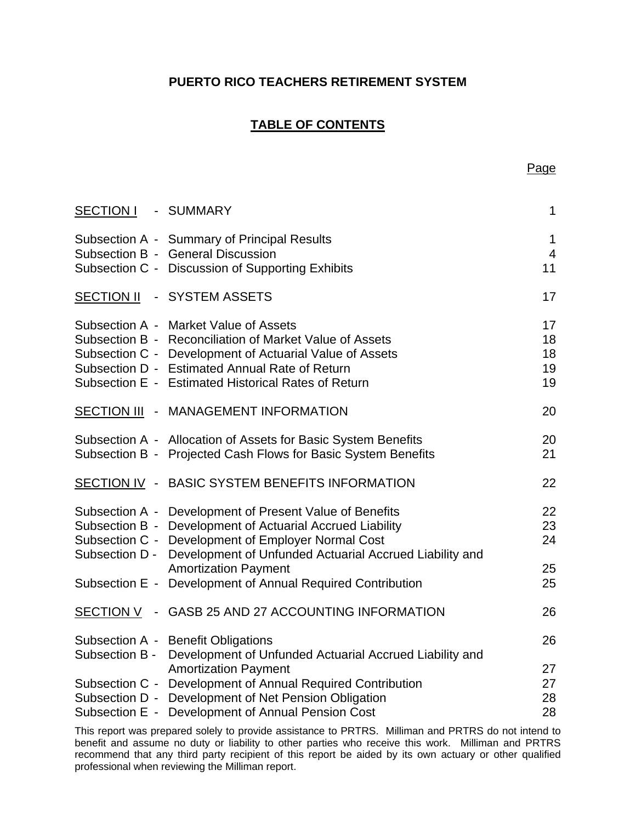# **TABLE OF CONTENTS**

| SECTION I          | - SUMMARY                                                                                                                                                                                                                                                            | $\mathbf 1$                |
|--------------------|----------------------------------------------------------------------------------------------------------------------------------------------------------------------------------------------------------------------------------------------------------------------|----------------------------|
|                    | Subsection A - Summary of Principal Results<br>Subsection B - General Discussion<br>Subsection C - Discussion of Supporting Exhibits                                                                                                                                 | 1<br>$\overline{4}$<br>11  |
| <b>SECTION II</b>  | - SYSTEM ASSETS                                                                                                                                                                                                                                                      | 17                         |
|                    | Subsection A - Market Value of Assets<br>Subsection B - Reconciliation of Market Value of Assets<br>Subsection C - Development of Actuarial Value of Assets<br>Subsection D - Estimated Annual Rate of Return<br>Subsection E - Estimated Historical Rates of Return | 17<br>18<br>18<br>19<br>19 |
| <b>SECTION III</b> | - MANAGEMENT INFORMATION                                                                                                                                                                                                                                             | 20                         |
|                    | Subsection A - Allocation of Assets for Basic System Benefits<br>Subsection B - Projected Cash Flows for Basic System Benefits                                                                                                                                       | 20<br>21                   |
|                    | SECTION IV - BASIC SYSTEM BENEFITS INFORMATION                                                                                                                                                                                                                       | 22                         |
| Subsection D -     | Subsection A - Development of Present Value of Benefits<br>Subsection B - Development of Actuarial Accrued Liability<br>Subsection C - Development of Employer Normal Cost<br>Development of Unfunded Actuarial Accrued Liability and                                | 22<br>23<br>24             |
|                    | <b>Amortization Payment</b><br>Subsection E - Development of Annual Required Contribution                                                                                                                                                                            | 25<br>25                   |
| <u>SECTION V</u>   | - GASB 25 AND 27 ACCOUNTING INFORMATION                                                                                                                                                                                                                              | 26                         |
| Subsection B -     | Subsection A - Benefit Obligations<br>Development of Unfunded Actuarial Accrued Liability and                                                                                                                                                                        | 26                         |
|                    | <b>Amortization Payment</b><br>Subsection C - Development of Annual Required Contribution<br>Subsection D - Development of Net Pension Obligation<br>Subsection E - Development of Annual Pension Cost                                                               | 27<br>27<br>28<br>28       |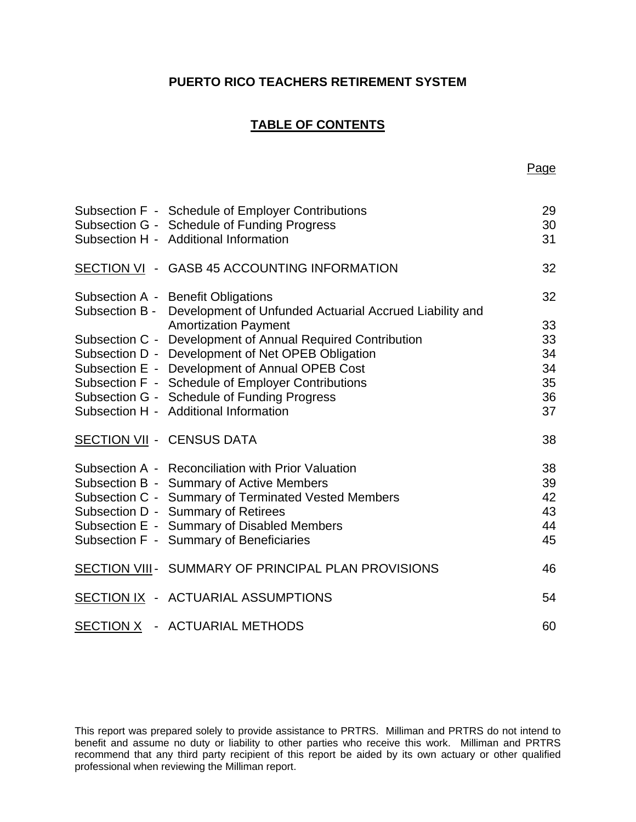# **TABLE OF CONTENTS**

| Subsection F - Schedule of Employer Contributions<br>Subsection G - Schedule of Funding Progress<br>Subsection H - Additional Information | 29<br>30<br>31 |
|-------------------------------------------------------------------------------------------------------------------------------------------|----------------|
| SECTION VI - GASB 45 ACCOUNTING INFORMATION                                                                                               | 32             |
| Subsection A - Benefit Obligations<br>Subsection B - Development of Unfunded Actuarial Accrued Liability and                              | 32             |
| <b>Amortization Payment</b>                                                                                                               | 33             |
| Subsection C - Development of Annual Required Contribution                                                                                | 33             |
| Subsection D - Development of Net OPEB Obligation                                                                                         | 34             |
| Subsection E - Development of Annual OPEB Cost                                                                                            | 34             |
| Subsection F - Schedule of Employer Contributions                                                                                         | 35             |
| Subsection G - Schedule of Funding Progress                                                                                               | 36             |
| Subsection H - Additional Information                                                                                                     | 37             |
| <b>SECTION VII - CENSUS DATA</b>                                                                                                          | 38             |
| Subsection A - Reconciliation with Prior Valuation                                                                                        | 38             |
| Subsection B - Summary of Active Members                                                                                                  | 39             |
| Subsection C - Summary of Terminated Vested Members                                                                                       | 42             |
| Subsection D - Summary of Retirees                                                                                                        | 43             |
| Subsection E - Summary of Disabled Members                                                                                                | 44             |
| Subsection F - Summary of Beneficiaries                                                                                                   | 45             |
| SECTION VIII - SUMMARY OF PRINCIPAL PLAN PROVISIONS                                                                                       | 46             |
| SECTION IX - ACTUARIAL ASSUMPTIONS                                                                                                        | 54             |
| SECTION X - ACTUARIAL METHODS                                                                                                             | 60             |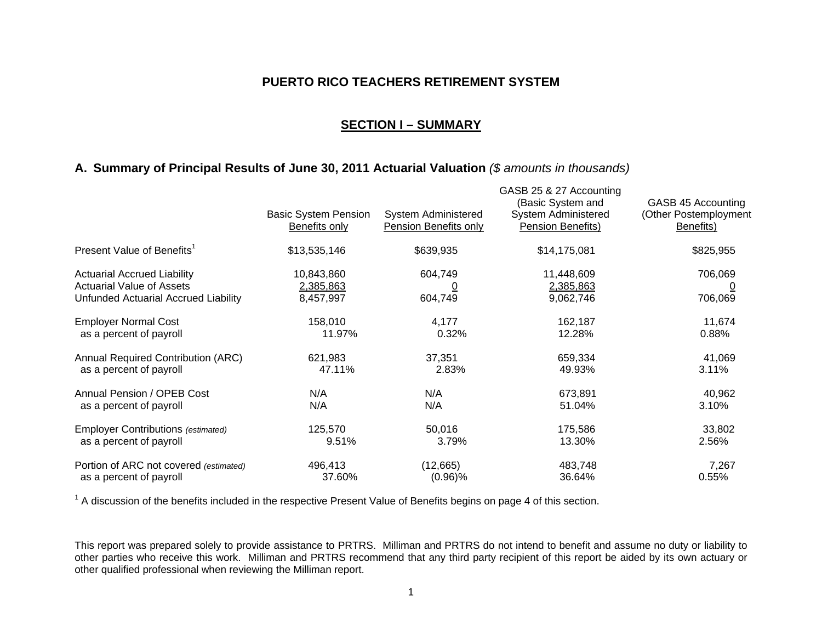#### **SECTION I – SUMMARY**

### **A. Summary of Principal Results of June 30, 2011 Actuarial Valuation** *(\$ amounts in thousands)*

|                                                                                                                | <b>Basic System Pension</b><br><b>Benefits only</b> | <b>System Administered</b><br><b>Pension Benefits only</b> | GASB 25 & 27 Accounting<br>(Basic System and<br><b>System Administered</b><br>Pension Benefits) | GASB 45 Accounting<br>(Other Postemployment<br>Benefits) |
|----------------------------------------------------------------------------------------------------------------|-----------------------------------------------------|------------------------------------------------------------|-------------------------------------------------------------------------------------------------|----------------------------------------------------------|
| Present Value of Benefits <sup>1</sup>                                                                         | \$13,535,146                                        | \$639,935                                                  | \$14,175,081                                                                                    | \$825,955                                                |
| <b>Actuarial Accrued Liability</b><br><b>Actuarial Value of Assets</b><br>Unfunded Actuarial Accrued Liability | 10,843,860<br>2,385,863<br>8,457,997                | 604,749<br>604,749                                         | 11,448,609<br>2,385,863<br>9,062,746                                                            | 706,069<br>$\overline{\Omega}$<br>706,069                |
| <b>Employer Normal Cost</b>                                                                                    | 158,010                                             | 4,177                                                      | 162,187                                                                                         | 11,674                                                   |
| as a percent of payroll                                                                                        | 11.97%                                              | 0.32%                                                      | 12.28%                                                                                          | 0.88%                                                    |
| <b>Annual Required Contribution (ARC)</b>                                                                      | 621,983                                             | 37,351                                                     | 659,334                                                                                         | 41,069                                                   |
| as a percent of payroll                                                                                        | 47.11%                                              | 2.83%                                                      | 49.93%                                                                                          | 3.11%                                                    |
| Annual Pension / OPEB Cost                                                                                     | N/A                                                 | N/A                                                        | 673,891                                                                                         | 40,962                                                   |
| as a percent of payroll                                                                                        | N/A                                                 | N/A                                                        | 51.04%                                                                                          | 3.10%                                                    |
| <b>Employer Contributions (estimated)</b>                                                                      | 125,570                                             | 50,016                                                     | 175,586                                                                                         | 33,802                                                   |
| as a percent of payroll                                                                                        | 9.51%                                               | 3.79%                                                      | 13.30%                                                                                          | 2.56%                                                    |
| Portion of ARC not covered (estimated)                                                                         | 496,413                                             | (12,665)                                                   | 483,748                                                                                         | 7,267                                                    |
| as a percent of payroll                                                                                        | 37.60%                                              | $(0.96)\%$                                                 | 36.64%                                                                                          | 0.55%                                                    |

 $1$  A discussion of the benefits included in the respective Present Value of Benefits begins on page 4 of this section.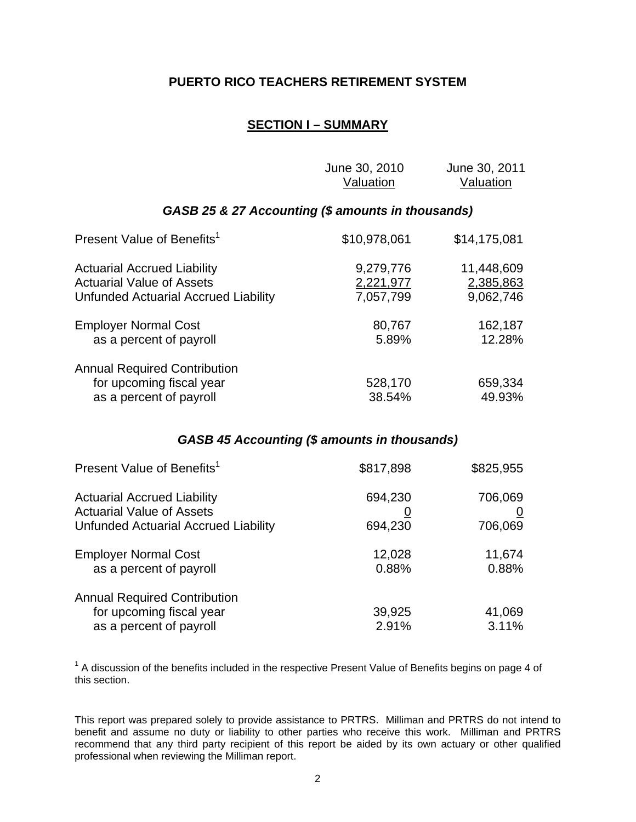# **SECTION I – SUMMARY**

|                                                                                                                       | June 30, 2010<br><u>Valuation</u>            | June 30, 2011<br><b>Valuation</b>    |
|-----------------------------------------------------------------------------------------------------------------------|----------------------------------------------|--------------------------------------|
| GASB 25 & 27 Accounting (\$ amounts in thousands)                                                                     |                                              |                                      |
| Present Value of Benefits <sup>1</sup>                                                                                | \$10,978,061                                 | \$14,175,081                         |
| <b>Actuarial Accrued Liability</b><br><b>Actuarial Value of Assets</b><br><b>Unfunded Actuarial Accrued Liability</b> | 9,279,776<br><u>2,221,977</u><br>7,057,799   | 11,448,609<br>2,385,863<br>9,062,746 |
| <b>Employer Normal Cost</b><br>as a percent of payroll                                                                | 80,767<br>5.89%                              | 162,187<br>12.28%                    |
| <b>Annual Required Contribution</b><br>for upcoming fiscal year<br>as a percent of payroll                            | 528,170<br>38.54%                            | 659,334<br>49.93%                    |
|                                                                                                                       | GASB 45 Accounting (\$ amounts in thousands) |                                      |
| Present Value of Benefits <sup>1</sup>                                                                                | \$817,898                                    | \$825,955                            |
| <b>Actuarial Accrued Liability</b>                                                                                    | 694,230                                      | 706,069                              |

Actuarial Value of Assets 0 0 Unfunded Actuarial Accrued Liability 694,230 706,069

Employer Normal Cost 12,028 11,674 as a percent of payroll as a bercent of payroll as a bercent of payroll as  $0.88\%$ 

Annual Required Contribution

 $1$  A discussion of the benefits included in the respective Present Value of Benefits begins on page 4 of this section.

for upcoming fiscal year 39,925 41,069 as a percent of payroll and the set of payroll and the set of payroll and the set of  $2.91\%$  and  $3.11\%$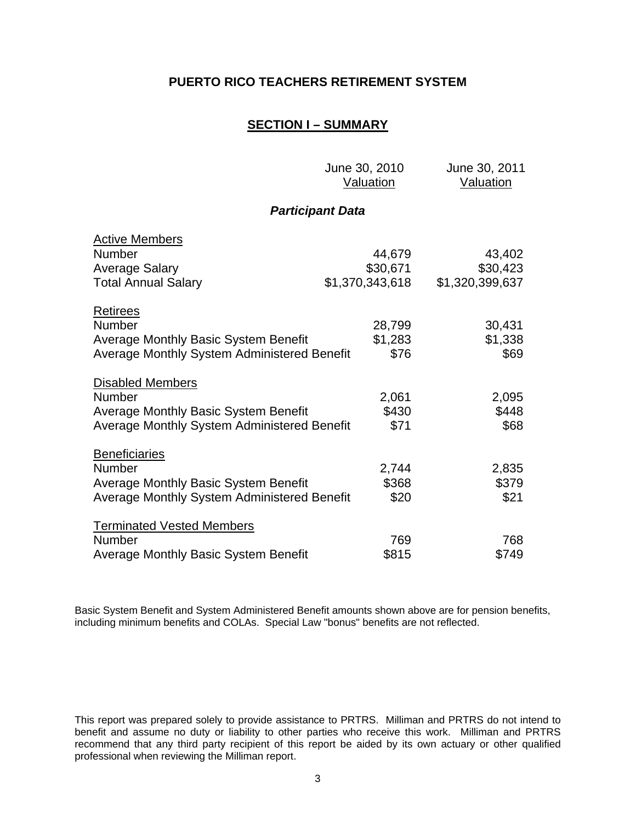## **SECTION I – SUMMARY**

June 30, 2010 June 30, 2011

|                                                                                                                                     | <b>Valuation</b>            | <u>Valuation</u>            |
|-------------------------------------------------------------------------------------------------------------------------------------|-----------------------------|-----------------------------|
|                                                                                                                                     | <b>Participant Data</b>     |                             |
| <b>Active Members</b><br><b>Number</b>                                                                                              | 44,679                      | 43,402                      |
| <b>Average Salary</b><br><b>Total Annual Salary</b>                                                                                 | \$30,671<br>\$1,370,343,618 | \$30,423<br>\$1,320,399,637 |
| <b>Retirees</b><br><b>Number</b><br><b>Average Monthly Basic System Benefit</b><br>Average Monthly System Administered Benefit      | 28,799<br>\$1,283<br>\$76   | 30,431<br>\$1,338<br>\$69   |
| <b>Disabled Members</b><br><b>Number</b><br>Average Monthly Basic System Benefit<br>Average Monthly System Administered Benefit     | 2,061<br>\$430<br>\$71      | 2,095<br>\$448<br>\$68      |
| <b>Beneficiaries</b><br><b>Number</b><br><b>Average Monthly Basic System Benefit</b><br>Average Monthly System Administered Benefit | 2,744<br>\$368<br>\$20      | 2,835<br>\$379<br>\$21      |
| <b>Terminated Vested Members</b><br><b>Number</b><br><b>Average Monthly Basic System Benefit</b>                                    | 769<br>\$815                | 768<br>\$749                |

Basic System Benefit and System Administered Benefit amounts shown above are for pension benefits, including minimum benefits and COLAs. Special Law "bonus" benefits are not reflected.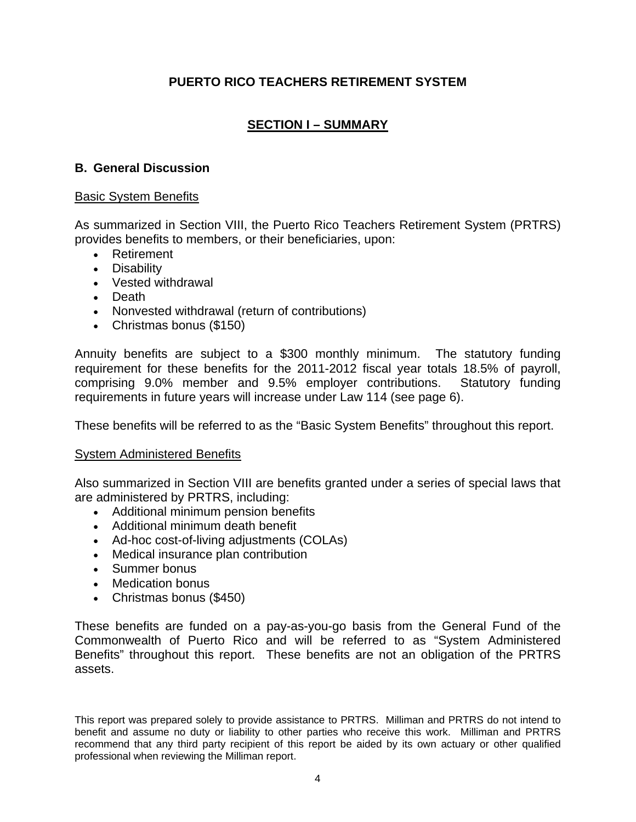# **SECTION I – SUMMARY**

# **B. General Discussion**

## Basic System Benefits

As summarized in Section VIII, the Puerto Rico Teachers Retirement System (PRTRS) provides benefits to members, or their beneficiaries, upon:

- Retirement
- Disability
- Vested withdrawal
- Death
- Nonvested withdrawal (return of contributions)
- Christmas bonus (\$150)

Annuity benefits are subject to a \$300 monthly minimum. The statutory funding requirement for these benefits for the 2011-2012 fiscal year totals 18.5% of payroll, comprising 9.0% member and 9.5% employer contributions. Statutory funding requirements in future years will increase under Law 114 (see page 6).

These benefits will be referred to as the "Basic System Benefits" throughout this report.

#### System Administered Benefits

Also summarized in Section VIII are benefits granted under a series of special laws that are administered by PRTRS, including:

- Additional minimum pension benefits
- Additional minimum death benefit
- Ad-hoc cost-of-living adjustments (COLAs)
- Medical insurance plan contribution
- Summer bonus
- Medication bonus
- Christmas bonus (\$450)

These benefits are funded on a pay-as-you-go basis from the General Fund of the Commonwealth of Puerto Rico and will be referred to as "System Administered Benefits" throughout this report. These benefits are not an obligation of the PRTRS assets.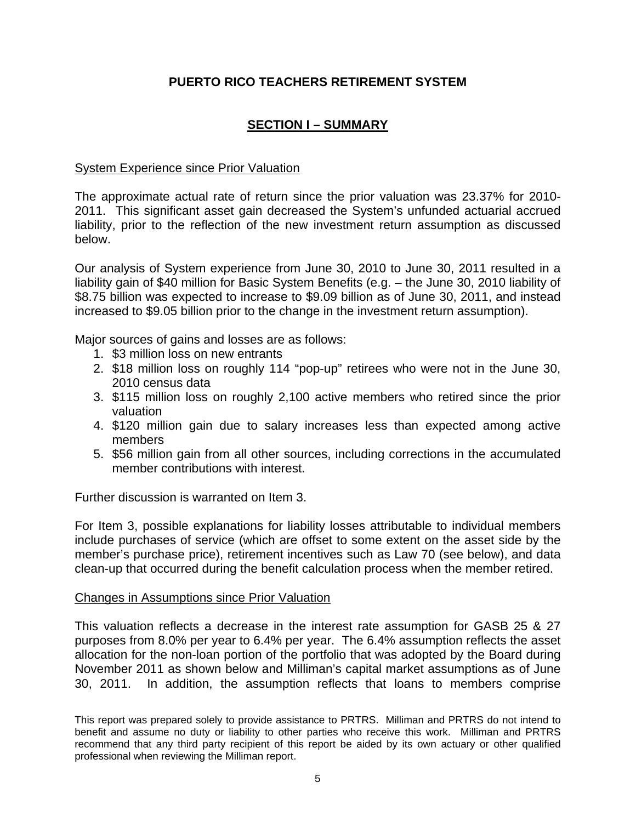# **SECTION I – SUMMARY**

# System Experience since Prior Valuation

The approximate actual rate of return since the prior valuation was 23.37% for 2010- 2011. This significant asset gain decreased the System's unfunded actuarial accrued liability, prior to the reflection of the new investment return assumption as discussed below.

Our analysis of System experience from June 30, 2010 to June 30, 2011 resulted in a liability gain of \$40 million for Basic System Benefits (e.g. – the June 30, 2010 liability of \$8.75 billion was expected to increase to \$9.09 billion as of June 30, 2011, and instead increased to \$9.05 billion prior to the change in the investment return assumption).

Major sources of gains and losses are as follows:

- 1. \$3 million loss on new entrants
- 2. \$18 million loss on roughly 114 "pop-up" retirees who were not in the June 30, 2010 census data
- 3. \$115 million loss on roughly 2,100 active members who retired since the prior valuation
- 4. \$120 million gain due to salary increases less than expected among active members
- 5. \$56 million gain from all other sources, including corrections in the accumulated member contributions with interest.

Further discussion is warranted on Item 3.

For Item 3, possible explanations for liability losses attributable to individual members include purchases of service (which are offset to some extent on the asset side by the member's purchase price), retirement incentives such as Law 70 (see below), and data clean-up that occurred during the benefit calculation process when the member retired.

# Changes in Assumptions since Prior Valuation

This valuation reflects a decrease in the interest rate assumption for GASB 25 & 27 purposes from 8.0% per year to 6.4% per year. The 6.4% assumption reflects the asset allocation for the non-loan portion of the portfolio that was adopted by the Board during November 2011 as shown below and Milliman's capital market assumptions as of June 30, 2011. In addition, the assumption reflects that loans to members comprise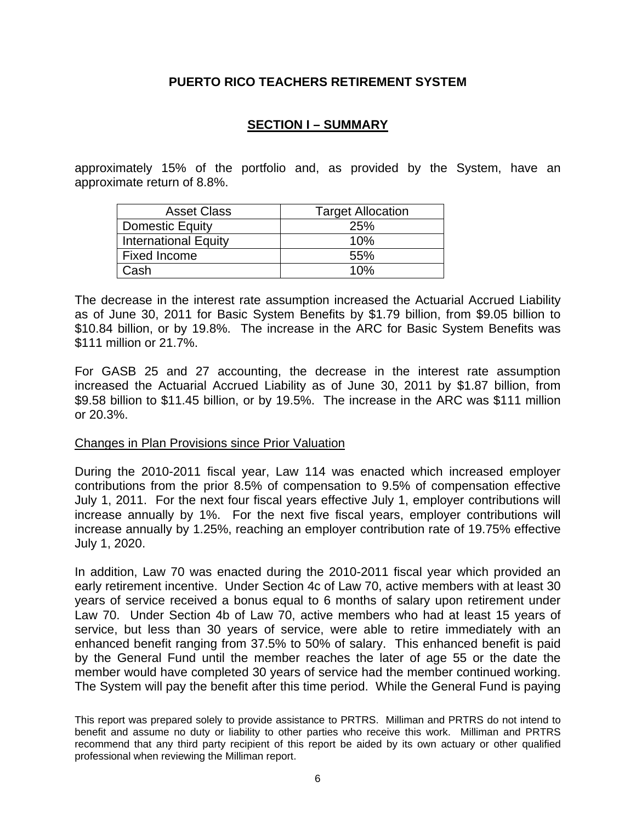# **SECTION I – SUMMARY**

approximately 15% of the portfolio and, as provided by the System, have an approximate return of 8.8%.

| <b>Asset Class</b>          | <b>Target Allocation</b> |
|-----------------------------|--------------------------|
| <b>Domestic Equity</b>      | 25%                      |
| <b>International Equity</b> | 10%                      |
| Fixed Income                | 55%                      |
| Cash                        | 10%                      |

The decrease in the interest rate assumption increased the Actuarial Accrued Liability as of June 30, 2011 for Basic System Benefits by \$1.79 billion, from \$9.05 billion to \$10.84 billion, or by 19.8%. The increase in the ARC for Basic System Benefits was \$111 million or 21.7%.

For GASB 25 and 27 accounting, the decrease in the interest rate assumption increased the Actuarial Accrued Liability as of June 30, 2011 by \$1.87 billion, from \$9.58 billion to \$11.45 billion, or by 19.5%. The increase in the ARC was \$111 million or 20.3%.

#### Changes in Plan Provisions since Prior Valuation

During the 2010-2011 fiscal year, Law 114 was enacted which increased employer contributions from the prior 8.5% of compensation to 9.5% of compensation effective July 1, 2011. For the next four fiscal years effective July 1, employer contributions will increase annually by 1%. For the next five fiscal years, employer contributions will increase annually by 1.25%, reaching an employer contribution rate of 19.75% effective July 1, 2020.

In addition, Law 70 was enacted during the 2010-2011 fiscal year which provided an early retirement incentive. Under Section 4c of Law 70, active members with at least 30 years of service received a bonus equal to 6 months of salary upon retirement under Law 70. Under Section 4b of Law 70, active members who had at least 15 years of service, but less than 30 years of service, were able to retire immediately with an enhanced benefit ranging from 37.5% to 50% of salary. This enhanced benefit is paid by the General Fund until the member reaches the later of age 55 or the date the member would have completed 30 years of service had the member continued working. The System will pay the benefit after this time period. While the General Fund is paying

This report was prepared solely to provide assistance to PRTRS. Milliman and PRTRS do not intend to benefit and assume no duty or liability to other parties who receive this work. Milliman and PRTRS recommend that any third party recipient of this report be aided by its own actuary or other qualified professional when reviewing the Milliman report.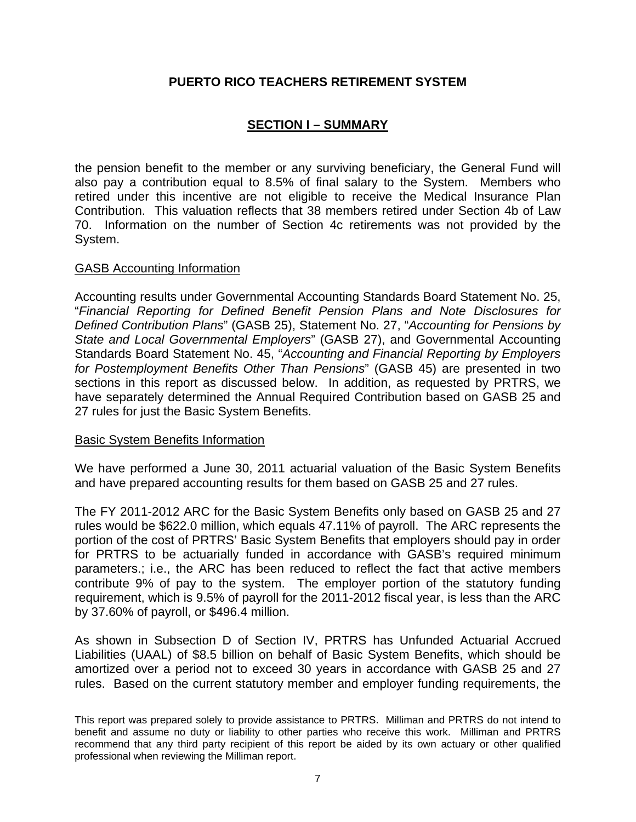# **SECTION I – SUMMARY**

the pension benefit to the member or any surviving beneficiary, the General Fund will also pay a contribution equal to 8.5% of final salary to the System. Members who retired under this incentive are not eligible to receive the Medical Insurance Plan Contribution. This valuation reflects that 38 members retired under Section 4b of Law 70. Information on the number of Section 4c retirements was not provided by the System.

## GASB Accounting Information

Accounting results under Governmental Accounting Standards Board Statement No. 25, "*Financial Reporting for Defined Benefit Pension Plans and Note Disclosures for Defined Contribution Plans*" (GASB 25), Statement No. 27, "*Accounting for Pensions by State and Local Governmental Employers*" (GASB 27), and Governmental Accounting Standards Board Statement No. 45, "*Accounting and Financial Reporting by Employers for Postemployment Benefits Other Than Pensions*" (GASB 45) are presented in two sections in this report as discussed below. In addition, as requested by PRTRS, we have separately determined the Annual Required Contribution based on GASB 25 and 27 rules for just the Basic System Benefits.

#### Basic System Benefits Information

We have performed a June 30, 2011 actuarial valuation of the Basic System Benefits and have prepared accounting results for them based on GASB 25 and 27 rules.

The FY 2011-2012 ARC for the Basic System Benefits only based on GASB 25 and 27 rules would be \$622.0 million, which equals 47.11% of payroll. The ARC represents the portion of the cost of PRTRS' Basic System Benefits that employers should pay in order for PRTRS to be actuarially funded in accordance with GASB's required minimum parameters.; i.e., the ARC has been reduced to reflect the fact that active members contribute 9% of pay to the system. The employer portion of the statutory funding requirement, which is 9.5% of payroll for the 2011-2012 fiscal year, is less than the ARC by 37.60% of payroll, or \$496.4 million.

As shown in Subsection D of Section IV, PRTRS has Unfunded Actuarial Accrued Liabilities (UAAL) of \$8.5 billion on behalf of Basic System Benefits, which should be amortized over a period not to exceed 30 years in accordance with GASB 25 and 27 rules. Based on the current statutory member and employer funding requirements, the

This report was prepared solely to provide assistance to PRTRS. Milliman and PRTRS do not intend to benefit and assume no duty or liability to other parties who receive this work. Milliman and PRTRS recommend that any third party recipient of this report be aided by its own actuary or other qualified professional when reviewing the Milliman report.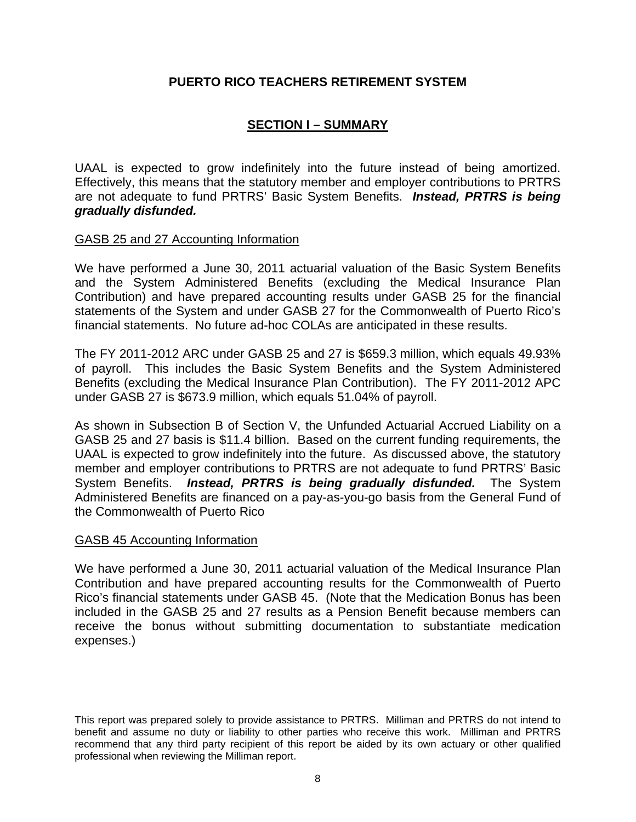# **SECTION I – SUMMARY**

UAAL is expected to grow indefinitely into the future instead of being amortized. Effectively, this means that the statutory member and employer contributions to PRTRS are not adequate to fund PRTRS' Basic System Benefits. *Instead, PRTRS is being gradually disfunded.*

# GASB 25 and 27 Accounting Information

We have performed a June 30, 2011 actuarial valuation of the Basic System Benefits and the System Administered Benefits (excluding the Medical Insurance Plan Contribution) and have prepared accounting results under GASB 25 for the financial statements of the System and under GASB 27 for the Commonwealth of Puerto Rico's financial statements. No future ad-hoc COLAs are anticipated in these results.

The FY 2011-2012 ARC under GASB 25 and 27 is \$659.3 million, which equals 49.93% of payroll. This includes the Basic System Benefits and the System Administered Benefits (excluding the Medical Insurance Plan Contribution). The FY 2011-2012 APC under GASB 27 is \$673.9 million, which equals 51.04% of payroll.

As shown in Subsection B of Section V, the Unfunded Actuarial Accrued Liability on a GASB 25 and 27 basis is \$11.4 billion. Based on the current funding requirements, the UAAL is expected to grow indefinitely into the future. As discussed above, the statutory member and employer contributions to PRTRS are not adequate to fund PRTRS' Basic System Benefits. *Instead, PRTRS is being gradually disfunded.* The System Administered Benefits are financed on a pay-as-you-go basis from the General Fund of the Commonwealth of Puerto Rico

#### GASB 45 Accounting Information

We have performed a June 30, 2011 actuarial valuation of the Medical Insurance Plan Contribution and have prepared accounting results for the Commonwealth of Puerto Rico's financial statements under GASB 45. (Note that the Medication Bonus has been included in the GASB 25 and 27 results as a Pension Benefit because members can receive the bonus without submitting documentation to substantiate medication expenses.)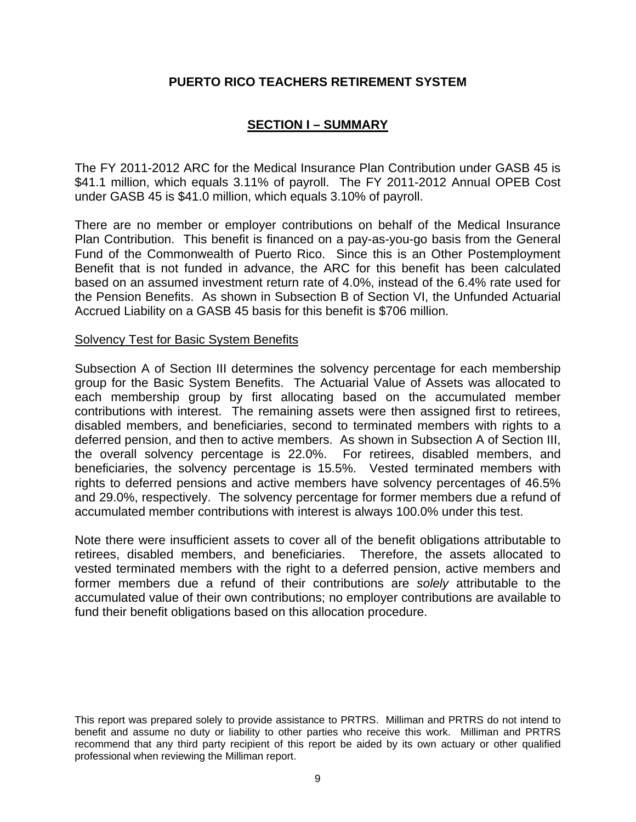# **SECTION I – SUMMARY**

The FY 2011-2012 ARC for the Medical Insurance Plan Contribution under GASB 45 is \$41.1 million, which equals 3.11% of payroll. The FY 2011-2012 Annual OPEB Cost under GASB 45 is \$41.0 million, which equals 3.10% of payroll.

There are no member or employer contributions on behalf of the Medical Insurance Plan Contribution. This benefit is financed on a pay-as-you-go basis from the General Fund of the Commonwealth of Puerto Rico. Since this is an Other Postemployment Benefit that is not funded in advance, the ARC for this benefit has been calculated based on an assumed investment return rate of 4.0%, instead of the 6.4% rate used for the Pension Benefits. As shown in Subsection B of Section VI, the Unfunded Actuarial Accrued Liability on a GASB 45 basis for this benefit is \$706 million.

#### Solvency Test for Basic System Benefits

Subsection A of Section III determines the solvency percentage for each membership group for the Basic System Benefits. The Actuarial Value of Assets was allocated to each membership group by first allocating based on the accumulated member contributions with interest. The remaining assets were then assigned first to retirees, disabled members, and beneficiaries, second to terminated members with rights to a deferred pension, and then to active members. As shown in Subsection A of Section III, the overall solvency percentage is 22.0%. For retirees, disabled members, and beneficiaries, the solvency percentage is 15.5%. Vested terminated members with rights to deferred pensions and active members have solvency percentages of 46.5% and 29.0%, respectively. The solvency percentage for former members due a refund of accumulated member contributions with interest is always 100.0% under this test.

Note there were insufficient assets to cover all of the benefit obligations attributable to retirees, disabled members, and beneficiaries. Therefore, the assets allocated to vested terminated members with the right to a deferred pension, active members and former members due a refund of their contributions are *solely* attributable to the accumulated value of their own contributions; no employer contributions are available to fund their benefit obligations based on this allocation procedure.

This report was prepared solely to provide assistance to PRTRS. Milliman and PRTRS do not intend to benefit and assume no duty or liability to other parties who receive this work. Milliman and PRTRS recommend that any third party recipient of this report be aided by its own actuary or other qualified professional when reviewing the Milliman report.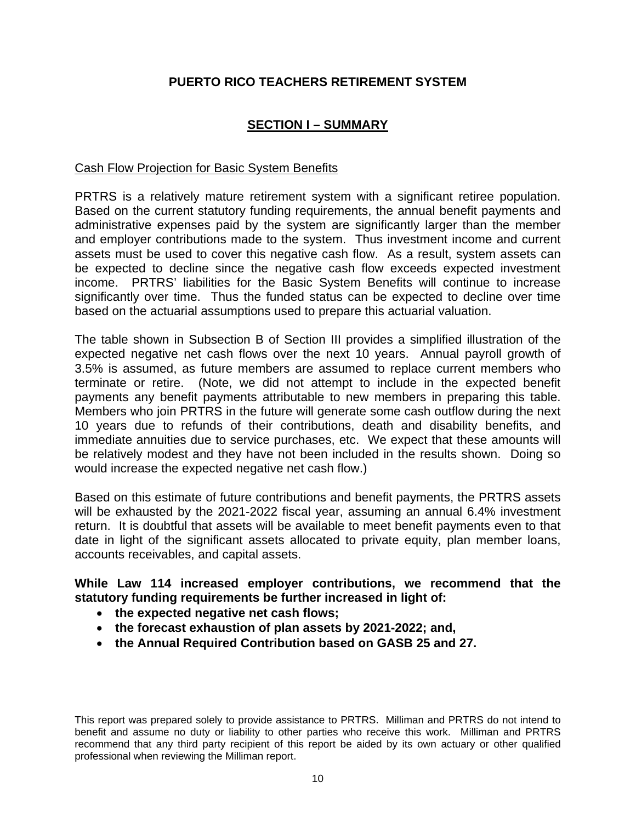# **SECTION I – SUMMARY**

# Cash Flow Projection for Basic System Benefits

PRTRS is a relatively mature retirement system with a significant retiree population. Based on the current statutory funding requirements, the annual benefit payments and administrative expenses paid by the system are significantly larger than the member and employer contributions made to the system. Thus investment income and current assets must be used to cover this negative cash flow. As a result, system assets can be expected to decline since the negative cash flow exceeds expected investment income. PRTRS' liabilities for the Basic System Benefits will continue to increase significantly over time. Thus the funded status can be expected to decline over time based on the actuarial assumptions used to prepare this actuarial valuation.

The table shown in Subsection B of Section III provides a simplified illustration of the expected negative net cash flows over the next 10 years. Annual payroll growth of 3.5% is assumed, as future members are assumed to replace current members who terminate or retire. (Note, we did not attempt to include in the expected benefit payments any benefit payments attributable to new members in preparing this table. Members who join PRTRS in the future will generate some cash outflow during the next 10 years due to refunds of their contributions, death and disability benefits, and immediate annuities due to service purchases, etc. We expect that these amounts will be relatively modest and they have not been included in the results shown. Doing so would increase the expected negative net cash flow.)

Based on this estimate of future contributions and benefit payments, the PRTRS assets will be exhausted by the 2021-2022 fiscal year, assuming an annual 6.4% investment return. It is doubtful that assets will be available to meet benefit payments even to that date in light of the significant assets allocated to private equity, plan member loans, accounts receivables, and capital assets.

# **While Law 114 increased employer contributions, we recommend that the statutory funding requirements be further increased in light of:**

- **the expected negative net cash flows;**
- **the forecast exhaustion of plan assets by 2021-2022; and,**
- **the Annual Required Contribution based on GASB 25 and 27.**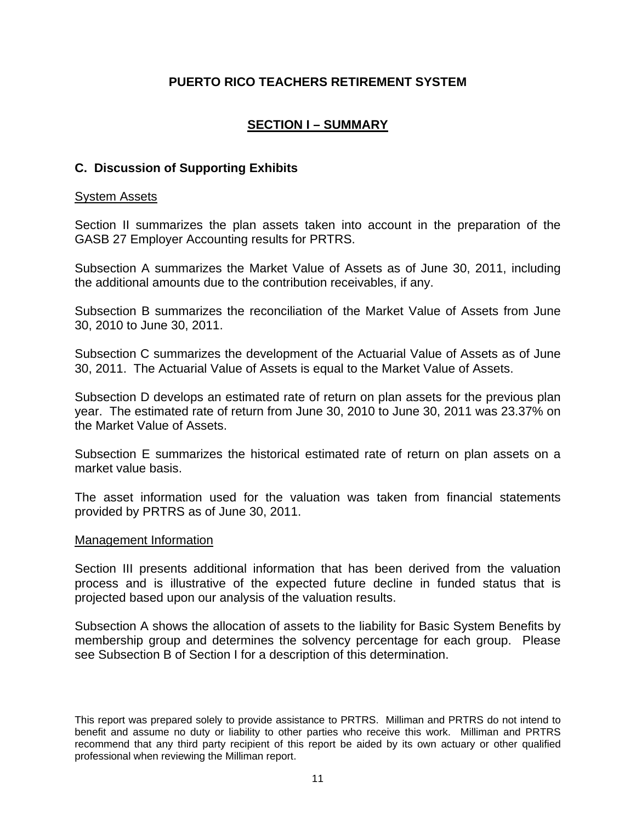# **SECTION I – SUMMARY**

# **C. Discussion of Supporting Exhibits**

### System Assets

Section II summarizes the plan assets taken into account in the preparation of the GASB 27 Employer Accounting results for PRTRS.

Subsection A summarizes the Market Value of Assets as of June 30, 2011, including the additional amounts due to the contribution receivables, if any.

Subsection B summarizes the reconciliation of the Market Value of Assets from June 30, 2010 to June 30, 2011.

Subsection C summarizes the development of the Actuarial Value of Assets as of June 30, 2011. The Actuarial Value of Assets is equal to the Market Value of Assets.

Subsection D develops an estimated rate of return on plan assets for the previous plan year. The estimated rate of return from June 30, 2010 to June 30, 2011 was 23.37% on the Market Value of Assets.

Subsection E summarizes the historical estimated rate of return on plan assets on a market value basis.

The asset information used for the valuation was taken from financial statements provided by PRTRS as of June 30, 2011.

#### Management Information

Section III presents additional information that has been derived from the valuation process and is illustrative of the expected future decline in funded status that is projected based upon our analysis of the valuation results.

Subsection A shows the allocation of assets to the liability for Basic System Benefits by membership group and determines the solvency percentage for each group. Please see Subsection B of Section I for a description of this determination.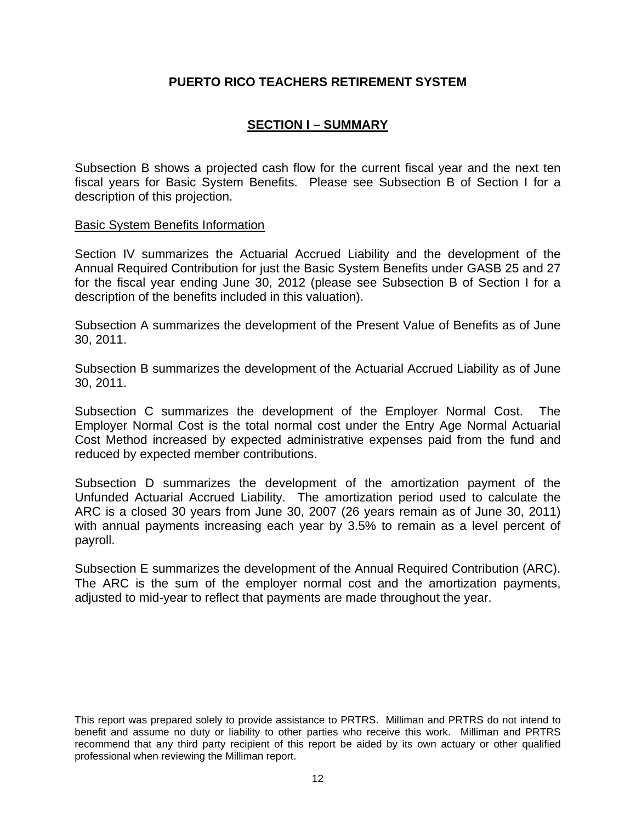# **SECTION I – SUMMARY**

Subsection B shows a projected cash flow for the current fiscal year and the next ten fiscal years for Basic System Benefits. Please see Subsection B of Section I for a description of this projection.

#### Basic System Benefits Information

Section IV summarizes the Actuarial Accrued Liability and the development of the Annual Required Contribution for just the Basic System Benefits under GASB 25 and 27 for the fiscal year ending June 30, 2012 (please see Subsection B of Section I for a description of the benefits included in this valuation).

Subsection A summarizes the development of the Present Value of Benefits as of June 30, 2011.

Subsection B summarizes the development of the Actuarial Accrued Liability as of June 30, 2011.

Subsection C summarizes the development of the Employer Normal Cost. The Employer Normal Cost is the total normal cost under the Entry Age Normal Actuarial Cost Method increased by expected administrative expenses paid from the fund and reduced by expected member contributions.

Subsection D summarizes the development of the amortization payment of the Unfunded Actuarial Accrued Liability. The amortization period used to calculate the ARC is a closed 30 years from June 30, 2007 (26 years remain as of June 30, 2011) with annual payments increasing each year by 3.5% to remain as a level percent of payroll.

Subsection E summarizes the development of the Annual Required Contribution (ARC). The ARC is the sum of the employer normal cost and the amortization payments, adjusted to mid-year to reflect that payments are made throughout the year.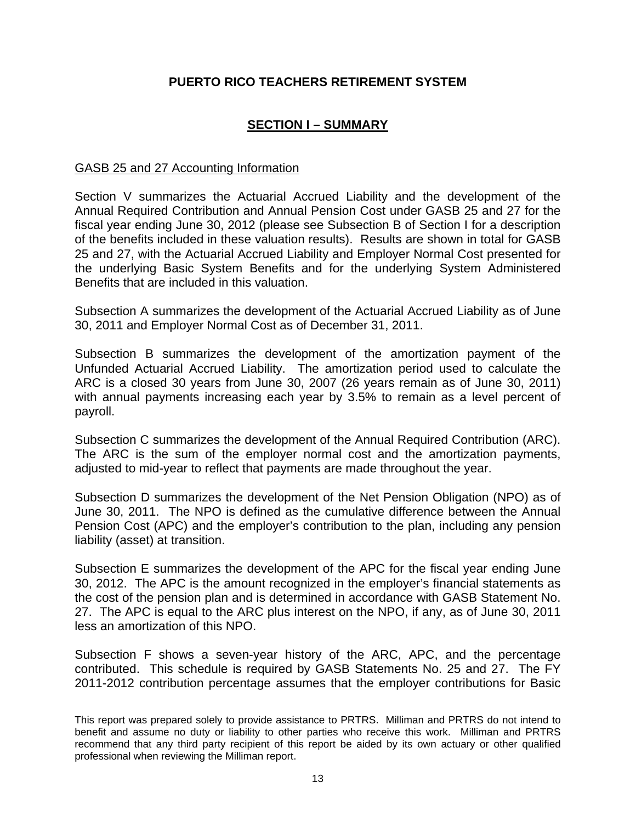# **SECTION I – SUMMARY**

## GASB 25 and 27 Accounting Information

Section V summarizes the Actuarial Accrued Liability and the development of the Annual Required Contribution and Annual Pension Cost under GASB 25 and 27 for the fiscal year ending June 30, 2012 (please see Subsection B of Section I for a description of the benefits included in these valuation results). Results are shown in total for GASB 25 and 27, with the Actuarial Accrued Liability and Employer Normal Cost presented for the underlying Basic System Benefits and for the underlying System Administered Benefits that are included in this valuation.

Subsection A summarizes the development of the Actuarial Accrued Liability as of June 30, 2011 and Employer Normal Cost as of December 31, 2011.

Subsection B summarizes the development of the amortization payment of the Unfunded Actuarial Accrued Liability. The amortization period used to calculate the ARC is a closed 30 years from June 30, 2007 (26 years remain as of June 30, 2011) with annual payments increasing each year by 3.5% to remain as a level percent of payroll.

Subsection C summarizes the development of the Annual Required Contribution (ARC). The ARC is the sum of the employer normal cost and the amortization payments, adjusted to mid-year to reflect that payments are made throughout the year.

Subsection D summarizes the development of the Net Pension Obligation (NPO) as of June 30, 2011. The NPO is defined as the cumulative difference between the Annual Pension Cost (APC) and the employer's contribution to the plan, including any pension liability (asset) at transition.

Subsection E summarizes the development of the APC for the fiscal year ending June 30, 2012. The APC is the amount recognized in the employer's financial statements as the cost of the pension plan and is determined in accordance with GASB Statement No. 27. The APC is equal to the ARC plus interest on the NPO, if any, as of June 30, 2011 less an amortization of this NPO.

Subsection F shows a seven-year history of the ARC, APC, and the percentage contributed. This schedule is required by GASB Statements No. 25 and 27. The FY 2011-2012 contribution percentage assumes that the employer contributions for Basic

This report was prepared solely to provide assistance to PRTRS. Milliman and PRTRS do not intend to benefit and assume no duty or liability to other parties who receive this work. Milliman and PRTRS recommend that any third party recipient of this report be aided by its own actuary or other qualified professional when reviewing the Milliman report.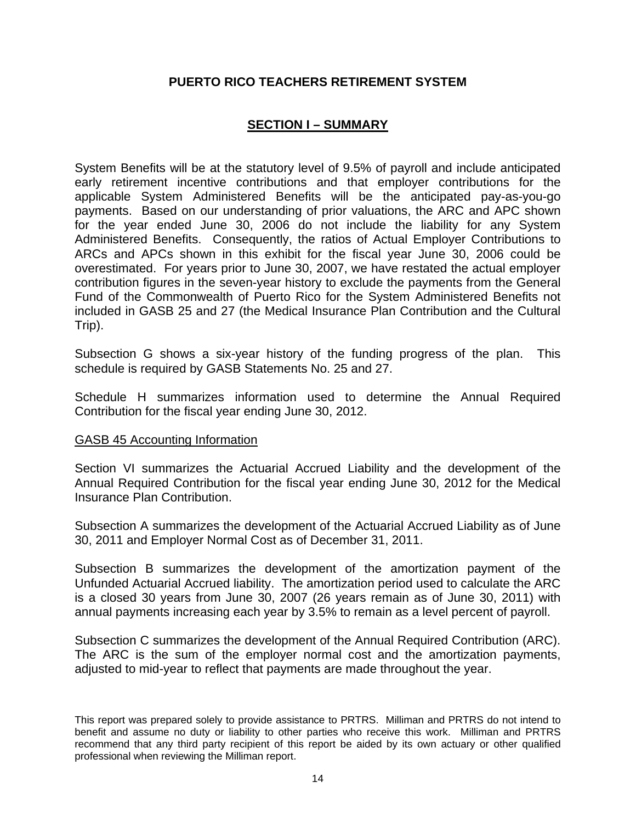# **SECTION I – SUMMARY**

System Benefits will be at the statutory level of 9.5% of payroll and include anticipated early retirement incentive contributions and that employer contributions for the applicable System Administered Benefits will be the anticipated pay-as-you-go payments. Based on our understanding of prior valuations, the ARC and APC shown for the year ended June 30, 2006 do not include the liability for any System Administered Benefits. Consequently, the ratios of Actual Employer Contributions to ARCs and APCs shown in this exhibit for the fiscal year June 30, 2006 could be overestimated. For years prior to June 30, 2007, we have restated the actual employer contribution figures in the seven-year history to exclude the payments from the General Fund of the Commonwealth of Puerto Rico for the System Administered Benefits not included in GASB 25 and 27 (the Medical Insurance Plan Contribution and the Cultural Trip).

Subsection G shows a six-year history of the funding progress of the plan. This schedule is required by GASB Statements No. 25 and 27.

Schedule H summarizes information used to determine the Annual Required Contribution for the fiscal year ending June 30, 2012.

#### GASB 45 Accounting Information

Section VI summarizes the Actuarial Accrued Liability and the development of the Annual Required Contribution for the fiscal year ending June 30, 2012 for the Medical Insurance Plan Contribution.

Subsection A summarizes the development of the Actuarial Accrued Liability as of June 30, 2011 and Employer Normal Cost as of December 31, 2011.

Subsection B summarizes the development of the amortization payment of the Unfunded Actuarial Accrued liability. The amortization period used to calculate the ARC is a closed 30 years from June 30, 2007 (26 years remain as of June 30, 2011) with annual payments increasing each year by 3.5% to remain as a level percent of payroll.

Subsection C summarizes the development of the Annual Required Contribution (ARC). The ARC is the sum of the employer normal cost and the amortization payments, adjusted to mid-year to reflect that payments are made throughout the year.

This report was prepared solely to provide assistance to PRTRS. Milliman and PRTRS do not intend to benefit and assume no duty or liability to other parties who receive this work. Milliman and PRTRS recommend that any third party recipient of this report be aided by its own actuary or other qualified professional when reviewing the Milliman report.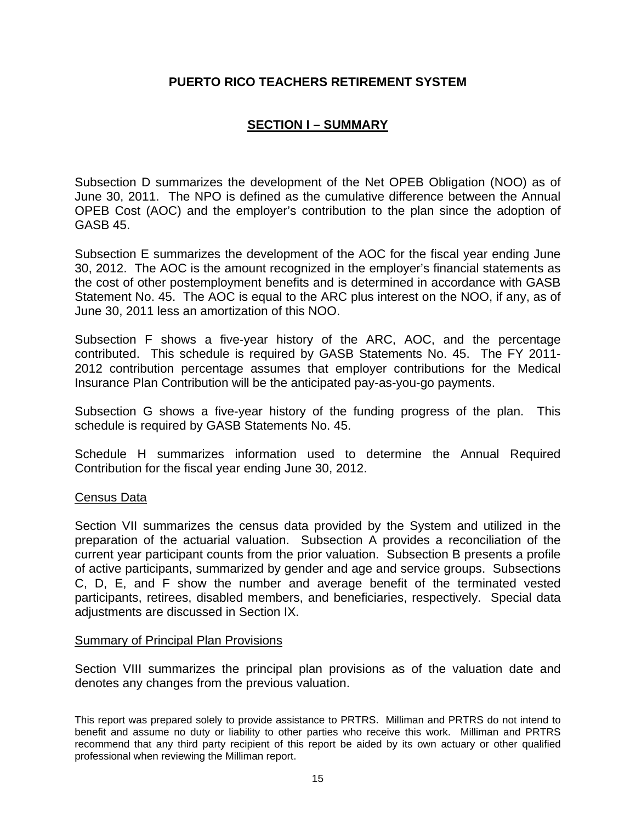# **SECTION I – SUMMARY**

Subsection D summarizes the development of the Net OPEB Obligation (NOO) as of June 30, 2011. The NPO is defined as the cumulative difference between the Annual OPEB Cost (AOC) and the employer's contribution to the plan since the adoption of GASB 45.

Subsection E summarizes the development of the AOC for the fiscal year ending June 30, 2012. The AOC is the amount recognized in the employer's financial statements as the cost of other postemployment benefits and is determined in accordance with GASB Statement No. 45. The AOC is equal to the ARC plus interest on the NOO, if any, as of June 30, 2011 less an amortization of this NOO.

Subsection F shows a five-year history of the ARC, AOC, and the percentage contributed. This schedule is required by GASB Statements No. 45. The FY 2011- 2012 contribution percentage assumes that employer contributions for the Medical Insurance Plan Contribution will be the anticipated pay-as-you-go payments.

Subsection G shows a five-year history of the funding progress of the plan. This schedule is required by GASB Statements No. 45.

Schedule H summarizes information used to determine the Annual Required Contribution for the fiscal year ending June 30, 2012.

#### Census Data

Section VII summarizes the census data provided by the System and utilized in the preparation of the actuarial valuation. Subsection A provides a reconciliation of the current year participant counts from the prior valuation. Subsection B presents a profile of active participants, summarized by gender and age and service groups. Subsections C, D, E, and F show the number and average benefit of the terminated vested participants, retirees, disabled members, and beneficiaries, respectively. Special data adjustments are discussed in Section IX.

#### Summary of Principal Plan Provisions

Section VIII summarizes the principal plan provisions as of the valuation date and denotes any changes from the previous valuation.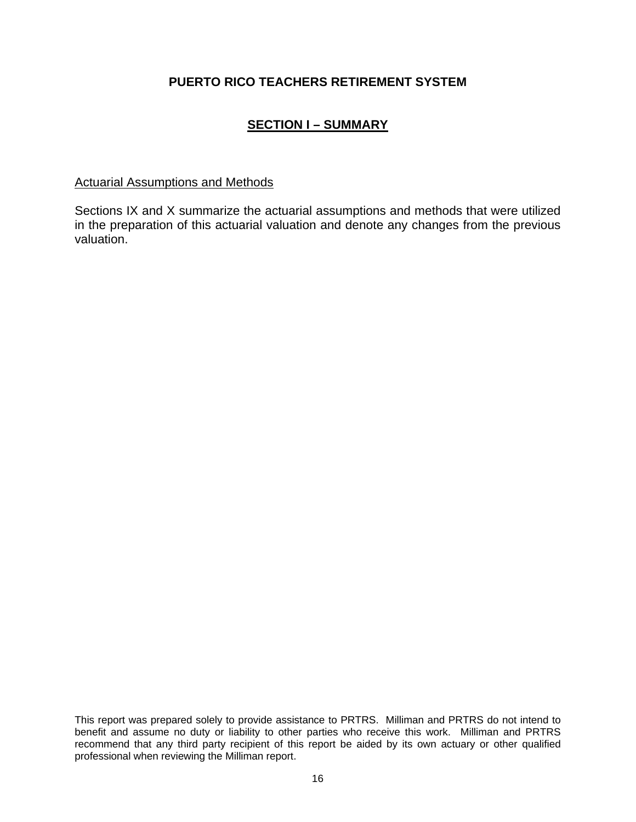# **SECTION I – SUMMARY**

## Actuarial Assumptions and Methods

Sections IX and X summarize the actuarial assumptions and methods that were utilized in the preparation of this actuarial valuation and denote any changes from the previous valuation.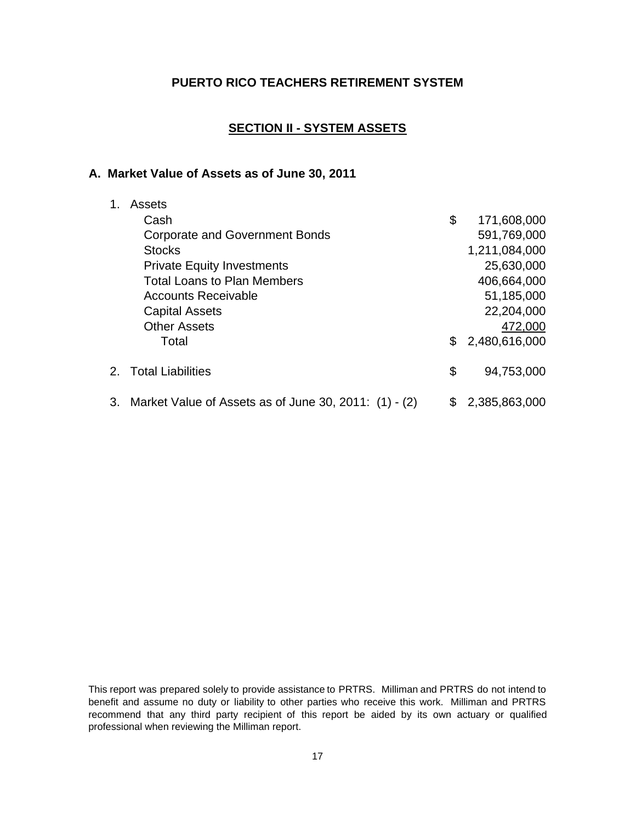# **SECTION II - SYSTEM ASSETS**

#### **A. Market Value of Assets as of June 30, 2011**

| 1. | Assets                                                   |     |               |
|----|----------------------------------------------------------|-----|---------------|
|    | Cash                                                     | \$  | 171,608,000   |
|    | <b>Corporate and Government Bonds</b>                    |     | 591,769,000   |
|    | <b>Stocks</b>                                            |     | 1,211,084,000 |
|    | <b>Private Equity Investments</b>                        |     | 25,630,000    |
|    | <b>Total Loans to Plan Members</b>                       |     | 406,664,000   |
|    | <b>Accounts Receivable</b>                               |     | 51,185,000    |
|    | <b>Capital Assets</b>                                    |     | 22,204,000    |
|    | <b>Other Assets</b>                                      |     | 472,000       |
|    | Total                                                    | \$. | 2,480,616,000 |
|    | 2. Total Liabilities                                     | \$  | 94,753,000    |
|    | 3. Market Value of Assets as of June 30, 2011: (1) - (2) | \$  | 2,385,863,000 |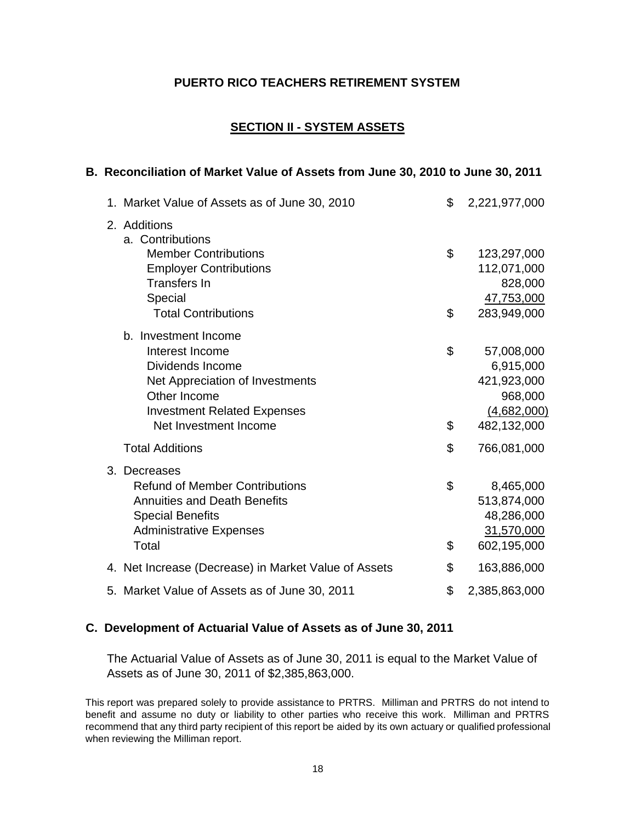# **SECTION II - SYSTEM ASSETS**

#### **B. Reconciliation of Market Value of Assets from June 30, 2010 to June 30, 2011**

| 1. Market Value of Assets as of June 30, 2010        | \$<br>2,221,977,000 |
|------------------------------------------------------|---------------------|
| 2. Additions<br>a. Contributions                     |                     |
| <b>Member Contributions</b>                          | \$<br>123,297,000   |
| <b>Employer Contributions</b>                        | 112,071,000         |
| <b>Transfers In</b>                                  | 828,000             |
| Special                                              | 47,753,000          |
| <b>Total Contributions</b>                           | \$<br>283,949,000   |
| b. Investment Income                                 |                     |
| Interest Income                                      | \$<br>57,008,000    |
| Dividends Income                                     | 6,915,000           |
| Net Appreciation of Investments                      | 421,923,000         |
| Other Income                                         | 968,000             |
| <b>Investment Related Expenses</b>                   | (4,682,000)         |
| Net Investment Income                                | \$<br>482,132,000   |
| <b>Total Additions</b>                               | \$<br>766,081,000   |
| 3. Decreases                                         |                     |
| <b>Refund of Member Contributions</b>                | \$<br>8,465,000     |
| <b>Annuities and Death Benefits</b>                  | 513,874,000         |
| <b>Special Benefits</b>                              | 48,286,000          |
| <b>Administrative Expenses</b>                       | 31,570,000          |
| Total                                                | \$<br>602,195,000   |
| 4. Net Increase (Decrease) in Market Value of Assets | \$<br>163,886,000   |
| 5. Market Value of Assets as of June 30, 2011        | \$<br>2,385,863,000 |

#### **C. Development of Actuarial Value of Assets as of June 30, 2011**

The Actuarial Value of Assets as of June 30, 2011 is equal to the Market Value of Assets as of June 30, 2011 of \$2,385,863,000.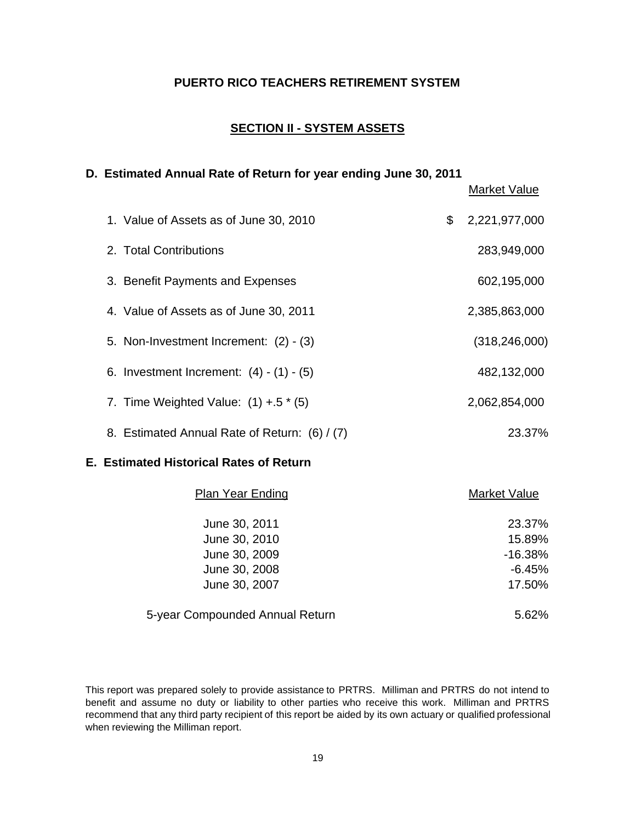## **SECTION II - SYSTEM ASSETS**

#### **D. Estimated Annual Rate of Return for year ending June 30, 2011**

Market Value 1. Value of Assets as of June 30, 2010  $$2,221,977,000$ 2. Total Contributions 283,949,000 3. Benefit Payments and Expenses 602,195,000 4. Value of Assets as of June 30, 2011 2,385,863,000 5. Non-Investment Increment: (2) - (3) (318,246,000) 6. Investment Increment: (4) - (1) - (5) 482,132,000 7. Time Weighted Value: (1) +.5  $*$  (5) 2,062,854,000 8. Estimated Annual Rate of Return: (6) / (7) 23.37%

#### **E. Estimated Historical Rates of Return**

| <b>Plan Year Ending</b>         | <b>Market Value</b> |
|---------------------------------|---------------------|
| June 30, 2011                   | 23.37%              |
| June 30, 2010                   | 15.89%              |
| June 30, 2009                   | $-16.38%$           |
| June 30, 2008                   | $-6.45%$            |
| June 30, 2007                   | 17.50%              |
| 5-year Compounded Annual Return | $5.62\%$            |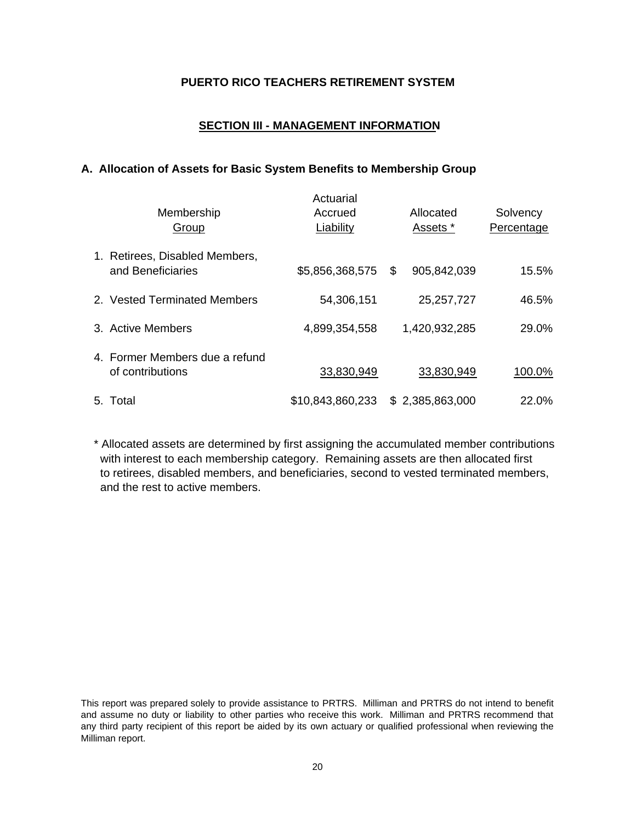## **SECTION III - MANAGEMENT INFORMATION**

#### **A. Allocation of Assets for Basic System Benefits to Membership Group**

| Membership<br>Group                                 | Actuarial<br>Accrued<br>Liability | Allocated<br>Assets * | Solvency<br>Percentage |
|-----------------------------------------------------|-----------------------------------|-----------------------|------------------------|
| 1. Retirees, Disabled Members,<br>and Beneficiaries | \$5,856,368,575                   | \$<br>905,842,039     | 15.5%                  |
| 2. Vested Terminated Members                        | 54,306,151                        | 25, 257, 727          | 46.5%                  |
| 3. Active Members                                   | 4,899,354,558                     | 1,420,932,285         | 29.0%                  |
| 4. Former Members due a refund<br>of contributions  | 33,830,949                        | 33,830,949            | 100.0%                 |
| 5. Total                                            | \$10,843,860,233                  | \$2,385,863,000       | 22.0%                  |

\* Allocated assets are determined by first assigning the accumulated member contributions with interest to each membership category. Remaining assets are then allocated first to retirees, disabled members, and beneficiaries, second to vested terminated members, and the rest to active members.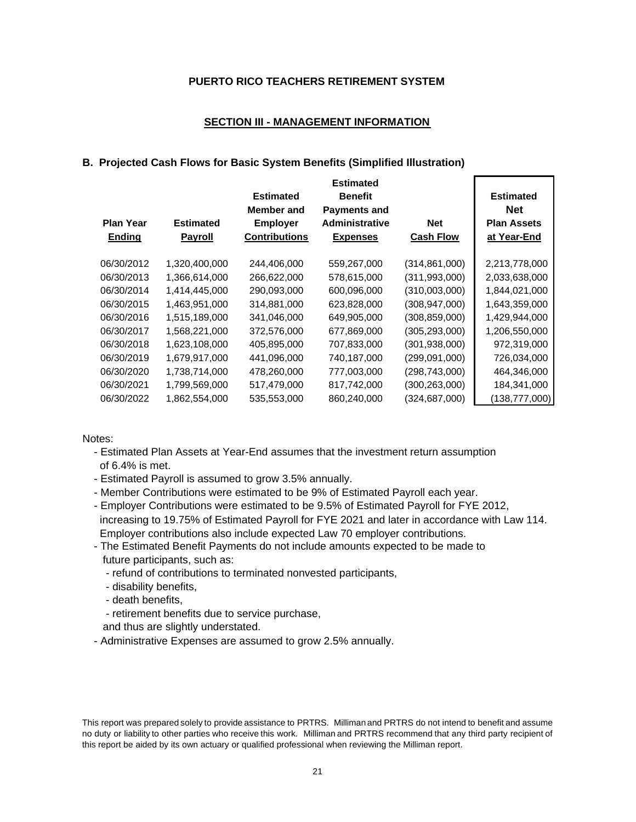#### **SECTION III - MANAGEMENT INFORMATION**

#### **B. Projected Cash Flows for Basic System Benefits (Simplified Illustration)**

| <b>Plan Year</b><br>Ending | <b>Estimated</b><br><b>Payroll</b> | <b>Estimated</b><br>Member and<br><b>Employer</b><br><b>Contributions</b> | <b>Estimated</b><br><b>Benefit</b><br><b>Payments and</b><br><b>Administrative</b><br><b>Expenses</b> | <b>Net</b><br><b>Cash Flow</b> | <b>Estimated</b><br><b>Net</b><br><b>Plan Assets</b><br>at Year-End |
|----------------------------|------------------------------------|---------------------------------------------------------------------------|-------------------------------------------------------------------------------------------------------|--------------------------------|---------------------------------------------------------------------|
| 06/30/2012                 | 1,320,400,000                      | 244,406,000                                                               | 559,267,000                                                                                           | (314, 861, 000)                | 2,213,778,000                                                       |
| 06/30/2013                 | 1,366,614,000                      | 266,622,000                                                               | 578,615,000                                                                                           | (311, 993, 000)                | 2,033,638,000                                                       |
| 06/30/2014                 | 1,414,445,000                      | 290,093,000                                                               | 600,096,000                                                                                           | (310,003,000)                  | 1,844,021,000                                                       |
| 06/30/2015                 | 1,463,951,000                      | 314,881,000                                                               | 623,828,000                                                                                           | (308, 947, 000)                | 1,643,359,000                                                       |
| 06/30/2016                 | 1,515,189,000                      | 341,046,000                                                               | 649,905,000                                                                                           | (308, 859, 000)                | 1,429,944,000                                                       |
| 06/30/2017                 | 1,568,221,000                      | 372,576,000                                                               | 677,869,000                                                                                           | (305, 293, 000)                | 1,206,550,000                                                       |
| 06/30/2018                 | 1,623,108,000                      | 405,895,000                                                               | 707,833,000                                                                                           | (301, 938, 000)                | 972,319,000                                                         |
| 06/30/2019                 | 1,679,917,000                      | 441,096,000                                                               | 740,187,000                                                                                           | (299,091,000)                  | 726,034,000                                                         |
| 06/30/2020                 | 1,738,714,000                      | 478,260,000                                                               | 777,003,000                                                                                           | (298, 743, 000)                | 464,346,000                                                         |
| 06/30/2021                 | 1,799,569,000                      | 517,479,000                                                               | 817,742,000                                                                                           | (300, 263, 000)                | 184,341,000                                                         |
| 06/30/2022                 | 1,862,554,000                      | 535,553,000                                                               | 860,240,000                                                                                           | (324, 687, 000)                | (138, 777, 000)                                                     |

Notes:

- Estimated Plan Assets at Year-End assumes that the investment return assumption of 6.4% is met.
- Estimated Payroll is assumed to grow 3.5% annually.
- Member Contributions were estimated to be 9% of Estimated Payroll each year.
- Employer Contributions were estimated to be 9.5% of Estimated Payroll for FYE 2012, increasing to 19.75% of Estimated Payroll for FYE 2021 and later in accordance with Law 114. Employer contributions also include expected Law 70 employer contributions.
- The Estimated Benefit Payments do not include amounts expected to be made to future participants, such as:
	- refund of contributions to terminated nonvested participants,
	- disability benefits,
	- death benefits,
	- retirement benefits due to service purchase,
	- and thus are slightly understated.
- Administrative Expenses are assumed to grow 2.5% annually.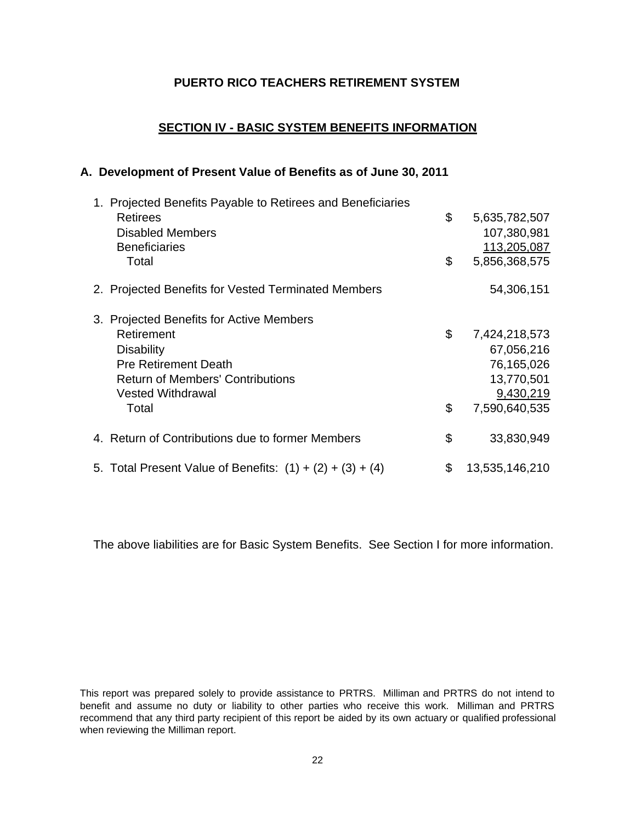## **SECTION IV - BASIC SYSTEM BENEFITS INFORMATION**

#### **A. Development of Present Value of Benefits as of June 30, 2011**

| 1. Projected Benefits Payable to Retirees and Beneficiaries |                      |
|-------------------------------------------------------------|----------------------|
| Retirees                                                    | \$<br>5,635,782,507  |
| <b>Disabled Members</b>                                     | 107,380,981          |
| <b>Beneficiaries</b>                                        | 113,205,087          |
| Total                                                       | \$<br>5,856,368,575  |
| 2. Projected Benefits for Vested Terminated Members         | 54,306,151           |
| 3. Projected Benefits for Active Members                    |                      |
| Retirement                                                  | \$<br>7,424,218,573  |
| <b>Disability</b>                                           | 67,056,216           |
| <b>Pre Retirement Death</b>                                 | 76,165,026           |
| <b>Return of Members' Contributions</b>                     | 13,770,501           |
| <b>Vested Withdrawal</b>                                    | 9,430,219            |
| Total                                                       | \$<br>7,590,640,535  |
| 4. Return of Contributions due to former Members            | \$<br>33,830,949     |
| 5. Total Present Value of Benefits: $(1) + (2) + (3) + (4)$ | \$<br>13,535,146,210 |

The above liabilities are for Basic System Benefits. See Section I for more information.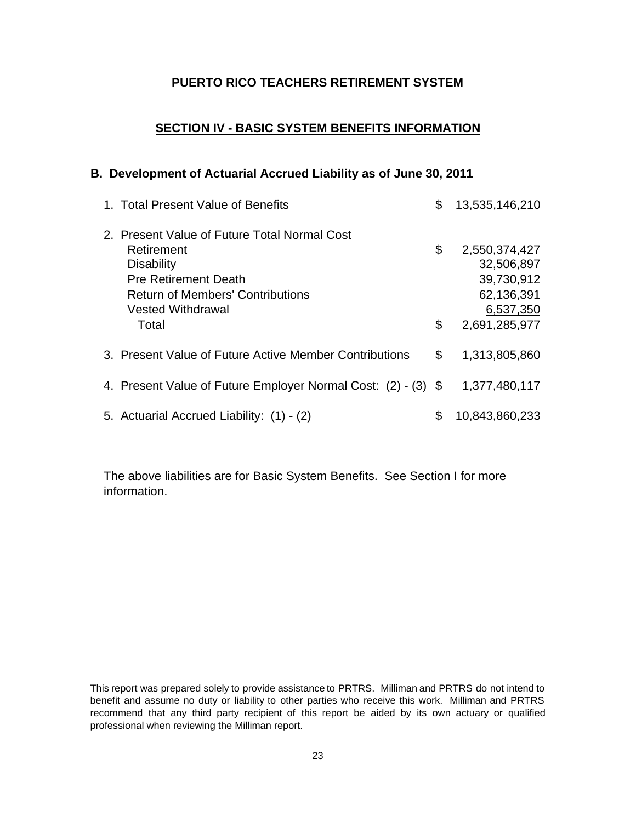## **SECTION IV - BASIC SYSTEM BENEFITS INFORMATION**

#### **B. Development of Actuarial Accrued Liability as of June 30, 2011**

| 1. Total Present Value of Benefits                                                                                                                                                             | \$       | 13,535,146,210                                                                        |
|------------------------------------------------------------------------------------------------------------------------------------------------------------------------------------------------|----------|---------------------------------------------------------------------------------------|
| 2. Present Value of Future Total Normal Cost<br>Retirement<br><b>Disability</b><br><b>Pre Retirement Death</b><br><b>Return of Members' Contributions</b><br><b>Vested Withdrawal</b><br>Total | \$<br>\$ | 2,550,374,427<br>32,506,897<br>39,730,912<br>62,136,391<br>6,537,350<br>2,691,285,977 |
| 3. Present Value of Future Active Member Contributions                                                                                                                                         | \$       | 1,313,805,860                                                                         |
| 4. Present Value of Future Employer Normal Cost: (2) - (3) \$                                                                                                                                  |          | 1,377,480,117                                                                         |
| 5. Actuarial Accrued Liability: (1) - (2)                                                                                                                                                      | \$       | 10,843,860,233                                                                        |

The above liabilities are for Basic System Benefits. See Section I for more information.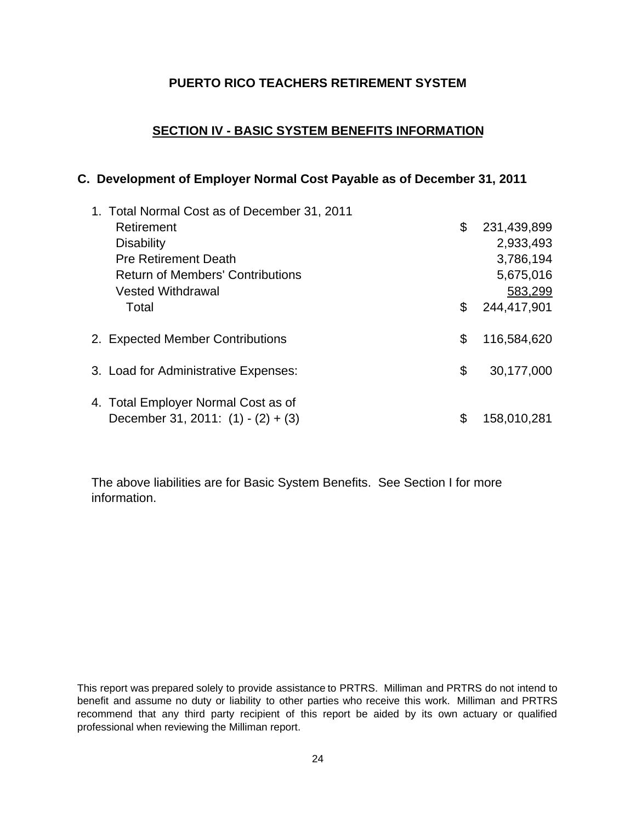# **SECTION IV - BASIC SYSTEM BENEFITS INFORMATION**

# **C. Development of Employer Normal Cost Payable as of December 31, 2011**

| 1. Total Normal Cost as of December 31, 2011 |                   |
|----------------------------------------------|-------------------|
| Retirement                                   | \$<br>231,439,899 |
| <b>Disability</b>                            | 2,933,493         |
| <b>Pre Retirement Death</b>                  | 3,786,194         |
| <b>Return of Members' Contributions</b>      | 5,675,016         |
| <b>Vested Withdrawal</b>                     | 583,299           |
| Total                                        | \$<br>244,417,901 |
| 2. Expected Member Contributions             | \$<br>116,584,620 |
| 3. Load for Administrative Expenses:         | \$<br>30,177,000  |
| 4. Total Employer Normal Cost as of          |                   |
| December 31, 2011: $(1) - (2) + (3)$         | \$<br>158,010,281 |

The above liabilities are for Basic System Benefits. See Section I for more information.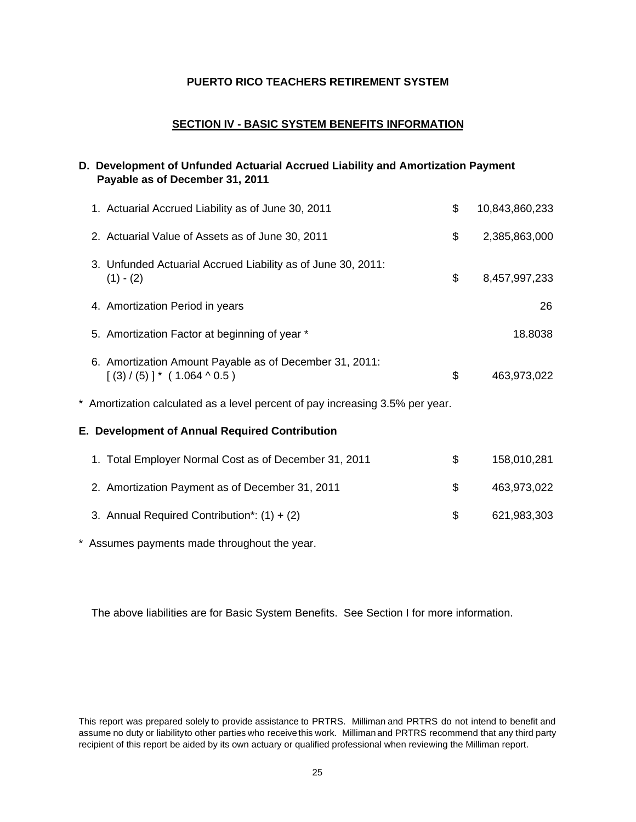#### **SECTION IV - BASIC SYSTEM BENEFITS INFORMATION**

#### **D. Development of Unfunded Actuarial Accrued Liability and Amortization Payment Payable as of December 31, 2011**

| 1. Actuarial Accrued Liability as of June 30, 2011                                       | \$<br>10,843,860,233 |
|------------------------------------------------------------------------------------------|----------------------|
| 2. Actuarial Value of Assets as of June 30, 2011                                         | \$<br>2,385,863,000  |
| 3. Unfunded Actuarial Accrued Liability as of June 30, 2011:<br>$(1) - (2)$              | \$<br>8,457,997,233  |
| 4. Amortization Period in years                                                          | 26                   |
| 5. Amortization Factor at beginning of year *                                            | 18.8038              |
| 6. Amortization Amount Payable as of December 31, 2011:<br>$[(3) / (5)]$ * (1.064 ^ 0.5) | \$<br>463,973,022    |
| * Amortization calculated as a level percent of pay increasing 3.5% per year.            |                      |
| E. Development of Annual Required Contribution                                           |                      |
| 1. Total Employer Normal Cost as of December 31, 2011                                    | \$<br>158,010,281    |
| 2. Amortization Payment as of December 31, 2011                                          | \$<br>463,973,022    |
| 3. Annual Required Contribution*: $(1) + (2)$                                            | \$<br>621,983,303    |

\* Assumes payments made throughout the year.

The above liabilities are for Basic System Benefits. See Section I for more information.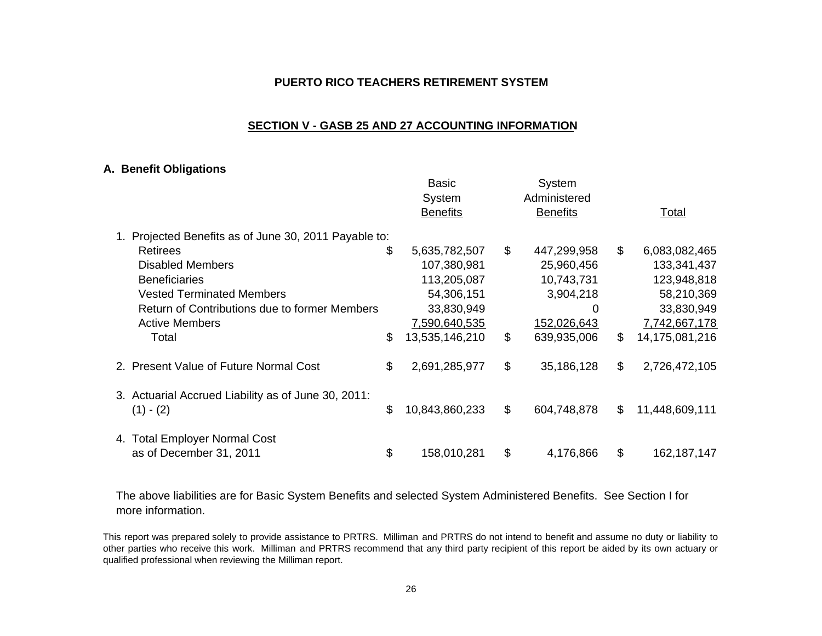#### **SECTION V - GASB 25 AND 27 ACCOUNTING INFORMATION**

#### **A. Benefit Obligations**

|                                                     | Basic<br>System<br><b>Benefits</b> |                | System<br>Administered<br><b>Benefits</b> |                | Total          |
|-----------------------------------------------------|------------------------------------|----------------|-------------------------------------------|----------------|----------------|
| Projected Benefits as of June 30, 2011 Payable to:  |                                    |                |                                           |                |                |
| Retirees                                            | \$<br>5,635,782,507                | $\mathfrak{S}$ | 447,299,958                               | \$             | 6,083,082,465  |
| Disabled Members                                    | 107,380,981                        |                | 25,960,456                                |                | 133,341,437    |
| <b>Beneficiaries</b>                                | 113,205,087                        |                | 10,743,731                                |                | 123,948,818    |
| <b>Vested Terminated Members</b>                    | 54,306,151                         |                | 3,904,218                                 |                | 58,210,369     |
| Return of Contributions due to former Members       | 33,830,949                         |                | 0                                         |                | 33,830,949     |
| <b>Active Members</b>                               | 7,590,640,535                      |                | 152,026,643                               |                | 7,742,667,178  |
| Total                                               | \$<br>13,535,146,210               | \$             | 639,935,006                               | \$             | 14,175,081,216 |
| 2. Present Value of Future Normal Cost              | \$<br>2,691,285,977                | \$             | 35,186,128                                | $\mathfrak{S}$ | 2,726,472,105  |
| 3. Actuarial Accrued Liability as of June 30, 2011: |                                    |                |                                           |                |                |
| $(1) - (2)$                                         | \$<br>10,843,860,233               | \$             | 604,748,878                               | \$             | 11,448,609,111 |
| 4. Total Employer Normal Cost                       |                                    |                |                                           |                |                |
| as of December 31, 2011                             | \$<br>158,010,281                  | \$             | 4,176,866                                 | \$             | 162,187,147    |

The above liabilities are for Basic System Benefits and selected System Administered Benefits. See Section I for more information.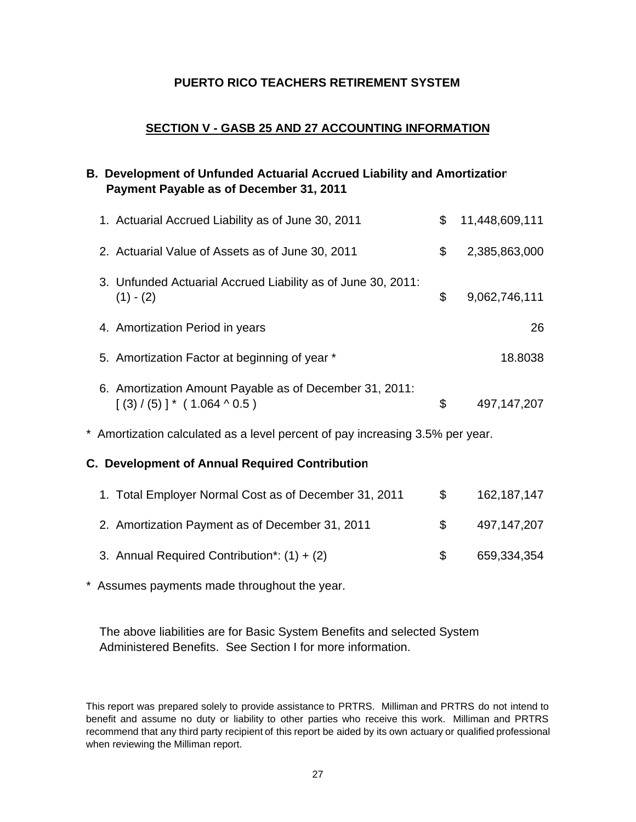# **SECTION V - GASB 25 AND 27 ACCOUNTING INFORMATION**

# **B. Development of Unfunded Actuarial Accrued Liability and Amortization Payment Payable as of December 31, 2011**

| 1. Actuarial Accrued Liability as of June 30, 2011                                           | \$<br>11,448,609,111 |
|----------------------------------------------------------------------------------------------|----------------------|
| 2. Actuarial Value of Assets as of June 30, 2011                                             | \$<br>2,385,863,000  |
| 3. Unfunded Actuarial Accrued Liability as of June 30, 2011:<br>$(1) - (2)$                  | \$<br>9,062,746,111  |
| 4. Amortization Period in years                                                              | 26                   |
| 5. Amortization Factor at beginning of year *                                                | 18.8038              |
| 6. Amortization Amount Payable as of December 31, 2011:<br>$[(3) / (5)]^* (1.064 \land 0.5)$ | \$<br>497, 147, 207  |
| * Amortization calculated as a level percent of pay increasing 3.5% per year.                |                      |

#### **C. Development of Annual Required Contribution**

| 1. Total Employer Normal Cost as of December 31, 2011 | $\mathcal{S}$ | 162,187,147 |
|-------------------------------------------------------|---------------|-------------|
| 2. Amortization Payment as of December 31, 2011       |               | 497.147.207 |
| 3. Annual Required Contribution*: $(1) + (2)$         | SS.           | 659,334,354 |

\* Assumes payments made throughout the year.

The above liabilities are for Basic System Benefits and selected System Administered Benefits. See Section I for more information.

This report was prepared solely to provide assistance to PRTRS. Milliman and PRTRS do not intend to benefit and assume no duty or liability to other parties who receive this work. Milliman and PRTRS recommend that any third party recipient of this report be aided by its own actuary or qualified professional when reviewing the Milliman report.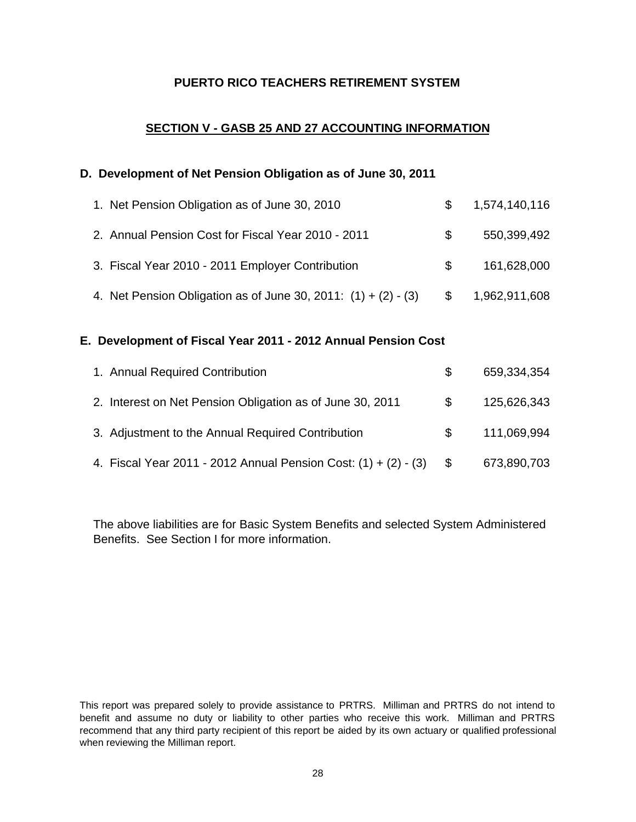# **SECTION V - GASB 25 AND 27 ACCOUNTING INFORMATION**

### **D. Development of Net Pension Obligation as of June 30, 2011**

| 1. Net Pension Obligation as of June 30, 2010                    |     | 1,574,140,116 |
|------------------------------------------------------------------|-----|---------------|
| 2. Annual Pension Cost for Fiscal Year 2010 - 2011               |     | 550,399,492   |
| 3. Fiscal Year 2010 - 2011 Employer Contribution                 | SS. | 161,628,000   |
| 4. Net Pension Obligation as of June 30, 2011: $(1) + (2) - (3)$ | \$  | 1,962,911,608 |

#### **E. Development of Fiscal Year 2011 - 2012 Annual Pension Cost**

| 1. Annual Required Contribution                                   |     | 659,334,354 |
|-------------------------------------------------------------------|-----|-------------|
| 2. Interest on Net Pension Obligation as of June 30, 2011         | S.  | 125,626,343 |
| 3. Adjustment to the Annual Required Contribution                 | SS. | 111,069,994 |
| 4. Fiscal Year 2011 - 2012 Annual Pension Cost: $(1) + (2) - (3)$ |     | 673,890,703 |

The above liabilities are for Basic System Benefits and selected System Administered Benefits. See Section I for more information.

This report was prepared solely to provide assistance to PRTRS. Milliman and PRTRS do not intend to benefit and assume no duty or liability to other parties who receive this work. Milliman and PRTRS recommend that any third party recipient of this report be aided by its own actuary or qualified professional when reviewing the Milliman report.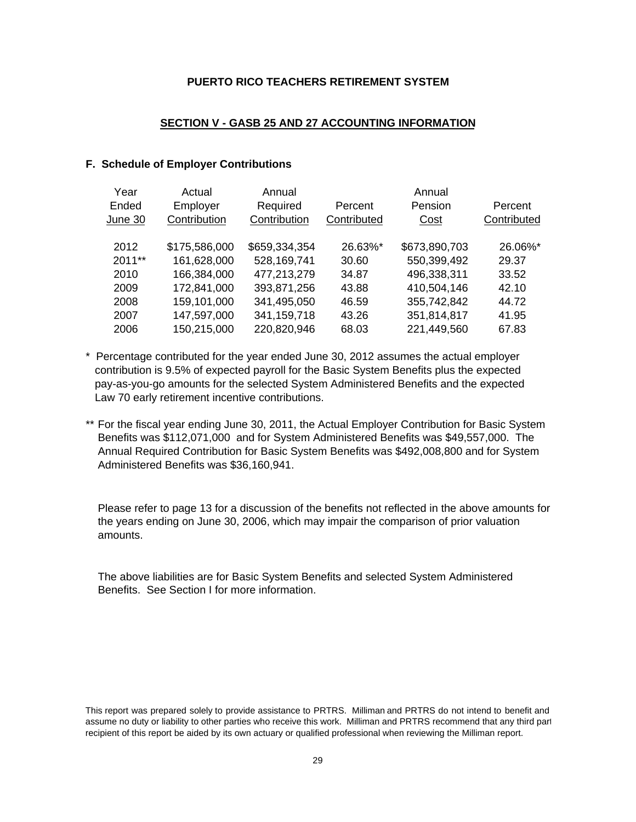#### **SECTION V - GASB 25 AND 27 ACCOUNTING INFORMATION**

#### **F. Schedule of Employer Contributions**

| Year    | Actual        | Annual        |             | Annual        |             |
|---------|---------------|---------------|-------------|---------------|-------------|
| Ended   | Employer      | Required      | Percent     | Pension       | Percent     |
| June 30 | Contribution  | Contribution  | Contributed | Cost          | Contributed |
|         |               |               |             |               |             |
| 2012    | \$175,586,000 | \$659,334,354 | 26.63%*     | \$673,890,703 | 26.06%*     |
| 2011**  | 161,628,000   | 528,169,741   | 30.60       | 550,399,492   | 29.37       |
| 2010    | 166,384,000   | 477,213,279   | 34.87       | 496,338,311   | 33.52       |
| 2009    | 172,841,000   | 393,871,256   | 43.88       | 410,504,146   | 42.10       |
| 2008    | 159,101,000   | 341,495,050   | 46.59       | 355,742,842   | 44.72       |
| 2007    | 147,597,000   | 341,159,718   | 43.26       | 351,814,817   | 41.95       |
| 2006    | 150,215,000   | 220,820,946   | 68.03       | 221,449,560   | 67.83       |

- \* Percentage contributed for the year ended June 30, 2012 assumes the actual employer contribution is 9.5% of expected payroll for the Basic System Benefits plus the expected pay-as-you-go amounts for the selected System Administered Benefits and the expected Law 70 early retirement incentive contributions.
- \*\* For the fiscal year ending June 30, 2011, the Actual Employer Contribution for Basic System Benefits was \$112,071,000 and for System Administered Benefits was \$49,557,000. The Annual Required Contribution for Basic System Benefits was \$492,008,800 and for System Administered Benefits was \$36,160,941.

Please refer to page 13 for a discussion of the benefits not reflected in the above amounts for the years ending on June 30, 2006, which may impair the comparison of prior valuation amounts.

The above liabilities are for Basic System Benefits and selected System Administered Benefits. See Section I for more information.

This report was prepared solely to provide assistance to PRTRS. Milliman and PRTRS do not intend to benefit and assume no duty or liability to other parties who receive this work. Milliman and PRTRS recommend that any third part recipient of this report be aided by its own actuary or qualified professional when reviewing the Milliman report.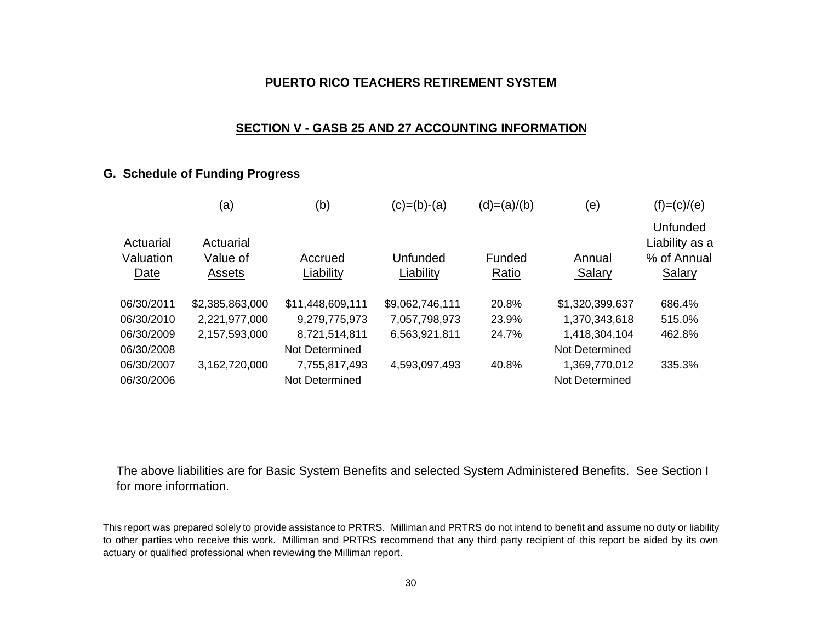#### **SECTION V - GASB 25 AND 27 ACCOUNTING INFORMATION**

# **G. Schedule of Funding Progress**

| (a)<br>(b)                                                                                       | $(c)=(b)-(a)$         | $(d)=(a)/(b)$   | (e)              | $(f)=(c)/(e)$                                                     |
|--------------------------------------------------------------------------------------------------|-----------------------|-----------------|------------------|-------------------------------------------------------------------|
| Actuarial<br>Actuarial<br>Valuation<br>Value of<br>Accrued<br>Liability<br>Date<br><b>Assets</b> | Unfunded<br>Liability | Funded<br>Ratio | Annual<br>Salary | <b>Unfunded</b><br>Liability as a<br>% of Annual<br><b>Salary</b> |
| \$2,385,863,000<br>06/30/2011<br>\$11,448,609,111                                                | \$9,062,746,111       | 20.8%           | \$1,320,399,637  | 686.4%                                                            |
| 06/30/2010<br>2,221,977,000<br>9,279,775,973                                                     | 7,057,798,973         | 23.9%           | 1,370,343,618    | 515.0%                                                            |
| 06/30/2009<br>2,157,593,000<br>8,721,514,811                                                     | 6,563,921,811         | 24.7%           | 1,418,304,104    | 462.8%                                                            |
| 06/30/2008<br>Not Determined                                                                     |                       |                 | Not Determined   |                                                                   |
| 06/30/2007<br>3,162,720,000<br>7,755,817,493                                                     | 4,593,097,493         | 40.8%           | 1,369,770,012    | 335.3%                                                            |
| 06/30/2006<br>Not Determined                                                                     |                       |                 | Not Determined   |                                                                   |

The above liabilities are for Basic System Benefits and selected System Administered Benefits. See Section I for more information.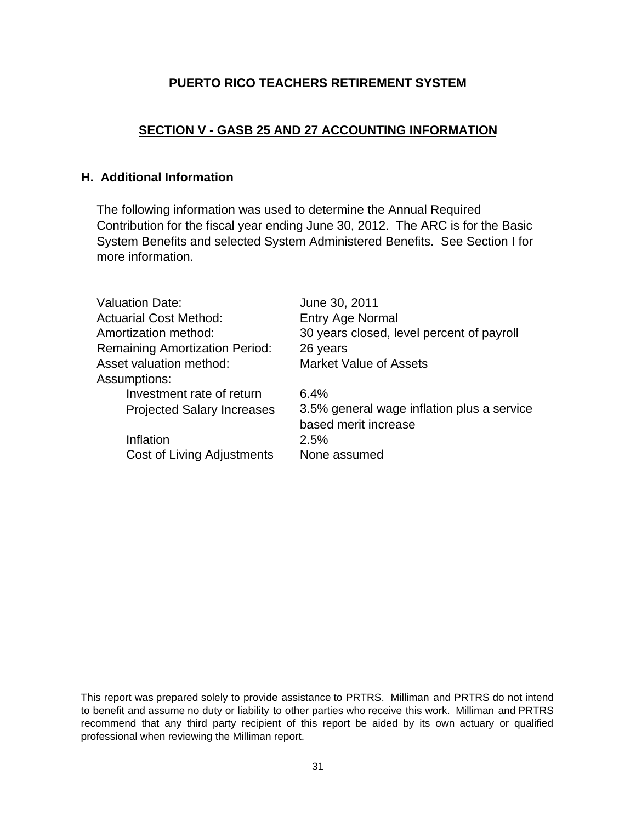# **SECTION V - GASB 25 AND 27 ACCOUNTING INFORMATION**

# **H. Additional Information**

The following information was used to determine the Annual Required Contribution for the fiscal year ending June 30, 2012. The ARC is for the Basic System Benefits and selected System Administered Benefits. See Section I for more information.

| <b>Valuation Date:</b>                | June 30, 2011                                                      |
|---------------------------------------|--------------------------------------------------------------------|
| <b>Actuarial Cost Method:</b>         | Entry Age Normal                                                   |
| Amortization method:                  | 30 years closed, level percent of payroll                          |
| <b>Remaining Amortization Period:</b> | 26 years                                                           |
| Asset valuation method:               | <b>Market Value of Assets</b>                                      |
| Assumptions:                          |                                                                    |
| Investment rate of return             | 6.4%                                                               |
| <b>Projected Salary Increases</b>     | 3.5% general wage inflation plus a service<br>based merit increase |
| Inflation                             | 2.5%                                                               |
| Cost of Living Adjustments            | None assumed                                                       |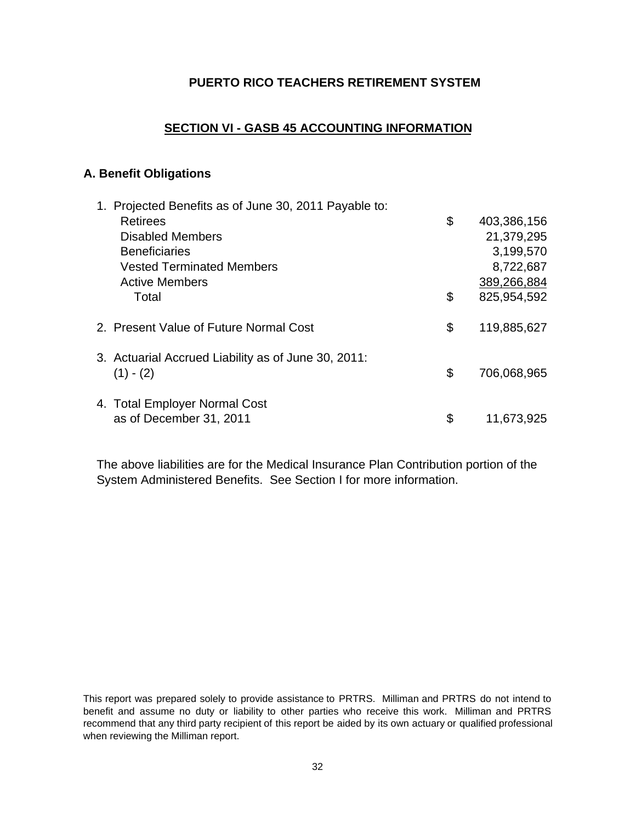# **SECTION VI - GASB 45 ACCOUNTING INFORMATION**

## **A. Benefit Obligations**

| 1. Projected Benefits as of June 30, 2011 Payable to: |                   |
|-------------------------------------------------------|-------------------|
| <b>Retirees</b>                                       | \$<br>403,386,156 |
| <b>Disabled Members</b>                               | 21,379,295        |
| <b>Beneficiaries</b>                                  | 3,199,570         |
| <b>Vested Terminated Members</b>                      | 8,722,687         |
| <b>Active Members</b>                                 | 389,266,884       |
| Total                                                 | \$<br>825,954,592 |
| 2. Present Value of Future Normal Cost                | \$<br>119,885,627 |
| 3. Actuarial Accrued Liability as of June 30, 2011:   |                   |
| $(1) - (2)$                                           | \$<br>706,068,965 |
| 4. Total Employer Normal Cost                         |                   |
| as of December 31, 2011                               | \$<br>11,673,925  |
|                                                       |                   |

The above liabilities are for the Medical Insurance Plan Contribution portion of the System Administered Benefits. See Section I for more information.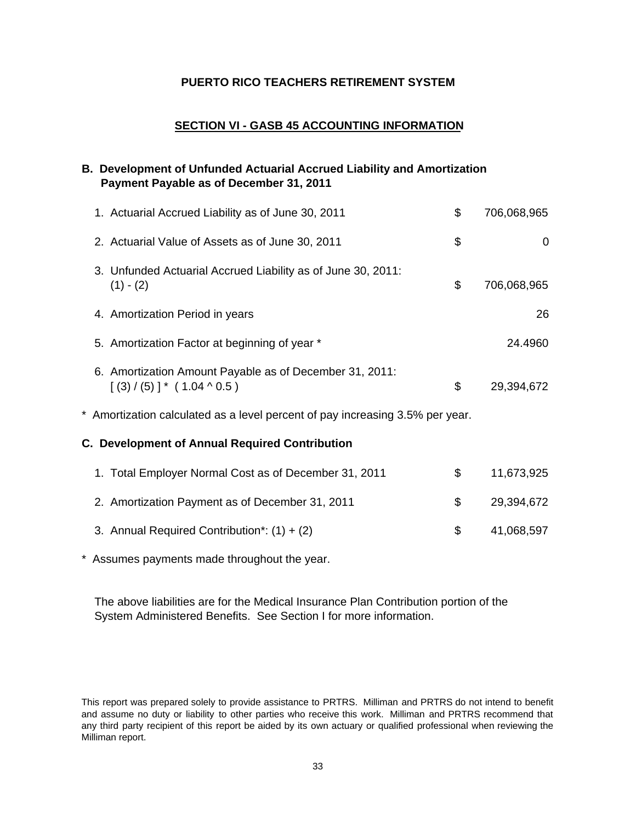## **SECTION VI - GASB 45 ACCOUNTING INFORMATION**

## **B. Development of Unfunded Actuarial Accrued Liability and Amortization Payment Payable as of December 31, 2011**

| 1. Actuarial Accrued Liability as of June 30, 2011                                            | \$<br>706,068,965 |
|-----------------------------------------------------------------------------------------------|-------------------|
| 2. Actuarial Value of Assets as of June 30, 2011                                              | \$<br>0           |
| 3. Unfunded Actuarial Accrued Liability as of June 30, 2011:<br>$(1) - (2)$                   | \$<br>706,068,965 |
| 4. Amortization Period in years                                                               | 26                |
| 5. Amortization Factor at beginning of year *                                                 | 24.4960           |
| 6. Amortization Amount Payable as of December 31, 2011:<br>$[(3) / (5)]$ * $(1.04 \land 0.5)$ | \$<br>29,394,672  |
| * Amortization calculated as a level percent of pay increasing 3.5% per year.                 |                   |
| C. Development of Annual Required Contribution                                                |                   |
| 1. Total Employer Normal Cost as of December 31, 2011                                         | \$<br>11,673,925  |
| 2. Amortization Payment as of December 31, 2011                                               | \$<br>29,394,672  |
| 3. Annual Required Contribution*: $(1) + (2)$                                                 | \$<br>41,068,597  |

\* Assumes payments made throughout the year.

The above liabilities are for the Medical Insurance Plan Contribution portion of the System Administered Benefits. See Section I for more information.

This report was prepared solely to provide assistance to PRTRS. Milliman and PRTRS do not intend to benefit and assume no duty or liability to other parties who receive this work. Milliman and PRTRS recommend that any third party recipient of this report be aided by its own actuary or qualified professional when reviewing the Milliman report.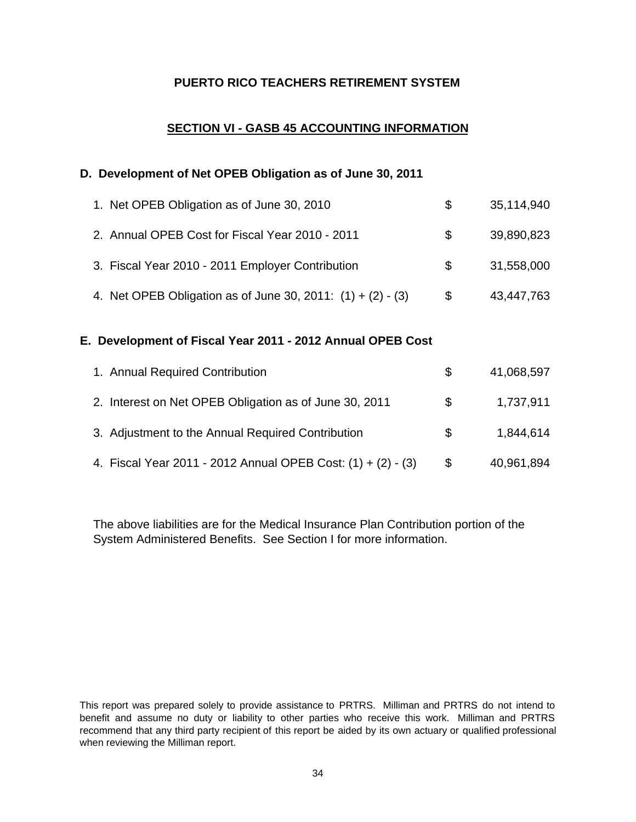# **SECTION VI - GASB 45 ACCOUNTING INFORMATION**

### **D. Development of Net OPEB Obligation as of June 30, 2011**

| 1. Net OPEB Obligation as of June 30, 2010                    | \$. | 35,114,940 |
|---------------------------------------------------------------|-----|------------|
| 2. Annual OPEB Cost for Fiscal Year 2010 - 2011               | \$. | 39,890,823 |
| 3. Fiscal Year 2010 - 2011 Employer Contribution              | S.  | 31,558,000 |
| 4. Net OPEB Obligation as of June 30, 2011: $(1) + (2) - (3)$ | \$  | 43,447,763 |

#### **E. Development of Fiscal Year 2011 - 2012 Annual OPEB Cost**

| 1. Annual Required Contribution                              | S.  | 41,068,597 |
|--------------------------------------------------------------|-----|------------|
| 2. Interest on Net OPEB Obligation as of June 30, 2011       | S.  | 1,737,911  |
| 3. Adjustment to the Annual Required Contribution            | SS. | 1,844,614  |
| 4. Fiscal Year 2011 - 2012 Annual OPEB Cost: (1) + (2) - (3) | \$  | 40,961,894 |

The above liabilities are for the Medical Insurance Plan Contribution portion of the System Administered Benefits. See Section I for more information.

This report was prepared solely to provide assistance to PRTRS. Milliman and PRTRS do not intend to benefit and assume no duty or liability to other parties who receive this work. Milliman and PRTRS recommend that any third party recipient of this report be aided by its own actuary or qualified professional when reviewing the Milliman report.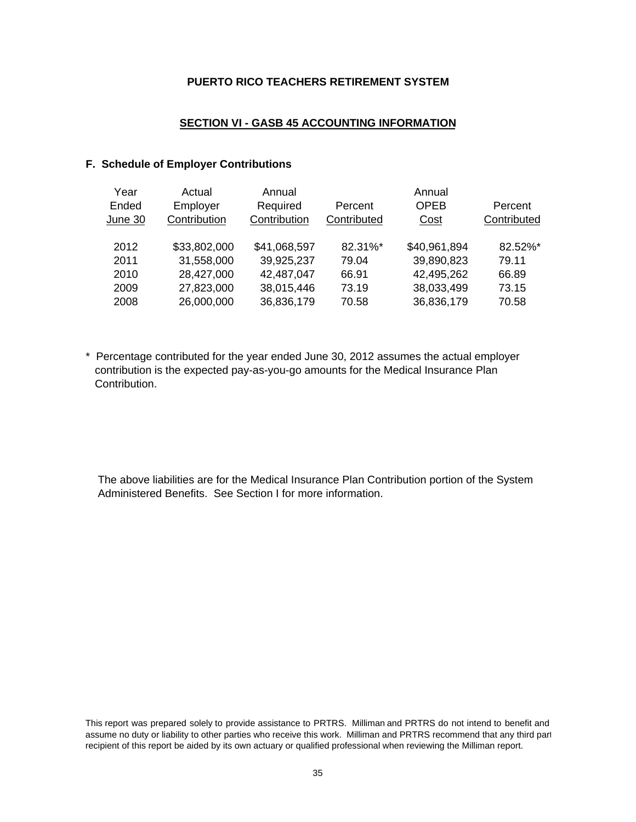#### **SECTION VI - GASB 45 ACCOUNTING INFORMATION**

#### **F. Schedule of Employer Contributions**

| Year<br>Ended<br>June 30 | Actual<br>Employer<br>Contribution | Annual<br>Required<br>Contribution | Percent<br>Contributed | Annual<br><b>OPEB</b><br>Cost | Percent<br>Contributed |
|--------------------------|------------------------------------|------------------------------------|------------------------|-------------------------------|------------------------|
| 2012                     | \$33,802,000                       | \$41,068,597                       | 82.31%*                | \$40,961,894                  | 82.52%*                |
| 2011                     | 31,558,000                         | 39,925,237                         | 79.04                  | 39,890,823                    | 79.11                  |
| 2010                     | 28,427,000                         | 42,487,047                         | 66.91                  | 42,495,262                    | 66.89                  |
| 2009                     | 27,823,000                         | 38,015,446                         | 73.19                  | 38,033,499                    | 73.15                  |
| 2008                     | 26,000,000                         | 36,836,179                         | 70.58                  | 36,836,179                    | 70.58                  |

\* Percentage contributed for the year ended June 30, 2012 assumes the actual employer contribution is the expected pay-as-you-go amounts for the Medical Insurance Plan Contribution.

The above liabilities are for the Medical Insurance Plan Contribution portion of the System Administered Benefits. See Section I for more information.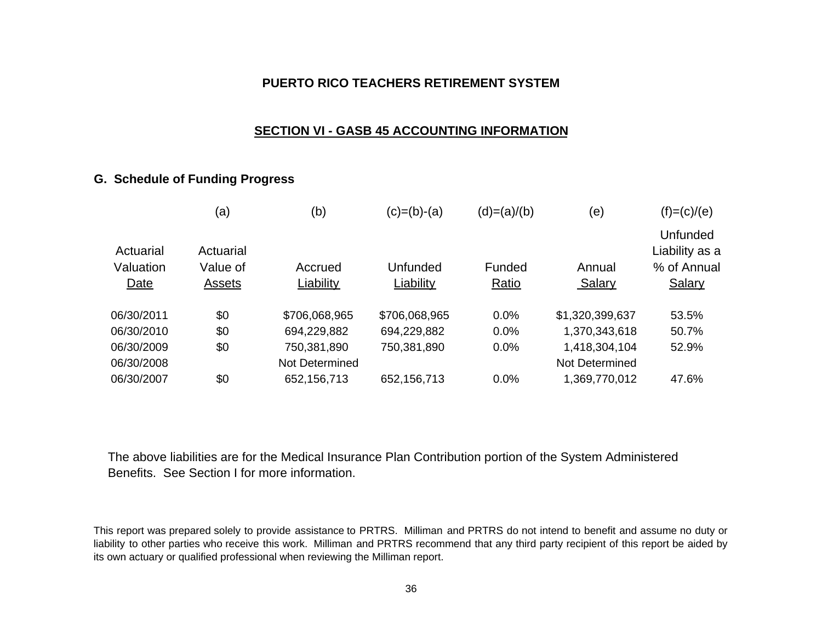## **SECTION VI - GASB 45 ACCOUNTING INFORMATION**

# **G. Schedule of Funding Progress**

|                        | (a)                   | (b)            | $(c)=(b)-(a)$ | $(d)=(a)/(b)$ | (e)             | $(f)=(c)/(e)$                                    |
|------------------------|-----------------------|----------------|---------------|---------------|-----------------|--------------------------------------------------|
| Actuarial<br>Valuation | Actuarial<br>Value of | Accrued        | Unfunded      | Funded        | Annual          | <b>Unfunded</b><br>Liability as a<br>% of Annual |
| Date                   | Assets                | Liability      | Liability     | Ratio         | Salary          | Salary                                           |
|                        |                       |                |               |               |                 |                                                  |
| 06/30/2011             | \$0                   | \$706,068,965  | \$706,068,965 | 0.0%          | \$1,320,399,637 | 53.5%                                            |
| 06/30/2010             | \$0                   | 694,229,882    | 694,229,882   | 0.0%          | 1,370,343,618   | 50.7%                                            |
| 06/30/2009             | \$0                   | 750,381,890    | 750,381,890   | 0.0%          | 1,418,304,104   | 52.9%                                            |
| 06/30/2008             |                       | Not Determined |               |               | Not Determined  |                                                  |
| 06/30/2007             | \$0                   | 652,156,713    | 652,156,713   | 0.0%          | 1,369,770,012   | 47.6%                                            |

The above liabilities are for the Medical Insurance Plan Contribution portion of the System Administered Benefits. See Section I for more information.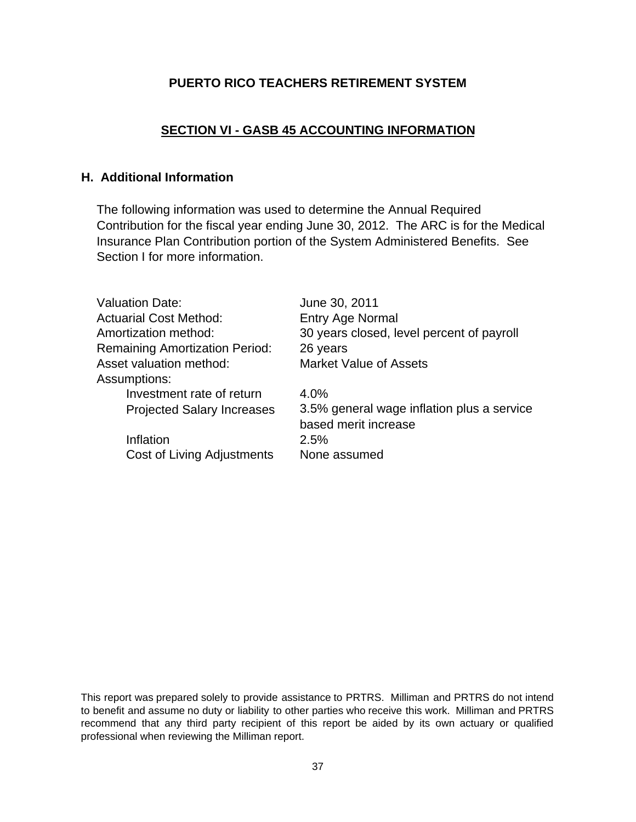# **SECTION VI - GASB 45 ACCOUNTING INFORMATION**

# **H. Additional Information**

The following information was used to determine the Annual Required Contribution for the fiscal year ending June 30, 2012. The ARC is for the Medical Insurance Plan Contribution portion of the System Administered Benefits. See Section I for more information.

| <b>Valuation Date:</b>                | June 30, 2011                                                      |
|---------------------------------------|--------------------------------------------------------------------|
| <b>Actuarial Cost Method:</b>         | <b>Entry Age Normal</b>                                            |
| Amortization method:                  | 30 years closed, level percent of payroll                          |
| <b>Remaining Amortization Period:</b> | 26 years                                                           |
| Asset valuation method:               | <b>Market Value of Assets</b>                                      |
| Assumptions:                          |                                                                    |
| Investment rate of return             | 4.0%                                                               |
| <b>Projected Salary Increases</b>     | 3.5% general wage inflation plus a service<br>based merit increase |
| Inflation                             | 2.5%                                                               |
| <b>Cost of Living Adjustments</b>     | None assumed                                                       |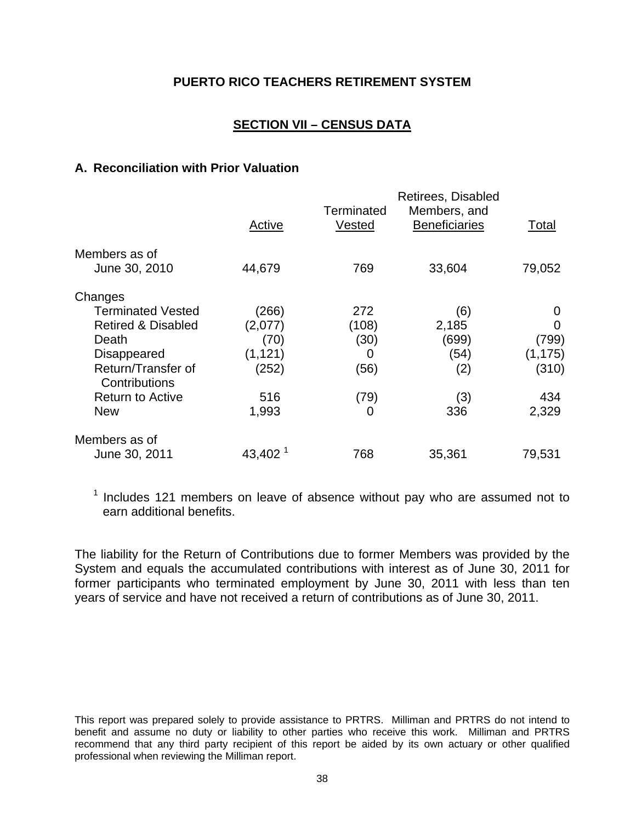# **SECTION VII – CENSUS DATA**

### **A. Reconciliation with Prior Valuation**

|                                     |                       |            | Retirees, Disabled   |          |
|-------------------------------------|-----------------------|------------|----------------------|----------|
|                                     |                       | Terminated | Members, and         |          |
|                                     | Active                | Vested     | <b>Beneficiaries</b> | Total    |
| Members as of                       |                       |            |                      |          |
| June 30, 2010                       | 44,679                | 769        | 33,604               | 79,052   |
| Changes                             |                       |            |                      |          |
| <b>Terminated Vested</b>            | (266)                 | 272        | (6)                  | O        |
| <b>Retired &amp; Disabled</b>       | (2,077)               | (108)      | 2,185                | O)       |
| Death                               | (70)                  | (30)       | (699)                | (799)    |
| <b>Disappeared</b>                  | (1, 121)              | O          | (54)                 | (1, 175) |
| Return/Transfer of<br>Contributions | (252)                 | (56)       | (2)                  | (310)    |
| <b>Return to Active</b>             | 516                   | (79)       | (3)                  | 434      |
| <b>New</b>                          | 1,993                 | 0          | 336                  | 2,329    |
| Members as of                       |                       |            |                      |          |
| June 30, 2011                       | $43,402$ <sup>1</sup> | 768        | 35,361               | 79,531   |

 $1$  Includes 121 members on leave of absence without pay who are assumed not to earn additional benefits.

The liability for the Return of Contributions due to former Members was provided by the System and equals the accumulated contributions with interest as of June 30, 2011 for former participants who terminated employment by June 30, 2011 with less than ten years of service and have not received a return of contributions as of June 30, 2011.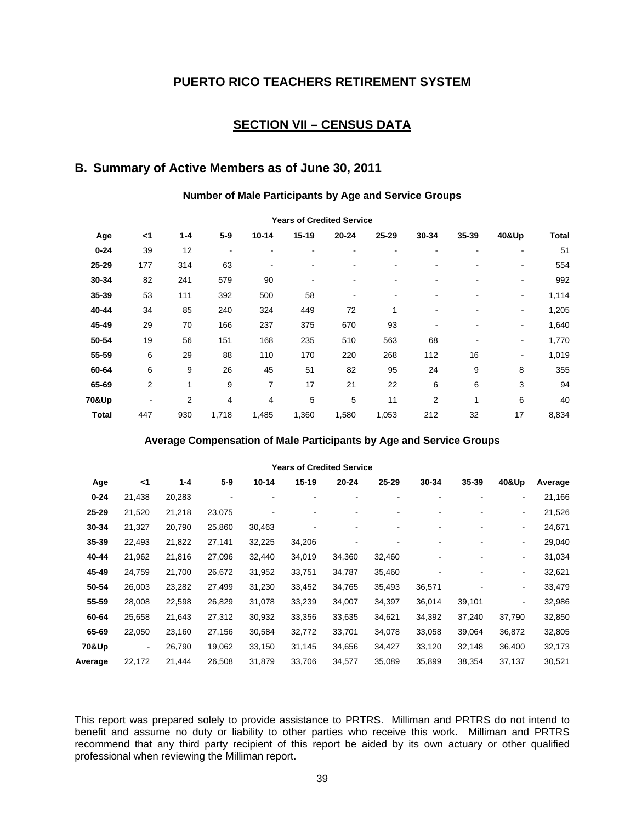## **SECTION VII – CENSUS DATA**

# **B. Summary of Active Members as of June 30, 2011**

#### **Number of Male Participants by Age and Service Groups**

| <b>Teals Of Greated Service</b> |     |         |       |           |         |           |       |                |       |                          |              |  |
|---------------------------------|-----|---------|-------|-----------|---------|-----------|-------|----------------|-------|--------------------------|--------------|--|
| Age                             | <1  | $1 - 4$ | $5-9$ | $10 - 14$ | $15-19$ | $20 - 24$ | 25-29 | 30-34          | 35-39 | 40&Up                    | <b>Total</b> |  |
| $0 - 24$                        | 39  | 12      |       |           |         |           |       |                |       |                          | 51           |  |
| 25-29                           | 177 | 314     | 63    | ۰         |         |           |       |                |       | $\overline{\phantom{0}}$ | 554          |  |
| 30-34                           | 82  | 241     | 579   | 90        |         |           |       |                |       |                          | 992          |  |
| 35-39                           | 53  | 111     | 392   | 500       | 58      |           |       |                |       | $\blacksquare$           | 1,114        |  |
| 40-44                           | 34  | 85      | 240   | 324       | 449     | 72        |       |                |       | $\blacksquare$           | 1,205        |  |
| 45-49                           | 29  | 70      | 166   | 237       | 375     | 670       | 93    |                |       | ٠                        | 1,640        |  |
| 50-54                           | 19  | 56      | 151   | 168       | 235     | 510       | 563   | 68             |       | $\blacksquare$           | 1,770        |  |
| 55-59                           | 6   | 29      | 88    | 110       | 170     | 220       | 268   | 112            | 16    | $\blacksquare$           | 1,019        |  |
| 60-64                           | 6   | 9       | 26    | 45        | 51      | 82        | 95    | 24             | 9     | 8                        | 355          |  |
| 65-69                           | 2   | 1       | 9     | 7         | 17      | 21        | 22    | 6              | 6     | 3                        | 94           |  |
| 70&Up                           |     | 2       | 4     | 4         | 5       | 5         | 11    | $\overline{2}$ | 1     | 6                        | 40           |  |
| <b>Total</b>                    | 447 | 930     | 1,718 | 1,485     | 1,360   | 1,580     | 1,053 | 212            | 32    | 17                       | 8,834        |  |

#### **Years of Credited Service**

#### **Average Compensation of Male Participants by Age and Service Groups**

|          | <b>Years of Credited Service</b> |         |         |           |         |           |        |        |        |                          |         |  |  |
|----------|----------------------------------|---------|---------|-----------|---------|-----------|--------|--------|--------|--------------------------|---------|--|--|
| Age      | <1                               | $1 - 4$ | $5 - 9$ | $10 - 14$ | $15-19$ | $20 - 24$ | 25-29  | 30-34  | 35-39  | 40&Up                    | Average |  |  |
| $0 - 24$ | 21,438                           | 20,283  | ۰       |           | ۰       |           |        |        | ۰      | $\overline{\phantom{a}}$ | 21,166  |  |  |
| 25-29    | 21,520                           | 21,218  | 23,075  |           |         |           |        |        |        | $\blacksquare$           | 21,526  |  |  |
| 30-34    | 21,327                           | 20,790  | 25,860  | 30,463    |         |           |        |        |        | $\blacksquare$           | 24,671  |  |  |
| 35-39    | 22,493                           | 21,822  | 27,141  | 32,225    | 34,206  |           |        |        | -      | $\blacksquare$           | 29,040  |  |  |
| 40-44    | 21,962                           | 21,816  | 27,096  | 32,440    | 34,019  | 34,360    | 32,460 |        | ۰      | $\blacksquare$           | 31,034  |  |  |
| 45-49    | 24,759                           | 21,700  | 26,672  | 31,952    | 33,751  | 34,787    | 35,460 |        |        | $\blacksquare$           | 32,621  |  |  |
| 50-54    | 26,003                           | 23,282  | 27,499  | 31,230    | 33,452  | 34,765    | 35,493 | 36,571 |        | $\overline{\phantom{a}}$ | 33,479  |  |  |
| 55-59    | 28,008                           | 22,598  | 26,829  | 31,078    | 33,239  | 34,007    | 34,397 | 36,014 | 39,101 | $\blacksquare$           | 32,986  |  |  |
| 60-64    | 25,658                           | 21,643  | 27,312  | 30,932    | 33,356  | 33,635    | 34,621 | 34,392 | 37,240 | 37,790                   | 32,850  |  |  |
| 65-69    | 22,050                           | 23,160  | 27,156  | 30,584    | 32,772  | 33,701    | 34,078 | 33,058 | 39,064 | 36,872                   | 32,805  |  |  |
| 70&Up    | $\blacksquare$                   | 26,790  | 19,062  | 33,150    | 31,145  | 34,656    | 34,427 | 33,120 | 32,148 | 36,400                   | 32,173  |  |  |
| Average  | 22,172                           | 21,444  | 26,508  | 31,879    | 33,706  | 34,577    | 35,089 | 35,899 | 38,354 | 37,137                   | 30,521  |  |  |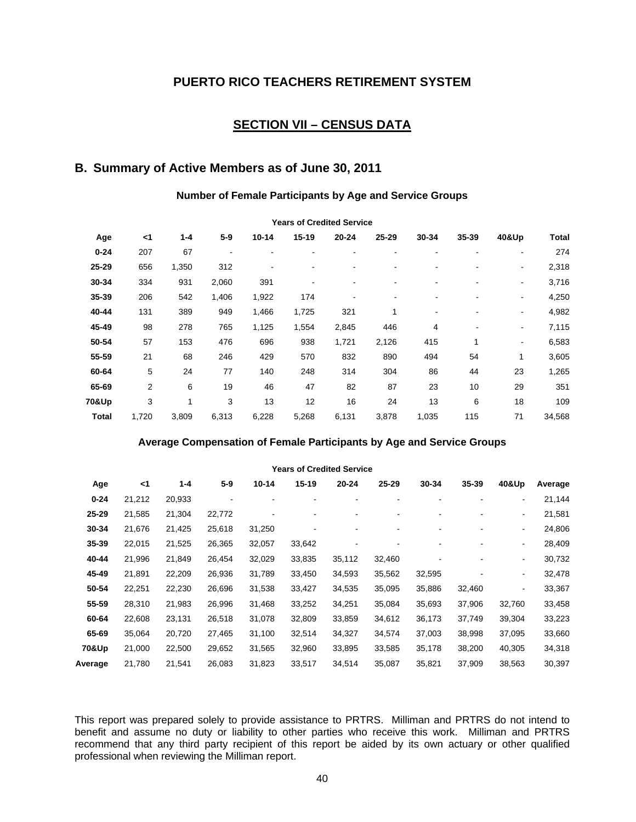## **SECTION VII – CENSUS DATA**

# **B. Summary of Active Members as of June 30, 2011**

#### **Number of Female Participants by Age and Service Groups**

| <b>I edis OI Greulleu Sei Vice</b> |       |         |       |           |                          |           |       |                          |       |       |        |  |
|------------------------------------|-------|---------|-------|-----------|--------------------------|-----------|-------|--------------------------|-------|-------|--------|--|
| Age                                | $<$ 1 | $1 - 4$ | $5-9$ | $10 - 14$ | $15-19$                  | $20 - 24$ | 25-29 | 30-34                    | 35-39 | 40&Up | Total  |  |
| $0 - 24$                           | 207   | 67      |       |           | -                        |           |       |                          |       |       | 274    |  |
| 25-29                              | 656   | 1,350   | 312   |           |                          |           |       |                          |       | ۰     | 2,318  |  |
| 30-34                              | 334   | 931     | 2,060 | 391       | $\overline{\phantom{0}}$ |           |       | ۰                        |       | ٠     | 3,716  |  |
| 35-39                              | 206   | 542     | 1,406 | 1,922     | 174                      |           |       |                          |       | ۰     | 4,250  |  |
| 40-44                              | 131   | 389     | 949   | 1,466     | 1,725                    | 321       |       | $\overline{\phantom{a}}$ |       | ۰     | 4,982  |  |
| 45-49                              | 98    | 278     | 765   | 1,125     | 1,554                    | 2,845     | 446   | 4                        |       | ۰     | 7,115  |  |
| 50-54                              | 57    | 153     | 476   | 696       | 938                      | 1,721     | 2,126 | 415                      | 1     | ۰     | 6,583  |  |
| 55-59                              | 21    | 68      | 246   | 429       | 570                      | 832       | 890   | 494                      | 54    | 1     | 3,605  |  |
| 60-64                              | 5     | 24      | 77    | 140       | 248                      | 314       | 304   | 86                       | 44    | 23    | 1,265  |  |
| 65-69                              | 2     | 6       | 19    | 46        | 47                       | 82        | 87    | 23                       | 10    | 29    | 351    |  |
| 70&Up                              | 3     |         | 3     | 13        | 12                       | 16        | 24    | 13                       | 6     | 18    | 109    |  |
| <b>Total</b>                       | 1,720 | 3,809   | 6,313 | 6,228     | 5,268                    | 6,131     | 3,878 | 1,035                    | 115   | 71    | 34,568 |  |

#### **Years of Credited Service**

#### **Average Compensation of Female Participants by Age and Service Groups**

|          | <b>Years of Credited Service</b> |         |         |        |        |        |        |        |        |                          |         |  |  |
|----------|----------------------------------|---------|---------|--------|--------|--------|--------|--------|--------|--------------------------|---------|--|--|
| Age      | <1                               | $1 - 4$ | $5 - 9$ | 10-14  | 15-19  | 20-24  | 25-29  | 30-34  | 35-39  | 40&Up                    | Average |  |  |
| $0 - 24$ | 21,212                           | 20,933  | ۰       | ۰      |        |        |        |        |        | $\blacksquare$           | 21,144  |  |  |
| 25-29    | 21,585                           | 21,304  | 22,772  |        |        |        |        |        |        | $\blacksquare$           | 21,581  |  |  |
| 30-34    | 21,676                           | 21,425  | 25,618  | 31,250 |        |        |        |        |        | $\overline{\phantom{a}}$ | 24,806  |  |  |
| 35-39    | 22,015                           | 21,525  | 26,365  | 32,057 | 33,642 |        |        |        |        | $\blacksquare$           | 28,409  |  |  |
| 40-44    | 21,996                           | 21,849  | 26,454  | 32,029 | 33,835 | 35,112 | 32,460 |        | -      | $\overline{\phantom{a}}$ | 30,732  |  |  |
| 45-49    | 21,891                           | 22,209  | 26,936  | 31,789 | 33,450 | 34,593 | 35,562 | 32,595 |        | $\blacksquare$           | 32,478  |  |  |
| 50-54    | 22,251                           | 22,230  | 26,696  | 31,538 | 33,427 | 34,535 | 35,095 | 35,886 | 32,460 | $\blacksquare$           | 33,367  |  |  |
| 55-59    | 28,310                           | 21,983  | 26,996  | 31,468 | 33,252 | 34,251 | 35,084 | 35,693 | 37,906 | 32,760                   | 33,458  |  |  |
| 60-64    | 22,608                           | 23,131  | 26,518  | 31,078 | 32,809 | 33,859 | 34,612 | 36,173 | 37,749 | 39,304                   | 33,223  |  |  |
| 65-69    | 35,064                           | 20,720  | 27,465  | 31,100 | 32,514 | 34,327 | 34,574 | 37,003 | 38,998 | 37,095                   | 33,660  |  |  |
| 70&Up    | 21,000                           | 22,500  | 29,652  | 31,565 | 32,960 | 33,895 | 33,585 | 35,178 | 38,200 | 40,305                   | 34,318  |  |  |
| Average  | 21,780                           | 21,541  | 26,083  | 31,823 | 33,517 | 34,514 | 35,087 | 35,821 | 37,909 | 38,563                   | 30,397  |  |  |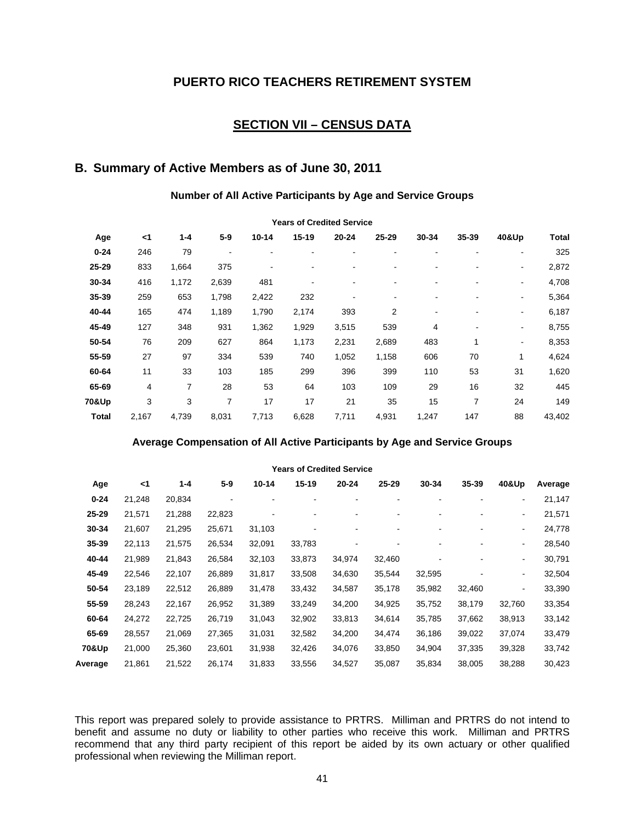## **SECTION VII – CENSUS DATA**

# **B. Summary of Active Members as of June 30, 2011**

#### **Number of All Active Participants by Age and Service Groups**

|              | <b>Teals Of Greated Service</b> |       |       |           |           |       |       |       |                          |       |        |  |  |
|--------------|---------------------------------|-------|-------|-----------|-----------|-------|-------|-------|--------------------------|-------|--------|--|--|
| Age          | $<$ 1                           | 1-4   | $5-9$ | $10 - 14$ | $15 - 19$ | 20-24 | 25-29 | 30-34 | 35-39                    | 40&Up | Total  |  |  |
| $0 - 24$     | 246                             | 79    |       |           | -         |       |       | ۰     |                          |       | 325    |  |  |
| 25-29        | 833                             | 1,664 | 375   |           |           |       |       |       |                          | ۰     | 2,872  |  |  |
| 30-34        | 416                             | 1,172 | 2,639 | 481       | ۰         |       |       |       |                          | ٠     | 4,708  |  |  |
| 35-39        | 259                             | 653   | 1,798 | 2,422     | 232       |       |       |       |                          | ۰     | 5,364  |  |  |
| 40-44        | 165                             | 474   | 1,189 | 1,790     | 2,174     | 393   | 2     | ۰     |                          | ۰     | 6,187  |  |  |
| 45-49        | 127                             | 348   | 931   | 1,362     | 1,929     | 3,515 | 539   | 4     | $\overline{\phantom{a}}$ | ۰     | 8,755  |  |  |
| 50-54        | 76                              | 209   | 627   | 864       | 1,173     | 2,231 | 2,689 | 483   | 1                        | ٠     | 8,353  |  |  |
| 55-59        | 27                              | 97    | 334   | 539       | 740       | 1,052 | 1,158 | 606   | 70                       | 1     | 4,624  |  |  |
| 60-64        | 11                              | 33    | 103   | 185       | 299       | 396   | 399   | 110   | 53                       | 31    | 1,620  |  |  |
| 65-69        | 4                               | 7     | 28    | 53        | 64        | 103   | 109   | 29    | 16                       | 32    | 445    |  |  |
| 70&Up        | 3                               | 3     | 7     | 17        | 17        | 21    | 35    | 15    | 7                        | 24    | 149    |  |  |
| <b>Total</b> | 2,167                           | 4,739 | 8,031 | 7,713     | 6,628     | 7,711 | 4,931 | 1,247 | 147                      | 88    | 43,402 |  |  |

#### **Years of Credited Service**

#### **Average Compensation of All Active Participants by Age and Service Groups**

| <b>Years of Credited Service</b> |        |         |         |        |        |        |        |        |        |                          |         |
|----------------------------------|--------|---------|---------|--------|--------|--------|--------|--------|--------|--------------------------|---------|
| Age                              | <1     | $1 - 4$ | $5 - 9$ | 10-14  | 15-19  | 20-24  | 25-29  | 30-34  | 35-39  | 40&Up                    | Average |
| $0 - 24$                         | 21,248 | 20,834  | ٠       |        | ۰      |        |        |        |        | $\overline{\phantom{0}}$ | 21,147  |
| 25-29                            | 21,571 | 21,288  | 22,823  |        |        |        |        |        |        | $\blacksquare$           | 21,571  |
| 30-34                            | 21,607 | 21,295  | 25,671  | 31,103 |        |        |        |        | -      | $\blacksquare$           | 24,778  |
| 35-39                            | 22,113 | 21,575  | 26,534  | 32,091 | 33,783 |        |        |        |        | $\blacksquare$           | 28,540  |
| 40-44                            | 21,989 | 21,843  | 26,584  | 32,103 | 33,873 | 34,974 | 32,460 |        | ۰      | $\blacksquare$           | 30,791  |
| 45-49                            | 22,546 | 22,107  | 26,889  | 31,817 | 33,508 | 34,630 | 35,544 | 32,595 |        | $\overline{\phantom{a}}$ | 32,504  |
| 50-54                            | 23,189 | 22,512  | 26,889  | 31,478 | 33,432 | 34,587 | 35,178 | 35,982 | 32,460 | $\blacksquare$           | 33,390  |
| 55-59                            | 28,243 | 22,167  | 26,952  | 31,389 | 33,249 | 34,200 | 34,925 | 35,752 | 38,179 | 32,760                   | 33,354  |
| 60-64                            | 24,272 | 22,725  | 26,719  | 31,043 | 32,902 | 33,813 | 34,614 | 35,785 | 37,662 | 38,913                   | 33,142  |
| 65-69                            | 28,557 | 21,069  | 27,365  | 31,031 | 32,582 | 34,200 | 34,474 | 36,186 | 39,022 | 37,074                   | 33,479  |
| 70&Up                            | 21,000 | 25,360  | 23,601  | 31,938 | 32,426 | 34,076 | 33,850 | 34,904 | 37,335 | 39,328                   | 33,742  |
| Average                          | 21,861 | 21,522  | 26,174  | 31,833 | 33,556 | 34,527 | 35,087 | 35,834 | 38,005 | 38,288                   | 30,423  |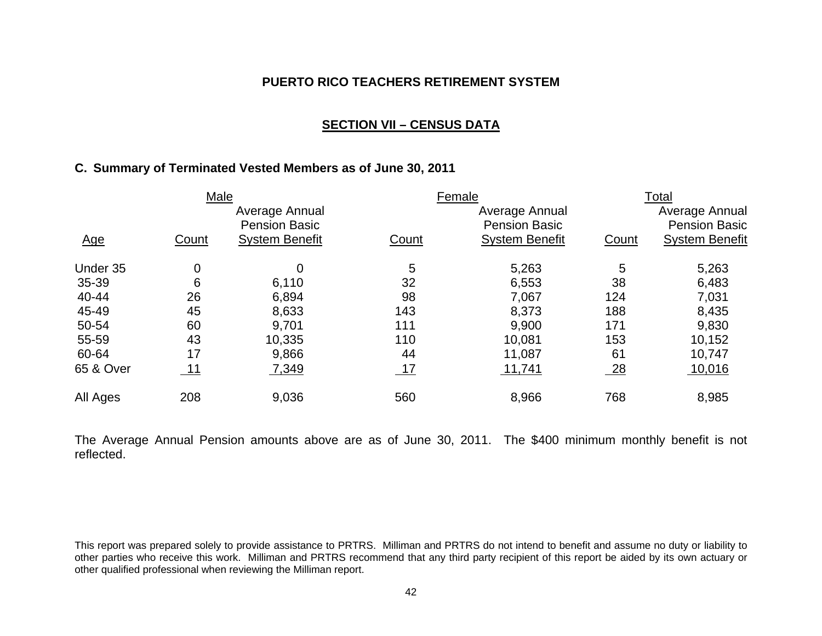### **SECTION VII – CENSUS DATA**

## **C. Summary of Terminated Vested Members as of June 30, 2011**

|            | Male  |                                        |       | Female                                 |       | Total                                  |
|------------|-------|----------------------------------------|-------|----------------------------------------|-------|----------------------------------------|
|            |       | Average Annual<br><b>Pension Basic</b> |       | Average Annual<br><b>Pension Basic</b> |       | Average Annual<br><b>Pension Basic</b> |
| <u>Age</u> | Count | <b>System Benefit</b>                  | Count | <b>System Benefit</b>                  | Count | <b>System Benefit</b>                  |
| Under 35   | 0     | 0                                      | 5     | 5,263                                  | 5     | 5,263                                  |
| 35-39      | 6     | 6,110                                  | 32    | 6,553                                  | 38    | 6,483                                  |
| 40-44      | 26    | 6,894                                  | 98    | 7,067                                  | 124   | 7,031                                  |
| 45-49      | 45    | 8,633                                  | 143   | 8,373                                  | 188   | 8,435                                  |
| 50-54      | 60    | 9,701                                  | 111   | 9,900                                  | 171   | 9,830                                  |
| 55-59      | 43    | 10,335                                 | 110   | 10,081                                 | 153   | 10,152                                 |
| 60-64      | 17    | 9,866                                  | 44    | 11,087                                 | 61    | 10,747                                 |
| 65 & Over  | 11    | 7,349                                  | 17    | 11,741                                 | 28    | 10,016                                 |
| All Ages   | 208   | 9.036                                  | 560   | 8,966                                  | 768   | 8,985                                  |

The Average Annual Pension amounts above are as of June 30, 2011. The \$400 minimum monthly benefit is not reflected.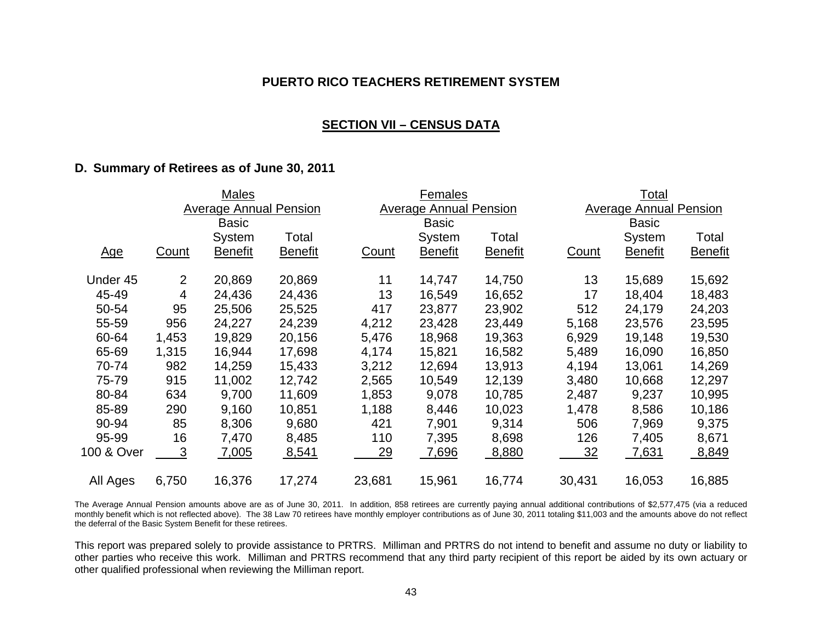#### **SECTION VII – CENSUS DATA**

#### **D. Summary of Retirees as of June 30, 2011**

|            | Males                         |                |                |                               | Females        |                |                               | Total          |                |  |
|------------|-------------------------------|----------------|----------------|-------------------------------|----------------|----------------|-------------------------------|----------------|----------------|--|
|            | <b>Average Annual Pension</b> |                |                | <b>Average Annual Pension</b> |                |                | <b>Average Annual Pension</b> |                |                |  |
|            |                               | <b>Basic</b>   |                |                               | <b>Basic</b>   |                |                               | <b>Basic</b>   |                |  |
|            |                               | System         | Total          |                               | System         | Total          |                               | System         | Total          |  |
| <u>Age</u> | Count                         | <b>Benefit</b> | <b>Benefit</b> | Count                         | <b>Benefit</b> | <b>Benefit</b> | <u>Count</u>                  | <b>Benefit</b> | <b>Benefit</b> |  |
| Under 45   | 2                             | 20,869         | 20,869         | 11                            | 14,747         | 14,750         | 13                            | 15,689         | 15,692         |  |
| 45-49      | 4                             | 24,436         | 24,436         | 13                            | 16,549         | 16,652         | 17                            | 18,404         | 18,483         |  |
| 50-54      | 95                            | 25,506         | 25,525         | 417                           | 23,877         | 23,902         | 512                           | 24,179         | 24,203         |  |
| 55-59      | 956                           | 24,227         | 24,239         | 4,212                         | 23,428         | 23,449         | 5,168                         | 23,576         | 23,595         |  |
| 60-64      | 1,453                         | 19,829         | 20,156         | 5,476                         | 18,968         | 19,363         | 6,929                         | 19,148         | 19,530         |  |
| 65-69      | 1,315                         | 16,944         | 17,698         | 4,174                         | 15,821         | 16,582         | 5,489                         | 16,090         | 16,850         |  |
| 70-74      | 982                           | 14,259         | 15,433         | 3,212                         | 12,694         | 13,913         | 4,194                         | 13,061         | 14,269         |  |
| 75-79      | 915                           | 11,002         | 12,742         | 2,565                         | 10,549         | 12,139         | 3,480                         | 10,668         | 12,297         |  |
| 80-84      | 634                           | 9,700          | 11,609         | 1,853                         | 9,078          | 10,785         | 2,487                         | 9,237          | 10,995         |  |
| 85-89      | 290                           | 9,160          | 10,851         | 1,188                         | 8,446          | 10,023         | 1,478                         | 8,586          | 10,186         |  |
| 90-94      | 85                            | 8,306          | 9,680          | 421                           | 7,901          | 9,314          | 506                           | 7,969          | 9,375          |  |
| 95-99      | 16                            | 7,470          | 8,485          | 110                           | 7,395          | 8,698          | 126                           | 7,405          | 8,671          |  |
| 100 & Over | 3                             | 7,005          | 8,541          | 29                            | 7,696          | 8,880          | <u>32</u>                     | 7,631          | 8,849          |  |
| All Ages   | 6,750                         | 16,376         | 17,274         | 23,681                        | 15,961         | 16,774         | 30,431                        | 16,053         | 16,885         |  |

The Average Annual Pension amounts above are as of June 30, 2011. In addition, 858 retirees are currently paying annual additional contributions of \$2,577,475 (via a reduced monthly benefit which is not reflected above). The 38 Law 70 retirees have monthly employer contributions as of June 30, 2011 totaling \$11,003 and the amounts above do not reflect the deferral of the Basic System Benefit for these retirees.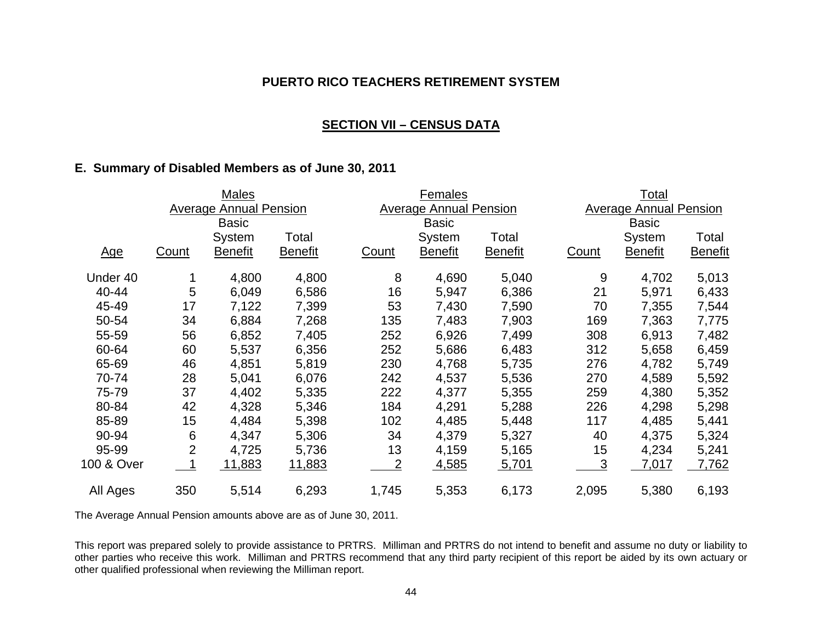### **SECTION VII – CENSUS DATA**

## **E. Summary of Disabled Members as of June 30, 2011**

|            |                | <b>Males</b>                  |                |                | <b>Females</b>                |                |              | <u>Total</u>                  |                |
|------------|----------------|-------------------------------|----------------|----------------|-------------------------------|----------------|--------------|-------------------------------|----------------|
|            |                | <b>Average Annual Pension</b> |                |                | <b>Average Annual Pension</b> |                |              | <b>Average Annual Pension</b> |                |
|            |                | <b>Basic</b>                  |                |                | <b>Basic</b>                  |                |              | <b>Basic</b>                  |                |
|            |                | System                        | Total          |                | System                        | Total          |              | System                        | Total          |
| <u>Age</u> | <b>Count</b>   | <b>Benefit</b>                | <b>Benefit</b> | <b>Count</b>   | <b>Benefit</b>                | <b>Benefit</b> | <b>Count</b> | <b>Benefit</b>                | <b>Benefit</b> |
| Under 40   |                | 4,800                         | 4,800          | 8              | 4,690                         | 5,040          | 9            | 4,702                         | 5,013          |
| 40-44      | 5              | 6,049                         | 6,586          | 16             | 5,947                         | 6,386          | 21           | 5,971                         | 6,433          |
| 45-49      | 17             | 7,122                         | 7,399          | 53             | 7,430                         | 7,590          | 70           | 7,355                         | 7,544          |
| 50-54      | 34             | 6,884                         | 7,268          | 135            | 7,483                         | 7,903          | 169          | 7,363                         | 7,775          |
| 55-59      | 56             | 6,852                         | 7,405          | 252            | 6,926                         | 7,499          | 308          | 6,913                         | 7,482          |
| 60-64      | 60             | 5,537                         | 6,356          | 252            | 5,686                         | 6,483          | 312          | 5,658                         | 6,459          |
| 65-69      | 46             | 4,851                         | 5,819          | 230            | 4,768                         | 5,735          | 276          | 4,782                         | 5,749          |
| 70-74      | 28             | 5,041                         | 6,076          | 242            | 4,537                         | 5,536          | 270          | 4,589                         | 5,592          |
| 75-79      | 37             | 4,402                         | 5,335          | 222            | 4,377                         | 5,355          | 259          | 4,380                         | 5,352          |
| 80-84      | 42             | 4,328                         | 5,346          | 184            | 4,291                         | 5,288          | 226          | 4,298                         | 5,298          |
| 85-89      | 15             | 4,484                         | 5,398          | 102            | 4,485                         | 5,448          | 117          | 4,485                         | 5,441          |
| 90-94      | 6              | 4,347                         | 5,306          | 34             | 4,379                         | 5,327          | 40           | 4,375                         | 5,324          |
| 95-99      | $\overline{2}$ | 4,725                         | 5,736          | 13             | 4,159                         | 5,165          | 15           | 4,234                         | 5,241          |
| 100 & Over |                | 11,883                        | <u>11,883</u>  | $\overline{2}$ | 4,585                         | 5,701          | <u>3</u>     | <u>7,017</u>                  | 7,762          |
| All Ages   | 350            | 5,514                         | 6,293          | 1,745          | 5,353                         | 6,173          | 2,095        | 5,380                         | 6,193          |

The Average Annual Pension amounts above are as of June 30, 2011.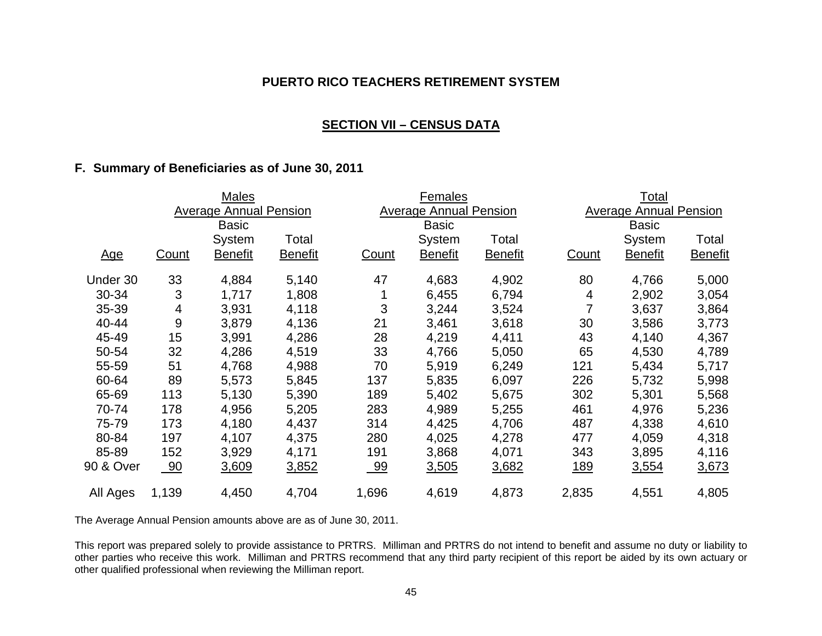## **SECTION VII – CENSUS DATA**

### **F. Summary of Beneficiaries as of June 30, 2011**

|            |              | <b>Males</b>                  |                |              | <b>Females</b>                |                |            | Total                         |                |
|------------|--------------|-------------------------------|----------------|--------------|-------------------------------|----------------|------------|-------------------------------|----------------|
|            |              | <b>Average Annual Pension</b> |                |              | <b>Average Annual Pension</b> |                |            | <b>Average Annual Pension</b> |                |
|            |              | <b>Basic</b>                  |                |              | <b>Basic</b>                  |                |            | <b>Basic</b>                  |                |
|            |              | System                        | Total          |              | System                        | Total          |            | System                        | Total          |
| <u>Age</u> | <b>Count</b> | <b>Benefit</b>                | <b>Benefit</b> | <b>Count</b> | <b>Benefit</b>                | <b>Benefit</b> | Count      | <b>Benefit</b>                | <b>Benefit</b> |
| Under 30   | 33           | 4,884                         | 5,140          | 47           | 4,683                         | 4,902          | 80         | 4,766                         | 5,000          |
| 30-34      | 3            | 1,717                         | 1,808          |              | 6,455                         | 6,794          | 4          | 2,902                         | 3,054          |
| 35-39      | 4            | 3,931                         | 4,118          | 3            | 3,244                         | 3,524          | 7          | 3,637                         | 3,864          |
| 40-44      | 9            | 3,879                         | 4,136          | 21           | 3,461                         | 3,618          | 30         | 3,586                         | 3,773          |
| 45-49      | 15           | 3,991                         | 4,286          | 28           | 4,219                         | 4,411          | 43         | 4,140                         | 4,367          |
| 50-54      | 32           | 4,286                         | 4,519          | 33           | 4,766                         | 5,050          | 65         | 4,530                         | 4,789          |
| 55-59      | 51           | 4,768                         | 4,988          | 70           | 5,919                         | 6,249          | 121        | 5,434                         | 5,717          |
| 60-64      | 89           | 5,573                         | 5,845          | 137          | 5,835                         | 6,097          | 226        | 5,732                         | 5,998          |
| 65-69      | 113          | 5,130                         | 5,390          | 189          | 5,402                         | 5,675          | 302        | 5,301                         | 5,568          |
| 70-74      | 178          | 4,956                         | 5,205          | 283          | 4,989                         | 5,255          | 461        | 4,976                         | 5,236          |
| 75-79      | 173          | 4,180                         | 4,437          | 314          | 4,425                         | 4,706          | 487        | 4,338                         | 4,610          |
| 80-84      | 197          | 4,107                         | 4,375          | 280          | 4,025                         | 4,278          | 477        | 4,059                         | 4,318          |
| 85-89      | 152          | 3,929                         | 4,171          | 191          | 3,868                         | 4,071          | 343        | 3,895                         | 4,116          |
| 90 & Over  | 90           | 3,609                         | 3,852          | <u>_99</u>   | <u>3,505</u>                  | 3,682          | <u>189</u> | 3,554                         | 3,673          |
| All Ages   | 1,139        | 4,450                         | 4,704          | 1,696        | 4,619                         | 4,873          | 2,835      | 4,551                         | 4,805          |

The Average Annual Pension amounts above are as of June 30, 2011.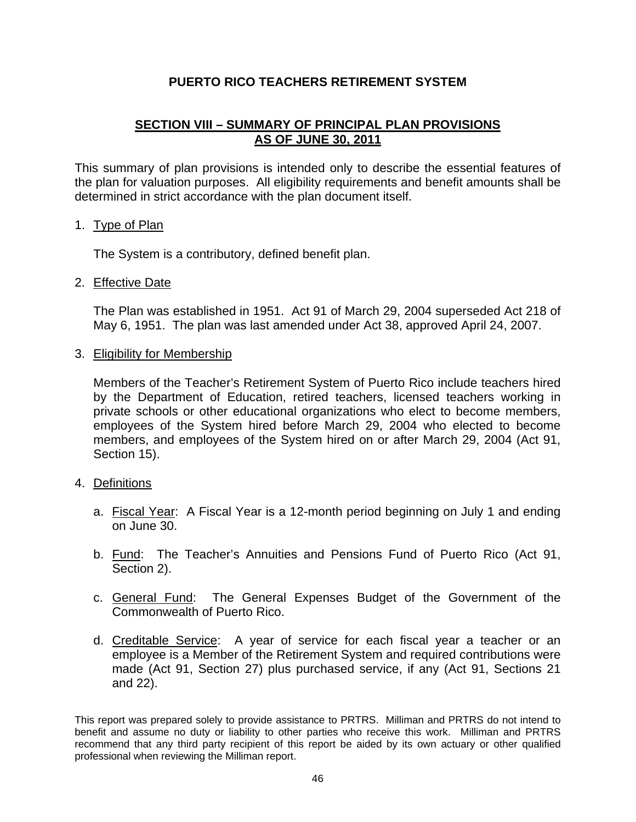# **SECTION VIII – SUMMARY OF PRINCIPAL PLAN PROVISIONS AS OF JUNE 30, 2011**

This summary of plan provisions is intended only to describe the essential features of the plan for valuation purposes. All eligibility requirements and benefit amounts shall be determined in strict accordance with the plan document itself.

#### 1. Type of Plan

The System is a contributory, defined benefit plan.

## 2. Effective Date

 The Plan was established in 1951. Act 91 of March 29, 2004 superseded Act 218 of May 6, 1951. The plan was last amended under Act 38, approved April 24, 2007.

3. Eligibility for Membership

 Members of the Teacher's Retirement System of Puerto Rico include teachers hired by the Department of Education, retired teachers, licensed teachers working in private schools or other educational organizations who elect to become members, employees of the System hired before March 29, 2004 who elected to become members, and employees of the System hired on or after March 29, 2004 (Act 91, Section 15).

#### 4. Definitions

- a. Fiscal Year: A Fiscal Year is a 12-month period beginning on July 1 and ending on June 30.
- b. Fund: The Teacher's Annuities and Pensions Fund of Puerto Rico (Act 91, Section 2).
- c. General Fund: The General Expenses Budget of the Government of the Commonwealth of Puerto Rico.
- d. Creditable Service: A year of service for each fiscal year a teacher or an employee is a Member of the Retirement System and required contributions were made (Act 91, Section 27) plus purchased service, if any (Act 91, Sections 21 and 22).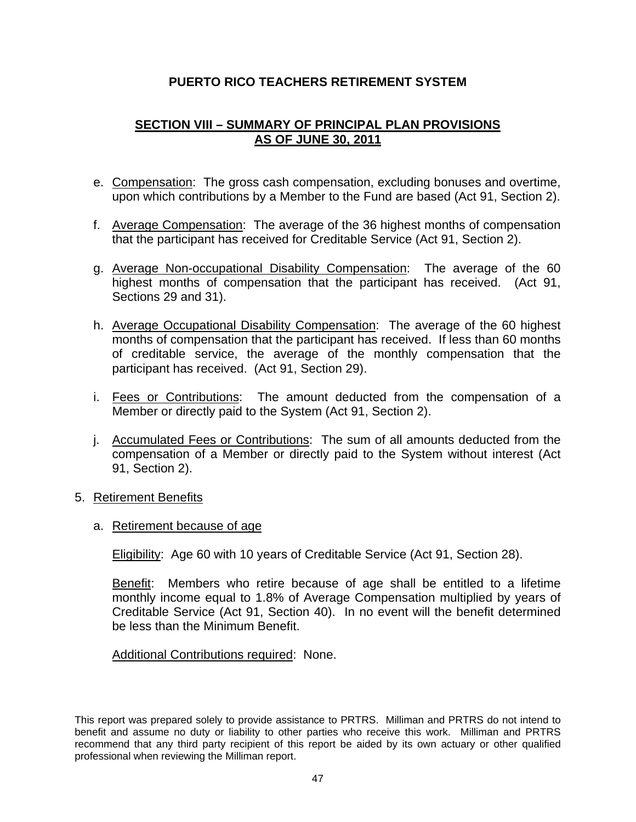# **SECTION VIII – SUMMARY OF PRINCIPAL PLAN PROVISIONS AS OF JUNE 30, 2011**

- e. Compensation: The gross cash compensation, excluding bonuses and overtime, upon which contributions by a Member to the Fund are based (Act 91, Section 2).
- f. Average Compensation: The average of the 36 highest months of compensation that the participant has received for Creditable Service (Act 91, Section 2).
- g. Average Non-occupational Disability Compensation: The average of the 60 highest months of compensation that the participant has received. (Act 91, Sections 29 and 31).
- h. Average Occupational Disability Compensation: The average of the 60 highest months of compensation that the participant has received. If less than 60 months of creditable service, the average of the monthly compensation that the participant has received. (Act 91, Section 29).
- i. Fees or Contributions: The amount deducted from the compensation of a Member or directly paid to the System (Act 91, Section 2).
- j. Accumulated Fees or Contributions: The sum of all amounts deducted from the compensation of a Member or directly paid to the System without interest (Act 91, Section 2).
- 5. Retirement Benefits
	- a. Retirement because of age

Eligibility: Age 60 with 10 years of Creditable Service (Act 91, Section 28).

 Benefit: Members who retire because of age shall be entitled to a lifetime monthly income equal to 1.8% of Average Compensation multiplied by years of Creditable Service (Act 91, Section 40). In no event will the benefit determined be less than the Minimum Benefit.

Additional Contributions required: None.

This report was prepared solely to provide assistance to PRTRS. Milliman and PRTRS do not intend to benefit and assume no duty or liability to other parties who receive this work. Milliman and PRTRS recommend that any third party recipient of this report be aided by its own actuary or other qualified professional when reviewing the Milliman report.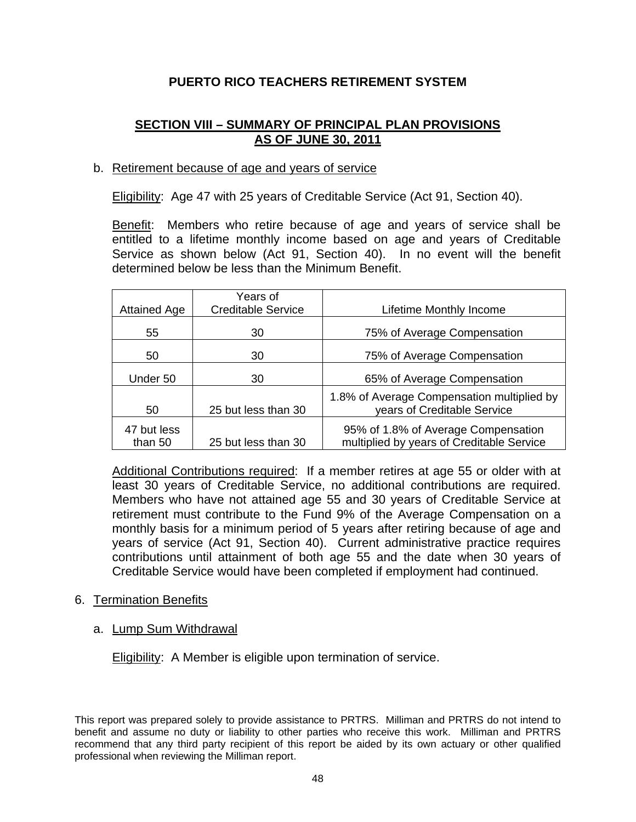# **SECTION VIII – SUMMARY OF PRINCIPAL PLAN PROVISIONS AS OF JUNE 30, 2011**

## b. Retirement because of age and years of service

Eligibility: Age 47 with 25 years of Creditable Service (Act 91, Section 40).

Benefit: Members who retire because of age and years of service shall be entitled to a lifetime monthly income based on age and years of Creditable Service as shown below (Act 91, Section 40). In no event will the benefit determined below be less than the Minimum Benefit.

| <b>Attained Age</b>    | Years of<br><b>Creditable Service</b> | Lifetime Monthly Income                                                          |
|------------------------|---------------------------------------|----------------------------------------------------------------------------------|
| 55                     | 30                                    | 75% of Average Compensation                                                      |
| 50                     | 30                                    | 75% of Average Compensation                                                      |
| Under 50               | 30                                    | 65% of Average Compensation                                                      |
| 50                     | 25 but less than 30                   | 1.8% of Average Compensation multiplied by<br>years of Creditable Service        |
| 47 but less<br>than 50 | 25 but less than 30                   | 95% of 1.8% of Average Compensation<br>multiplied by years of Creditable Service |

 Additional Contributions required: If a member retires at age 55 or older with at least 30 years of Creditable Service, no additional contributions are required. Members who have not attained age 55 and 30 years of Creditable Service at retirement must contribute to the Fund 9% of the Average Compensation on a monthly basis for a minimum period of 5 years after retiring because of age and years of service (Act 91, Section 40). Current administrative practice requires contributions until attainment of both age 55 and the date when 30 years of Creditable Service would have been completed if employment had continued.

#### 6. Termination Benefits

#### a. Lump Sum Withdrawal

Eligibility: A Member is eligible upon termination of service.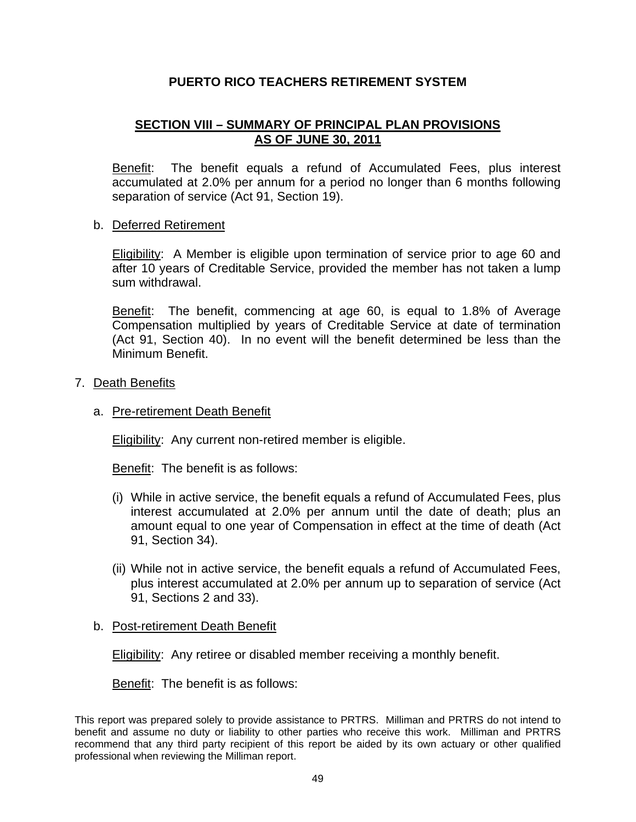# **SECTION VIII – SUMMARY OF PRINCIPAL PLAN PROVISIONS AS OF JUNE 30, 2011**

Benefit: The benefit equals a refund of Accumulated Fees, plus interest accumulated at 2.0% per annum for a period no longer than 6 months following separation of service (Act 91, Section 19).

#### b. Deferred Retirement

 Eligibility: A Member is eligible upon termination of service prior to age 60 and after 10 years of Creditable Service, provided the member has not taken a lump sum withdrawal.

Benefit: The benefit, commencing at age 60, is equal to 1.8% of Average Compensation multiplied by years of Creditable Service at date of termination (Act 91, Section 40). In no event will the benefit determined be less than the Minimum Benefit.

#### 7. Death Benefits

#### a. Pre-retirement Death Benefit

Eligibility: Any current non-retired member is eligible.

Benefit: The benefit is as follows:

- (i) While in active service, the benefit equals a refund of Accumulated Fees, plus interest accumulated at 2.0% per annum until the date of death; plus an amount equal to one year of Compensation in effect at the time of death (Act 91, Section 34).
- (ii) While not in active service, the benefit equals a refund of Accumulated Fees, plus interest accumulated at 2.0% per annum up to separation of service (Act 91, Sections 2 and 33).

#### b. Post-retirement Death Benefit

Eligibility: Any retiree or disabled member receiving a monthly benefit.

Benefit: The benefit is as follows: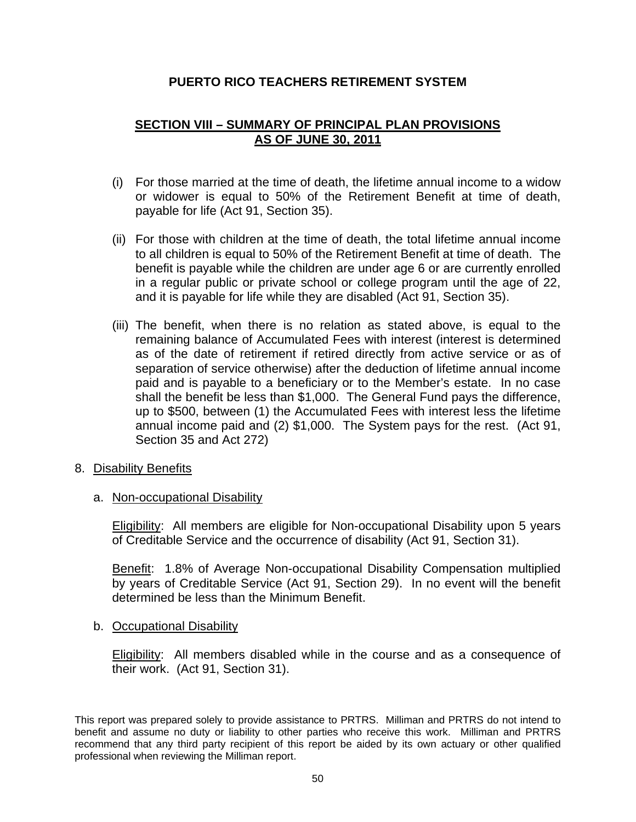# **SECTION VIII – SUMMARY OF PRINCIPAL PLAN PROVISIONS AS OF JUNE 30, 2011**

- (i) For those married at the time of death, the lifetime annual income to a widow or widower is equal to 50% of the Retirement Benefit at time of death, payable for life (Act 91, Section 35).
- (ii) For those with children at the time of death, the total lifetime annual income to all children is equal to 50% of the Retirement Benefit at time of death. The benefit is payable while the children are under age 6 or are currently enrolled in a regular public or private school or college program until the age of 22, and it is payable for life while they are disabled (Act 91, Section 35).
- (iii) The benefit, when there is no relation as stated above, is equal to the remaining balance of Accumulated Fees with interest (interest is determined as of the date of retirement if retired directly from active service or as of separation of service otherwise) after the deduction of lifetime annual income paid and is payable to a beneficiary or to the Member's estate. In no case shall the benefit be less than \$1,000. The General Fund pays the difference, up to \$500, between (1) the Accumulated Fees with interest less the lifetime annual income paid and (2) \$1,000. The System pays for the rest. (Act 91, Section 35 and Act 272)
- 8. Disability Benefits
	- a. Non-occupational Disability

 Eligibility: All members are eligible for Non-occupational Disability upon 5 years of Creditable Service and the occurrence of disability (Act 91, Section 31).

 Benefit: 1.8% of Average Non-occupational Disability Compensation multiplied by years of Creditable Service (Act 91, Section 29). In no event will the benefit determined be less than the Minimum Benefit.

b. Occupational Disability

Eligibility: All members disabled while in the course and as a consequence of their work. (Act 91, Section 31).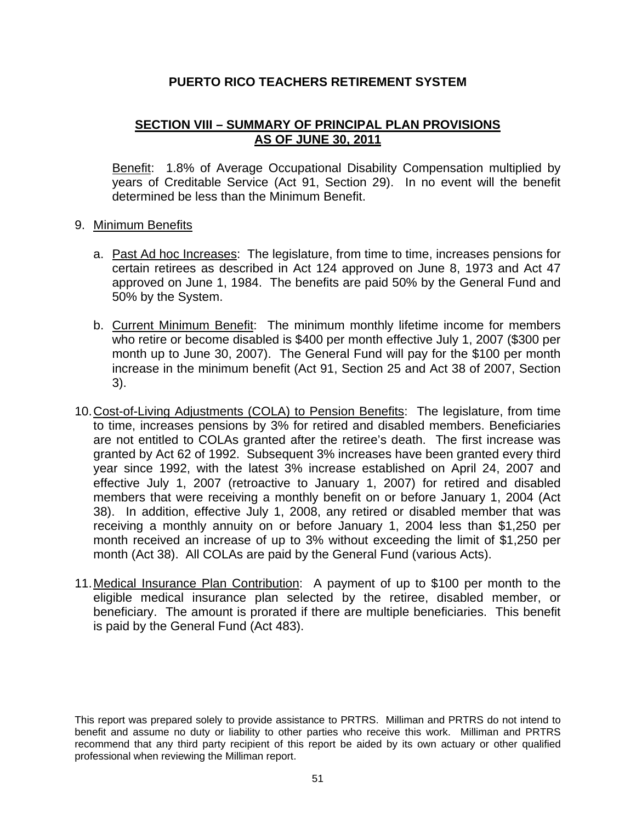# **SECTION VIII – SUMMARY OF PRINCIPAL PLAN PROVISIONS AS OF JUNE 30, 2011**

 Benefit: 1.8% of Average Occupational Disability Compensation multiplied by years of Creditable Service (Act 91, Section 29). In no event will the benefit determined be less than the Minimum Benefit.

## 9. Minimum Benefits

- a. Past Ad hoc Increases: The legislature, from time to time, increases pensions for certain retirees as described in Act 124 approved on June 8, 1973 and Act 47 approved on June 1, 1984. The benefits are paid 50% by the General Fund and 50% by the System.
- b. Current Minimum Benefit: The minimum monthly lifetime income for members who retire or become disabled is \$400 per month effective July 1, 2007 (\$300 per month up to June 30, 2007). The General Fund will pay for the \$100 per month increase in the minimum benefit (Act 91, Section 25 and Act 38 of 2007, Section 3).
- 10. Cost-of-Living Adjustments (COLA) to Pension Benefits: The legislature, from time to time, increases pensions by 3% for retired and disabled members. Beneficiaries are not entitled to COLAs granted after the retiree's death. The first increase was granted by Act 62 of 1992. Subsequent 3% increases have been granted every third year since 1992, with the latest 3% increase established on April 24, 2007 and effective July 1, 2007 (retroactive to January 1, 2007) for retired and disabled members that were receiving a monthly benefit on or before January 1, 2004 (Act 38). In addition, effective July 1, 2008, any retired or disabled member that was receiving a monthly annuity on or before January 1, 2004 less than \$1,250 per month received an increase of up to 3% without exceeding the limit of \$1,250 per month (Act 38). All COLAs are paid by the General Fund (various Acts).
- 11. Medical Insurance Plan Contribution: A payment of up to \$100 per month to the eligible medical insurance plan selected by the retiree, disabled member, or beneficiary. The amount is prorated if there are multiple beneficiaries. This benefit is paid by the General Fund (Act 483).

This report was prepared solely to provide assistance to PRTRS. Milliman and PRTRS do not intend to benefit and assume no duty or liability to other parties who receive this work. Milliman and PRTRS recommend that any third party recipient of this report be aided by its own actuary or other qualified professional when reviewing the Milliman report.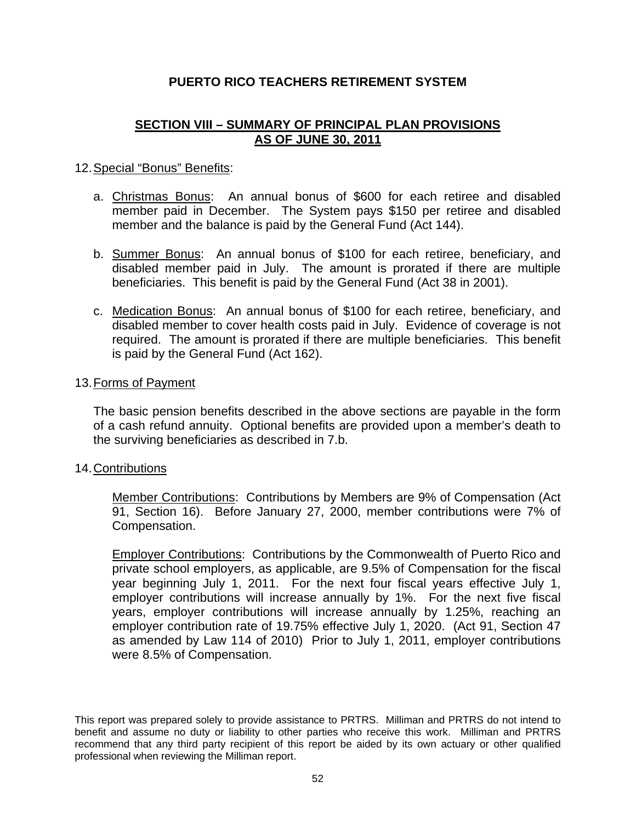# **SECTION VIII – SUMMARY OF PRINCIPAL PLAN PROVISIONS AS OF JUNE 30, 2011**

## 12. Special "Bonus" Benefits:

- a. Christmas Bonus: An annual bonus of \$600 for each retiree and disabled member paid in December. The System pays \$150 per retiree and disabled member and the balance is paid by the General Fund (Act 144).
- b. Summer Bonus: An annual bonus of \$100 for each retiree, beneficiary, and disabled member paid in July. The amount is prorated if there are multiple beneficiaries. This benefit is paid by the General Fund (Act 38 in 2001).
- c. Medication Bonus: An annual bonus of \$100 for each retiree, beneficiary, and disabled member to cover health costs paid in July. Evidence of coverage is not required. The amount is prorated if there are multiple beneficiaries. This benefit is paid by the General Fund (Act 162).

#### 13. Forms of Payment

The basic pension benefits described in the above sections are payable in the form of a cash refund annuity. Optional benefits are provided upon a member's death to the surviving beneficiaries as described in 7.b.

#### 14. Contributions

 Member Contributions: Contributions by Members are 9% of Compensation (Act 91, Section 16). Before January 27, 2000, member contributions were 7% of Compensation.

 Employer Contributions: Contributions by the Commonwealth of Puerto Rico and private school employers, as applicable, are 9.5% of Compensation for the fiscal year beginning July 1, 2011. For the next four fiscal years effective July 1, employer contributions will increase annually by 1%. For the next five fiscal years, employer contributions will increase annually by 1.25%, reaching an employer contribution rate of 19.75% effective July 1, 2020. (Act 91, Section 47 as amended by Law 114 of 2010) Prior to July 1, 2011, employer contributions were 8.5% of Compensation.

This report was prepared solely to provide assistance to PRTRS. Milliman and PRTRS do not intend to benefit and assume no duty or liability to other parties who receive this work. Milliman and PRTRS recommend that any third party recipient of this report be aided by its own actuary or other qualified professional when reviewing the Milliman report.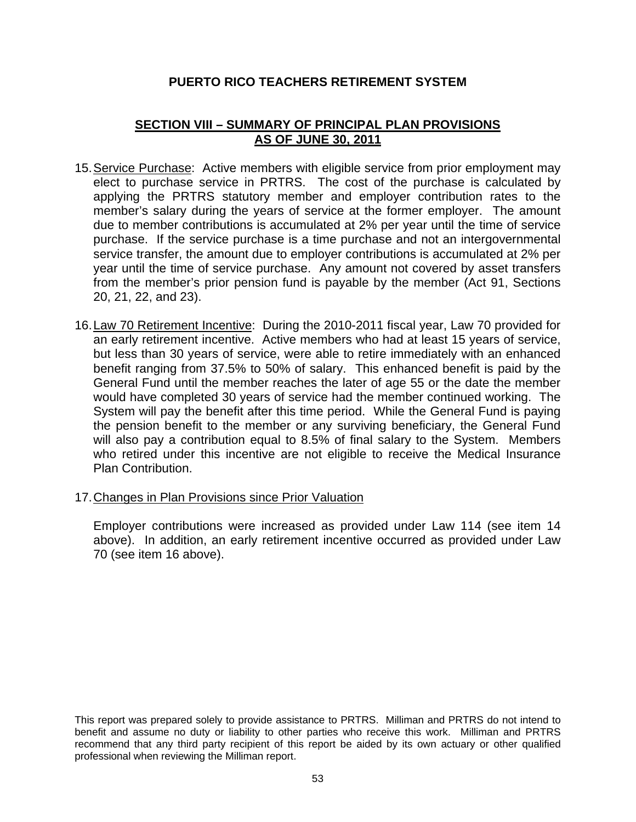# **SECTION VIII – SUMMARY OF PRINCIPAL PLAN PROVISIONS AS OF JUNE 30, 2011**

- 15. Service Purchase: Active members with eligible service from prior employment may elect to purchase service in PRTRS. The cost of the purchase is calculated by applying the PRTRS statutory member and employer contribution rates to the member's salary during the years of service at the former employer. The amount due to member contributions is accumulated at 2% per year until the time of service purchase. If the service purchase is a time purchase and not an intergovernmental service transfer, the amount due to employer contributions is accumulated at 2% per year until the time of service purchase. Any amount not covered by asset transfers from the member's prior pension fund is payable by the member (Act 91, Sections 20, 21, 22, and 23).
- 16. Law 70 Retirement Incentive: During the 2010-2011 fiscal year, Law 70 provided for an early retirement incentive. Active members who had at least 15 years of service, but less than 30 years of service, were able to retire immediately with an enhanced benefit ranging from 37.5% to 50% of salary. This enhanced benefit is paid by the General Fund until the member reaches the later of age 55 or the date the member would have completed 30 years of service had the member continued working. The System will pay the benefit after this time period. While the General Fund is paying the pension benefit to the member or any surviving beneficiary, the General Fund will also pay a contribution equal to 8.5% of final salary to the System. Members who retired under this incentive are not eligible to receive the Medical Insurance Plan Contribution.
- 17. Changes in Plan Provisions since Prior Valuation

 Employer contributions were increased as provided under Law 114 (see item 14 above). In addition, an early retirement incentive occurred as provided under Law 70 (see item 16 above).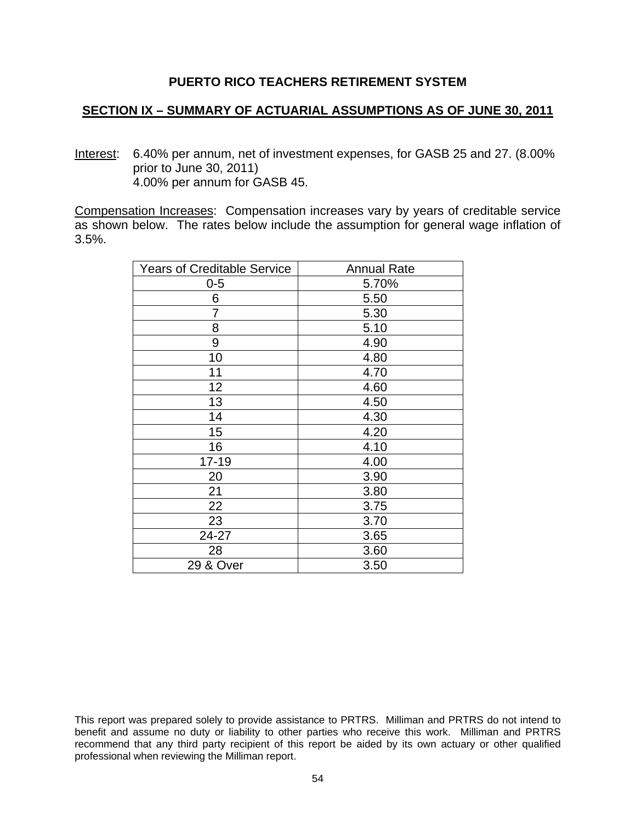## **SECTION IX – SUMMARY OF ACTUARIAL ASSUMPTIONS AS OF JUNE 30, 2011**

Interest: 6.40% per annum, net of investment expenses, for GASB 25 and 27. (8.00% prior to June 30, 2011) 4.00% per annum for GASB 45.

Compensation Increases: Compensation increases vary by years of creditable service as shown below. The rates below include the assumption for general wage inflation of 3.5%.

| <b>Years of Creditable Service</b> | <b>Annual Rate</b> |
|------------------------------------|--------------------|
| 0-5                                | 5.70%              |
| 6                                  | 5.50               |
| 7                                  | 5.30               |
| 8                                  | 5.10               |
| 9                                  | 4.90               |
| 10                                 | 4.80               |
| 11                                 | 4.70               |
| 12                                 | 4.60               |
| 13                                 | 4.50               |
| 14                                 | 4.30               |
| 15                                 | 4.20               |
| 16                                 | 4.10               |
| $17 - 19$                          | 4.00               |
| 20                                 | 3.90               |
| 21                                 | 3.80               |
| 22                                 | 3.75               |
| 23                                 | 3.70               |
| 24-27                              | 3.65               |
| 28                                 | 3.60               |
| 29 & Over                          | 3.50               |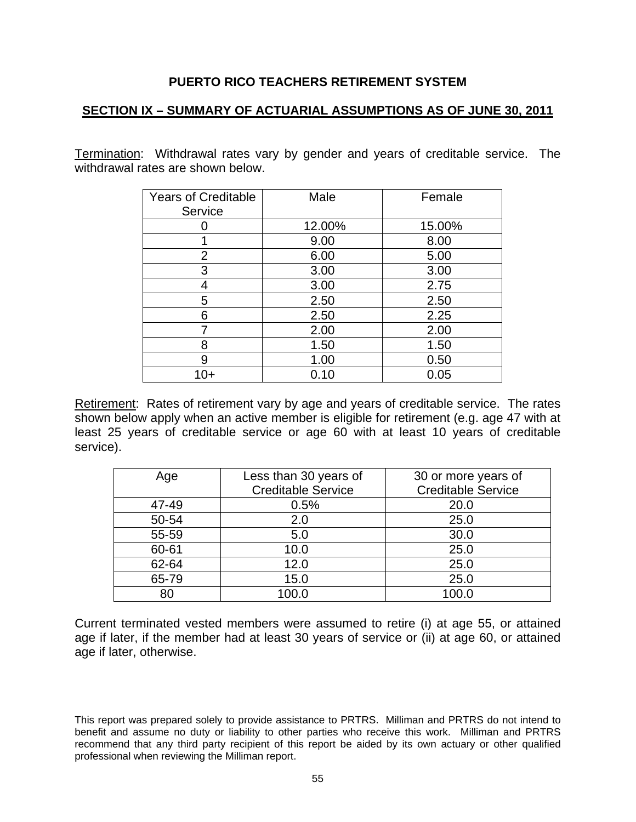## **SECTION IX – SUMMARY OF ACTUARIAL ASSUMPTIONS AS OF JUNE 30, 2011**

Termination: Withdrawal rates vary by gender and years of creditable service. The withdrawal rates are shown below.

| <b>Years of Creditable</b><br>Service | Male   | Female |
|---------------------------------------|--------|--------|
|                                       | 12.00% | 15.00% |
|                                       | 9.00   | 8.00   |
| 2                                     | 6.00   | 5.00   |
| 3                                     | 3.00   | 3.00   |
| 4                                     | 3.00   | 2.75   |
| 5                                     | 2.50   | 2.50   |
| 6                                     | 2.50   | 2.25   |
| 7                                     | 2.00   | 2.00   |
| 8                                     | 1.50   | 1.50   |
| 9                                     | 1.00   | 0.50   |
| 10+                                   | 0.10   | 0.05   |

Retirement: Rates of retirement vary by age and years of creditable service. The rates shown below apply when an active member is eligible for retirement (e.g. age 47 with at least 25 years of creditable service or age 60 with at least 10 years of creditable service).

| Age   | Less than 30 years of<br><b>Creditable Service</b> | 30 or more years of<br><b>Creditable Service</b> |
|-------|----------------------------------------------------|--------------------------------------------------|
| 47-49 | 0.5%                                               | 20.0                                             |
| 50-54 | 2.0                                                | 25.0                                             |
| 55-59 | 5.0                                                | 30.0                                             |
| 60-61 | 10.0                                               | 25.0                                             |
| 62-64 | 12.0                                               | 25.0                                             |
| 65-79 | 15.0                                               | 25.0                                             |
| 80    | 100.0                                              | 100.0                                            |

Current terminated vested members were assumed to retire (i) at age 55, or attained age if later, if the member had at least 30 years of service or (ii) at age 60, or attained age if later, otherwise.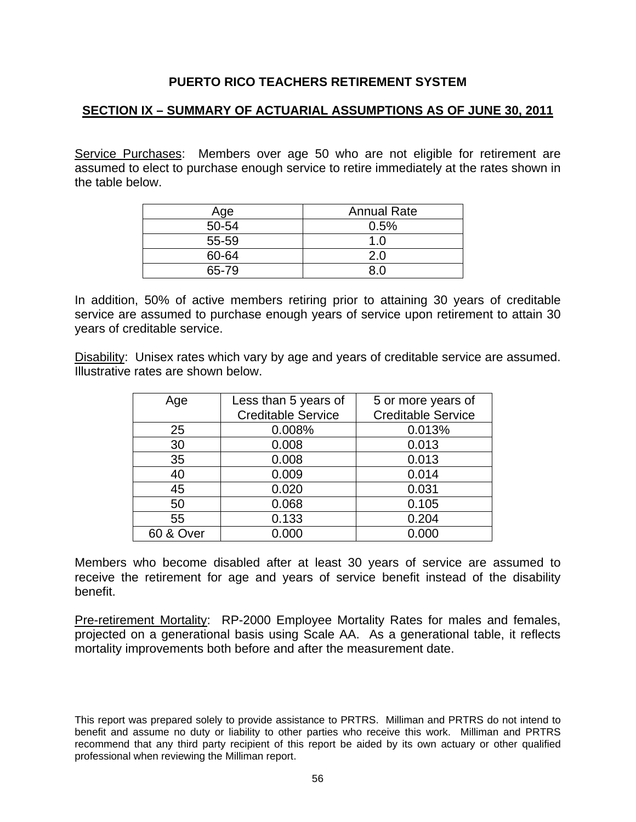# **SECTION IX – SUMMARY OF ACTUARIAL ASSUMPTIONS AS OF JUNE 30, 2011**

Service Purchases: Members over age 50 who are not eligible for retirement are assumed to elect to purchase enough service to retire immediately at the rates shown in the table below.

| Age   | <b>Annual Rate</b> |
|-------|--------------------|
| 50-54 | 0.5%               |
| 55-59 | 1.0                |
| 60-64 |                    |
| 65-79 |                    |

In addition, 50% of active members retiring prior to attaining 30 years of creditable service are assumed to purchase enough years of service upon retirement to attain 30 years of creditable service.

Disability: Unisex rates which vary by age and years of creditable service are assumed. Illustrative rates are shown below.

| Age                  | Less than 5 years of      | 5 or more years of        |
|----------------------|---------------------------|---------------------------|
|                      | <b>Creditable Service</b> | <b>Creditable Service</b> |
| 25                   | 0.008%                    | 0.013%                    |
| 30                   | 0.008                     | 0.013                     |
| 35                   | 0.008                     | 0.013                     |
| 40                   | 0.009                     | 0.014                     |
| 45                   | 0.020                     | 0.031                     |
| 50                   | 0.068                     | 0.105                     |
| 55                   | 0.133                     | 0.204                     |
| <b>60 &amp; Over</b> | 0.000                     | 0.000                     |

Members who become disabled after at least 30 years of service are assumed to receive the retirement for age and years of service benefit instead of the disability benefit.

Pre-retirement Mortality: RP-2000 Employee Mortality Rates for males and females, projected on a generational basis using Scale AA. As a generational table, it reflects mortality improvements both before and after the measurement date.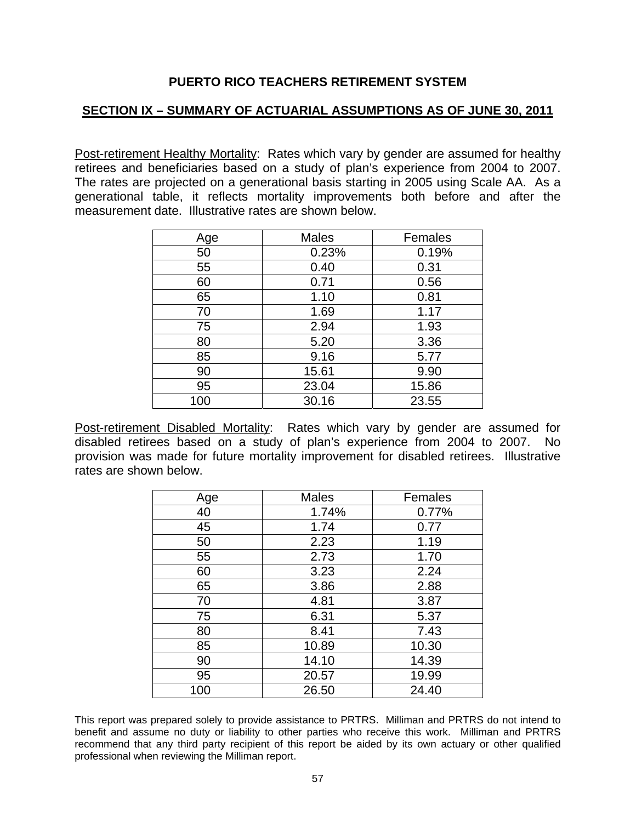# **SECTION IX – SUMMARY OF ACTUARIAL ASSUMPTIONS AS OF JUNE 30, 2011**

Post-retirement Healthy Mortality: Rates which vary by gender are assumed for healthy retirees and beneficiaries based on a study of plan's experience from 2004 to 2007. The rates are projected on a generational basis starting in 2005 using Scale AA. As a generational table, it reflects mortality improvements both before and after the measurement date. Illustrative rates are shown below.

| Age | Males | Females |
|-----|-------|---------|
| 50  | 0.23% | 0.19%   |
| 55  | 0.40  | 0.31    |
| 60  | 0.71  | 0.56    |
| 65  | 1.10  | 0.81    |
| 70  | 1.69  | 1.17    |
| 75  | 2.94  | 1.93    |
| 80  | 5.20  | 3.36    |
| 85  | 9.16  | 5.77    |
| 90  | 15.61 | 9.90    |
| 95  | 23.04 | 15.86   |
| 100 | 30.16 | 23.55   |

Post-retirement Disabled Mortality: Rates which vary by gender are assumed for disabled retirees based on a study of plan's experience from 2004 to 2007. No provision was made for future mortality improvement for disabled retirees. Illustrative rates are shown below.

| Age | <b>Males</b> | Females |
|-----|--------------|---------|
| 40  | 1.74%        | 0.77%   |
| 45  | 1.74         | 0.77    |
| 50  | 2.23         | 1.19    |
| 55  | 2.73         | 1.70    |
| 60  | 3.23         | 2.24    |
| 65  | 3.86         | 2.88    |
| 70  | 4.81         | 3.87    |
| 75  | 6.31         | 5.37    |
| 80  | 8.41         | 7.43    |
| 85  | 10.89        | 10.30   |
| 90  | 14.10        | 14.39   |
| 95  | 20.57        | 19.99   |
| 100 | 26.50        | 24.40   |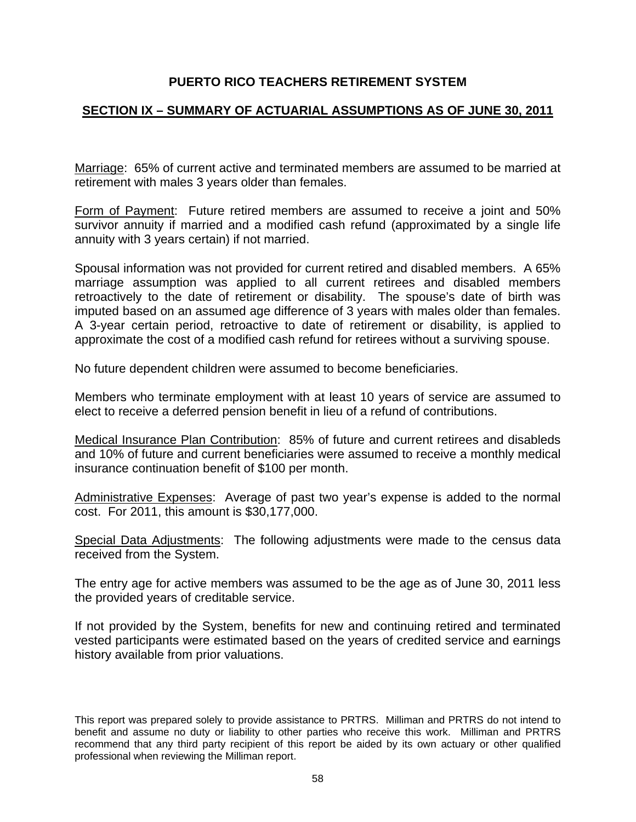# **SECTION IX – SUMMARY OF ACTUARIAL ASSUMPTIONS AS OF JUNE 30, 2011**

Marriage: 65% of current active and terminated members are assumed to be married at retirement with males 3 years older than females.

Form of Payment: Future retired members are assumed to receive a joint and 50% survivor annuity if married and a modified cash refund (approximated by a single life annuity with 3 years certain) if not married.

Spousal information was not provided for current retired and disabled members. A 65% marriage assumption was applied to all current retirees and disabled members retroactively to the date of retirement or disability. The spouse's date of birth was imputed based on an assumed age difference of 3 years with males older than females. A 3-year certain period, retroactive to date of retirement or disability, is applied to approximate the cost of a modified cash refund for retirees without a surviving spouse.

No future dependent children were assumed to become beneficiaries.

Members who terminate employment with at least 10 years of service are assumed to elect to receive a deferred pension benefit in lieu of a refund of contributions.

Medical Insurance Plan Contribution: 85% of future and current retirees and disableds and 10% of future and current beneficiaries were assumed to receive a monthly medical insurance continuation benefit of \$100 per month.

Administrative Expenses: Average of past two year's expense is added to the normal cost. For 2011, this amount is \$30,177,000.

Special Data Adjustments: The following adjustments were made to the census data received from the System.

The entry age for active members was assumed to be the age as of June 30, 2011 less the provided years of creditable service.

If not provided by the System, benefits for new and continuing retired and terminated vested participants were estimated based on the years of credited service and earnings history available from prior valuations.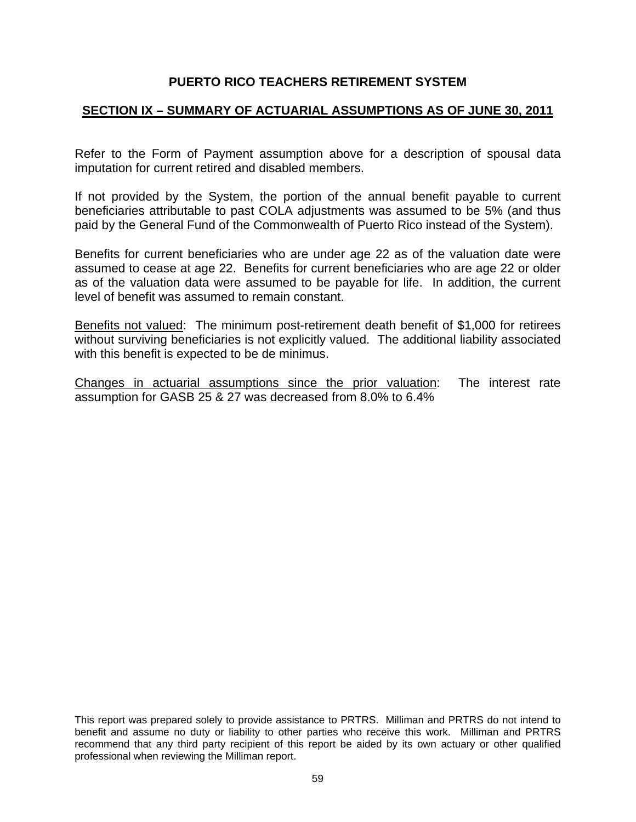## **SECTION IX – SUMMARY OF ACTUARIAL ASSUMPTIONS AS OF JUNE 30, 2011**

Refer to the Form of Payment assumption above for a description of spousal data imputation for current retired and disabled members.

If not provided by the System, the portion of the annual benefit payable to current beneficiaries attributable to past COLA adjustments was assumed to be 5% (and thus paid by the General Fund of the Commonwealth of Puerto Rico instead of the System).

Benefits for current beneficiaries who are under age 22 as of the valuation date were assumed to cease at age 22. Benefits for current beneficiaries who are age 22 or older as of the valuation data were assumed to be payable for life. In addition, the current level of benefit was assumed to remain constant.

Benefits not valued: The minimum post-retirement death benefit of \$1,000 for retirees without surviving beneficiaries is not explicitly valued. The additional liability associated with this benefit is expected to be de minimus.

Changes in actuarial assumptions since the prior valuation: The interest rate assumption for GASB 25 & 27 was decreased from 8.0% to 6.4%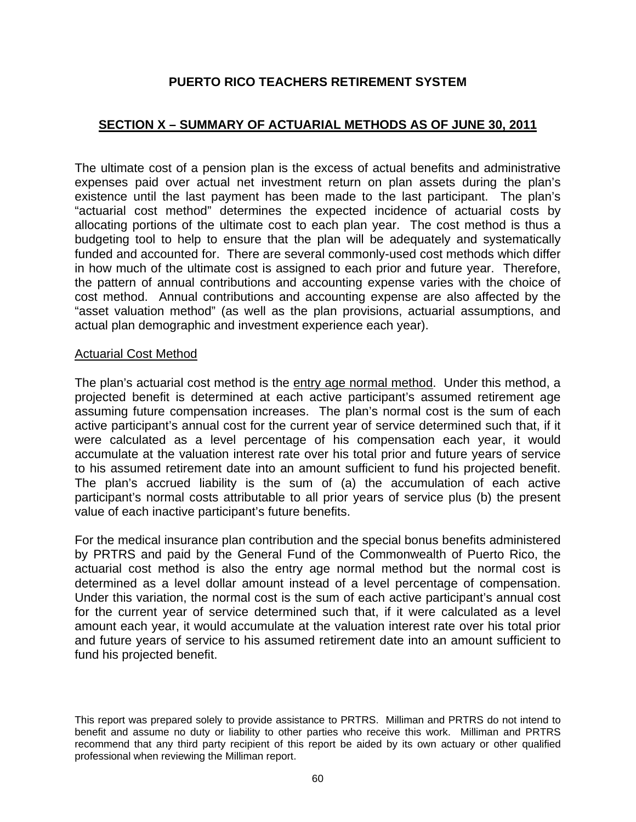# **SECTION X – SUMMARY OF ACTUARIAL METHODS AS OF JUNE 30, 2011**

The ultimate cost of a pension plan is the excess of actual benefits and administrative expenses paid over actual net investment return on plan assets during the plan's existence until the last payment has been made to the last participant. The plan's "actuarial cost method" determines the expected incidence of actuarial costs by allocating portions of the ultimate cost to each plan year. The cost method is thus a budgeting tool to help to ensure that the plan will be adequately and systematically funded and accounted for. There are several commonly-used cost methods which differ in how much of the ultimate cost is assigned to each prior and future year. Therefore, the pattern of annual contributions and accounting expense varies with the choice of cost method. Annual contributions and accounting expense are also affected by the "asset valuation method" (as well as the plan provisions, actuarial assumptions, and actual plan demographic and investment experience each year).

#### Actuarial Cost Method

The plan's actuarial cost method is the entry age normal method. Under this method, a projected benefit is determined at each active participant's assumed retirement age assuming future compensation increases. The plan's normal cost is the sum of each active participant's annual cost for the current year of service determined such that, if it were calculated as a level percentage of his compensation each year, it would accumulate at the valuation interest rate over his total prior and future years of service to his assumed retirement date into an amount sufficient to fund his projected benefit. The plan's accrued liability is the sum of (a) the accumulation of each active participant's normal costs attributable to all prior years of service plus (b) the present value of each inactive participant's future benefits.

For the medical insurance plan contribution and the special bonus benefits administered by PRTRS and paid by the General Fund of the Commonwealth of Puerto Rico, the actuarial cost method is also the entry age normal method but the normal cost is determined as a level dollar amount instead of a level percentage of compensation. Under this variation, the normal cost is the sum of each active participant's annual cost for the current year of service determined such that, if it were calculated as a level amount each year, it would accumulate at the valuation interest rate over his total prior and future years of service to his assumed retirement date into an amount sufficient to fund his projected benefit.

This report was prepared solely to provide assistance to PRTRS. Milliman and PRTRS do not intend to benefit and assume no duty or liability to other parties who receive this work. Milliman and PRTRS recommend that any third party recipient of this report be aided by its own actuary or other qualified professional when reviewing the Milliman report.